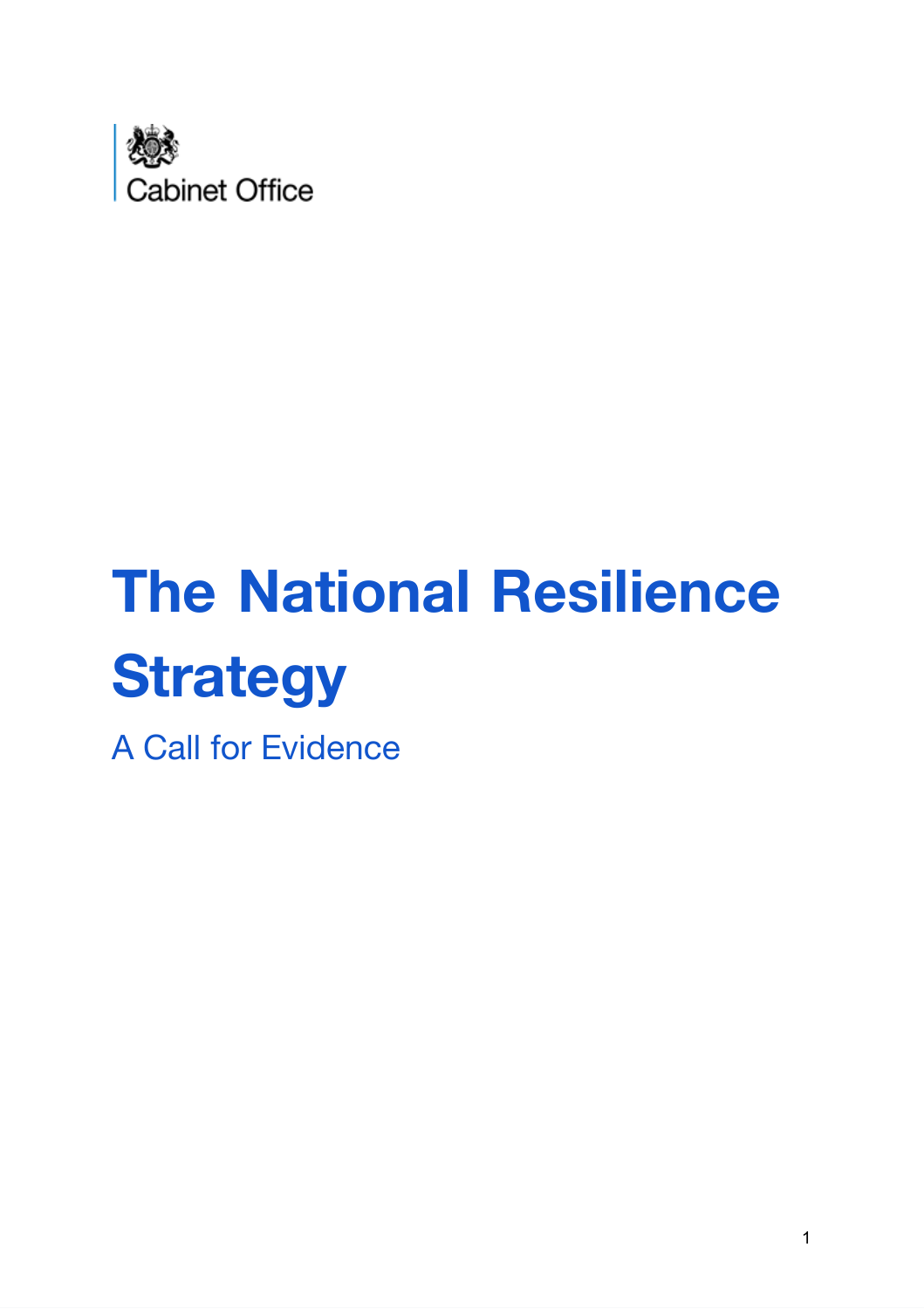

# **The National Resilience Strategy**

A Call for Evidence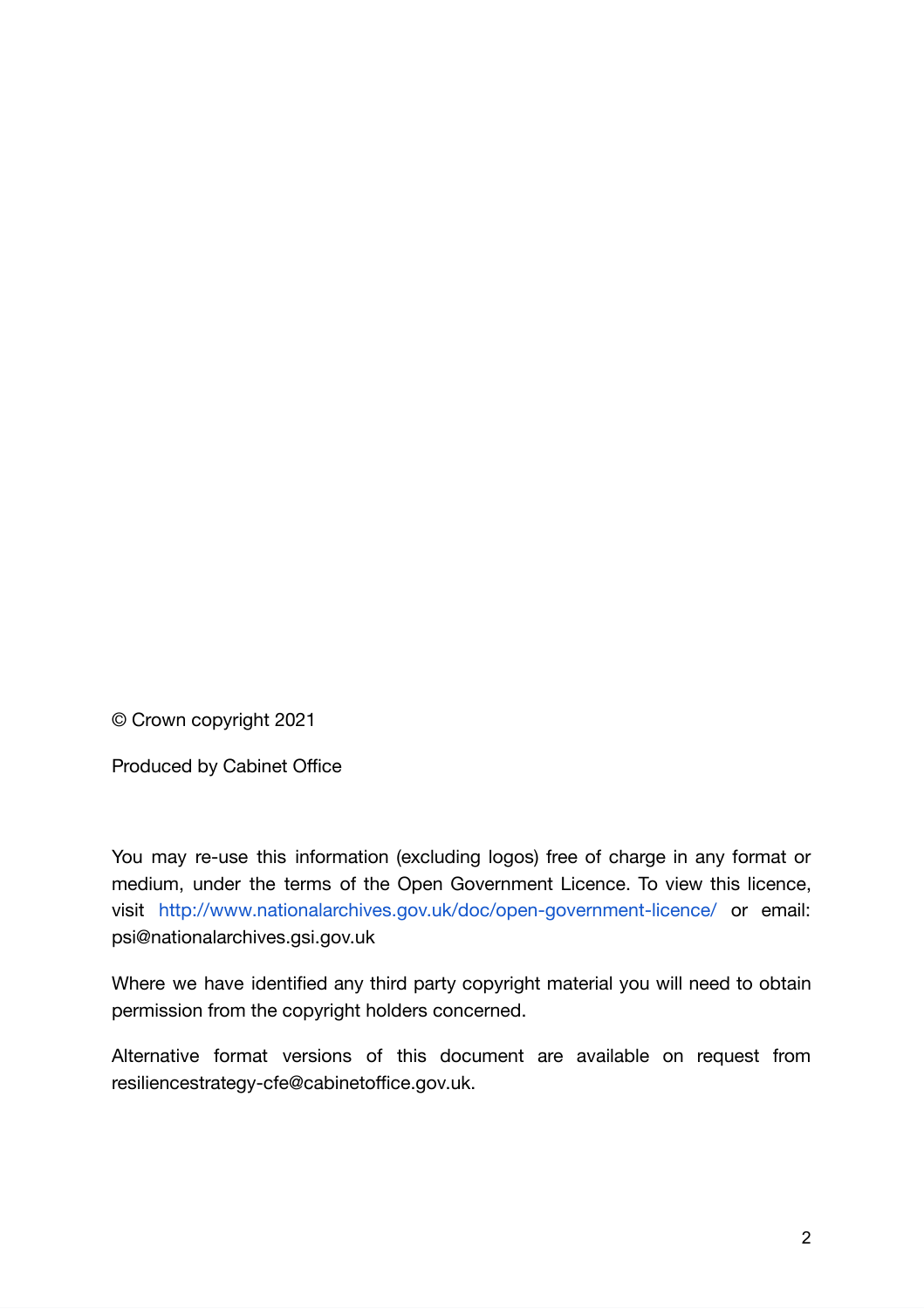© Crown copyright 2021

Produced by Cabinet Office

You may re-use this information (excluding logos) free of charge in any format or medium, under the terms of the Open Government Licence. To view this licence, visit <http://www.nationalarchives.gov.uk/doc/open-government-licence/> or email: psi@nationalarchives.gsi.gov.uk

Where we have identified any third party copyright material you will need to obtain permission from the copyright holders concerned.

Alternative format versions of this document are available on request from resiliencestrategy-cfe@cabinetoffice.gov.uk.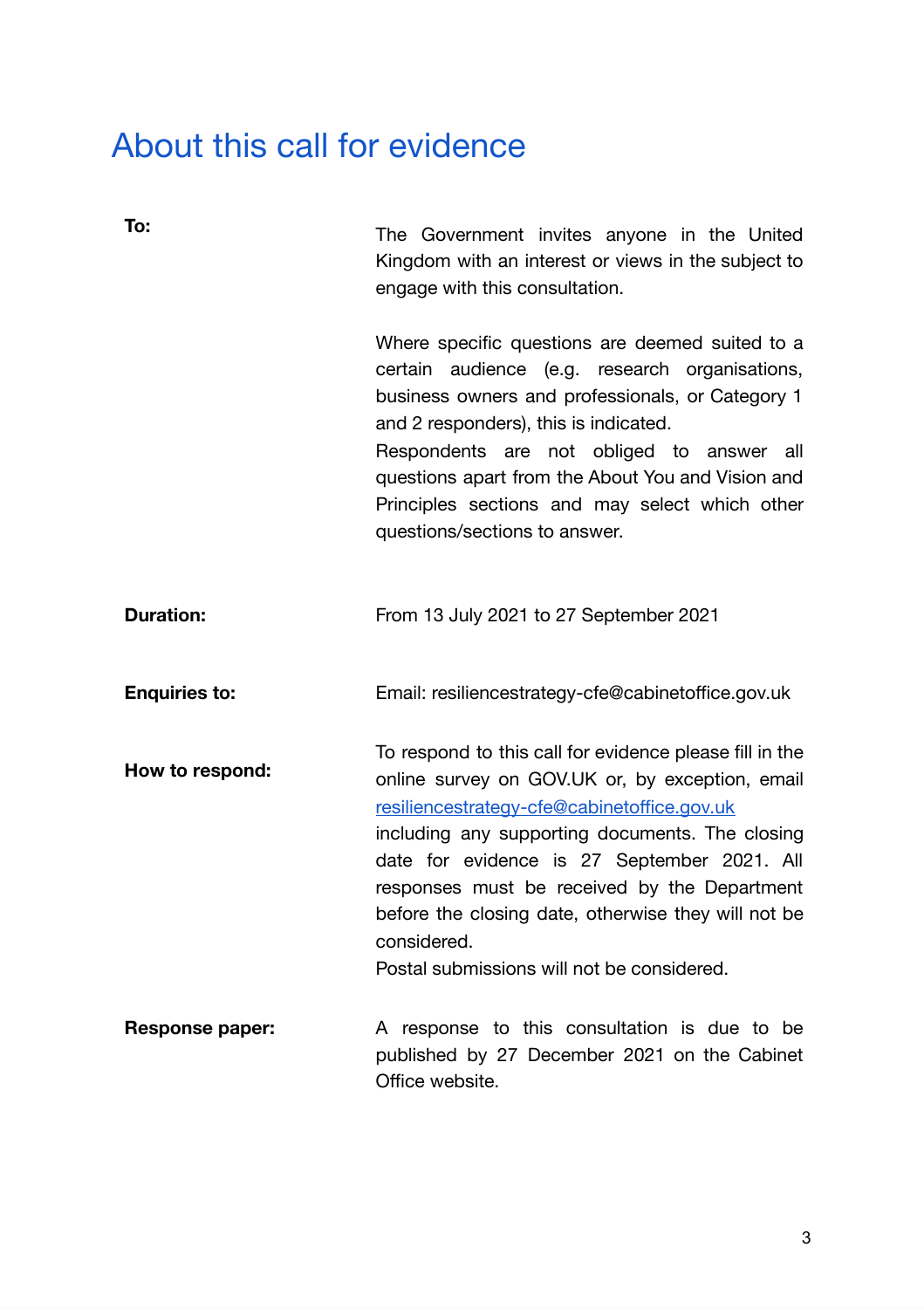# About this call for evidence

| To:                    | The Government invites anyone in the United<br>Kingdom with an interest or views in the subject to<br>engage with this consultation.                                                                                                                                                                                                                                                                                            |
|------------------------|---------------------------------------------------------------------------------------------------------------------------------------------------------------------------------------------------------------------------------------------------------------------------------------------------------------------------------------------------------------------------------------------------------------------------------|
|                        | Where specific questions are deemed suited to a<br>certain audience (e.g. research organisations,<br>business owners and professionals, or Category 1<br>and 2 responders), this is indicated.<br>Respondents are not obliged to answer all<br>questions apart from the About You and Vision and<br>Principles sections and may select which other<br>questions/sections to answer.                                             |
| <b>Duration:</b>       | From 13 July 2021 to 27 September 2021                                                                                                                                                                                                                                                                                                                                                                                          |
| <b>Enquiries to:</b>   | Email: resiliencestrategy-cfe@cabinetoffice.gov.uk                                                                                                                                                                                                                                                                                                                                                                              |
| How to respond:        | To respond to this call for evidence please fill in the<br>online survey on GOV.UK or, by exception, email<br>resiliencestrategy-cfe@cabinetoffice.gov.uk<br>including any supporting documents. The closing<br>date for evidence is 27 September 2021. All<br>responses must be received by the Department<br>before the closing date, otherwise they will not be<br>considered.<br>Postal submissions will not be considered. |
| <b>Response paper:</b> | A response to this consultation is due to be<br>published by 27 December 2021 on the Cabinet<br>Office website.                                                                                                                                                                                                                                                                                                                 |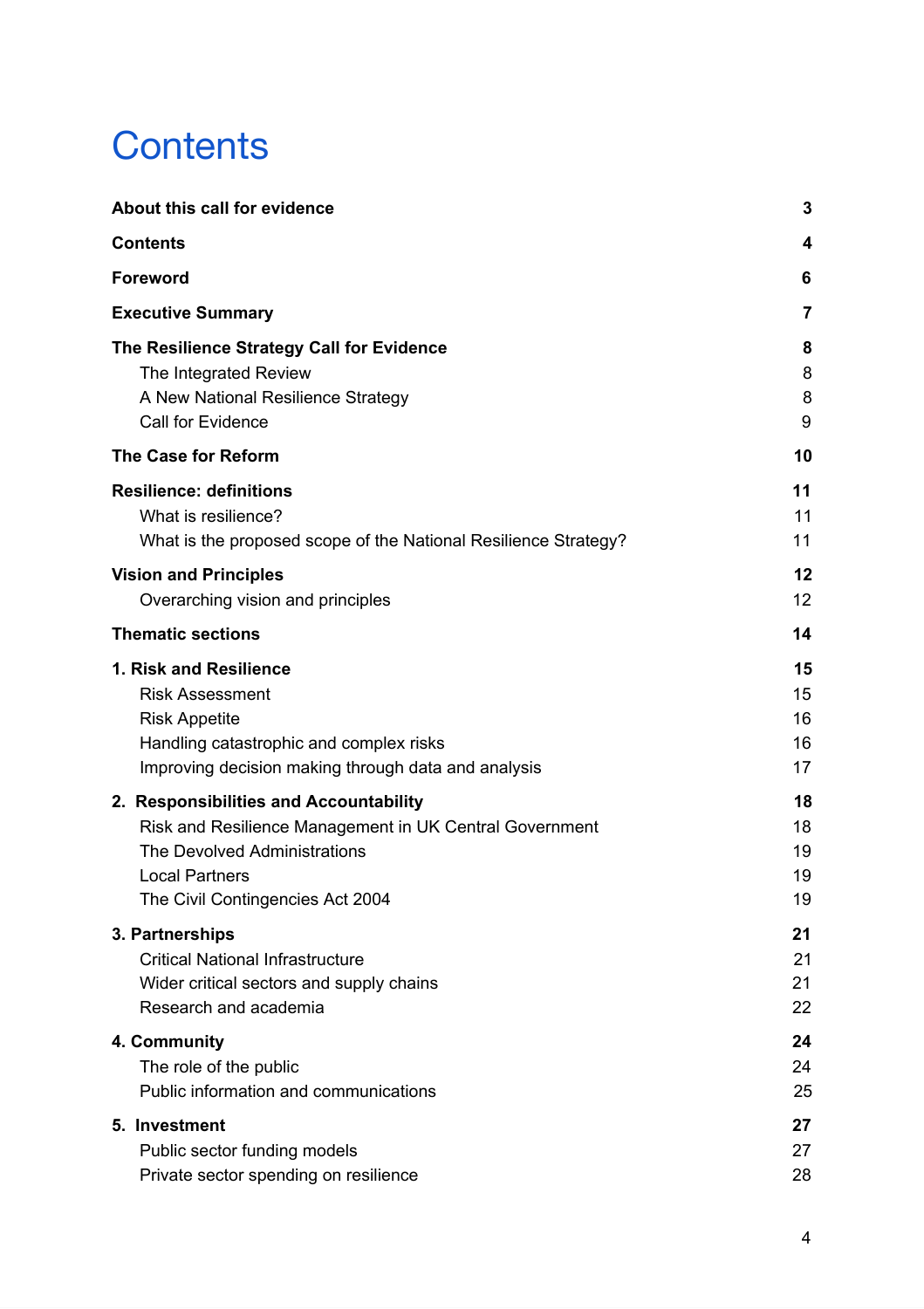# <span id="page-3-0"></span>**Contents**

| About this call for evidence                                    | 3  |
|-----------------------------------------------------------------|----|
| <b>Contents</b>                                                 | 4  |
| <b>Foreword</b>                                                 | 6  |
| <b>Executive Summary</b>                                        | 7  |
| The Resilience Strategy Call for Evidence                       | 8  |
| The Integrated Review                                           | 8  |
| A New National Resilience Strategy                              | 8  |
| <b>Call for Evidence</b>                                        | 9  |
| <b>The Case for Reform</b>                                      | 10 |
| <b>Resilience: definitions</b>                                  | 11 |
| What is resilience?                                             | 11 |
| What is the proposed scope of the National Resilience Strategy? | 11 |
| <b>Vision and Principles</b>                                    | 12 |
| Overarching vision and principles                               | 12 |
| <b>Thematic sections</b>                                        | 14 |
| 1. Risk and Resilience                                          | 15 |
| <b>Risk Assessment</b>                                          | 15 |
| <b>Risk Appetite</b>                                            | 16 |
| Handling catastrophic and complex risks                         | 16 |
| Improving decision making through data and analysis             | 17 |
| 2. Responsibilities and Accountability                          | 18 |
| Risk and Resilience Management in UK Central Government         | 18 |
| <b>The Devolved Administrations</b>                             | 19 |
| <b>Local Partners</b>                                           | 19 |
| The Civil Contingencies Act 2004                                | 19 |
| 3. Partnerships                                                 | 21 |
| <b>Critical National Infrastructure</b>                         | 21 |
| Wider critical sectors and supply chains                        | 21 |
| Research and academia                                           | 22 |
| 4. Community                                                    | 24 |
| The role of the public                                          | 24 |
| Public information and communications                           | 25 |
| 5. Investment                                                   | 27 |
| Public sector funding models                                    | 27 |
| Private sector spending on resilience                           | 28 |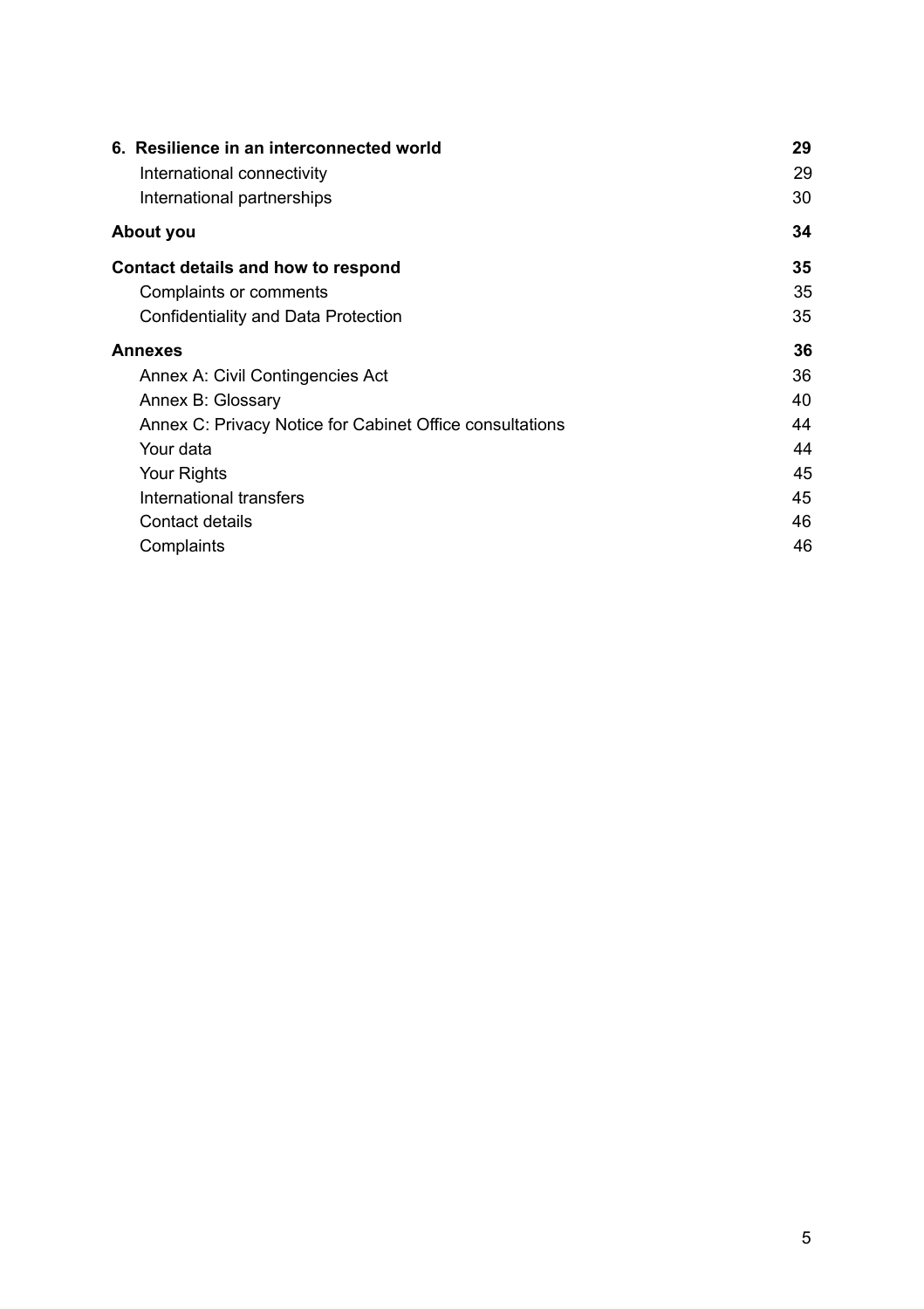| 6. Resilience in an interconnected world                 | 29 |
|----------------------------------------------------------|----|
| International connectivity                               | 29 |
| International partnerships                               | 30 |
| About you                                                | 34 |
| Contact details and how to respond                       | 35 |
| Complaints or comments                                   | 35 |
| Confidentiality and Data Protection                      | 35 |
| <b>Annexes</b>                                           | 36 |
| Annex A: Civil Contingencies Act                         | 36 |
| Annex B: Glossary                                        | 40 |
| Annex C: Privacy Notice for Cabinet Office consultations | 44 |
| Your data                                                | 44 |
| Your Rights                                              | 45 |
| International transfers                                  | 45 |
| <b>Contact details</b>                                   | 46 |
| Complaints                                               | 46 |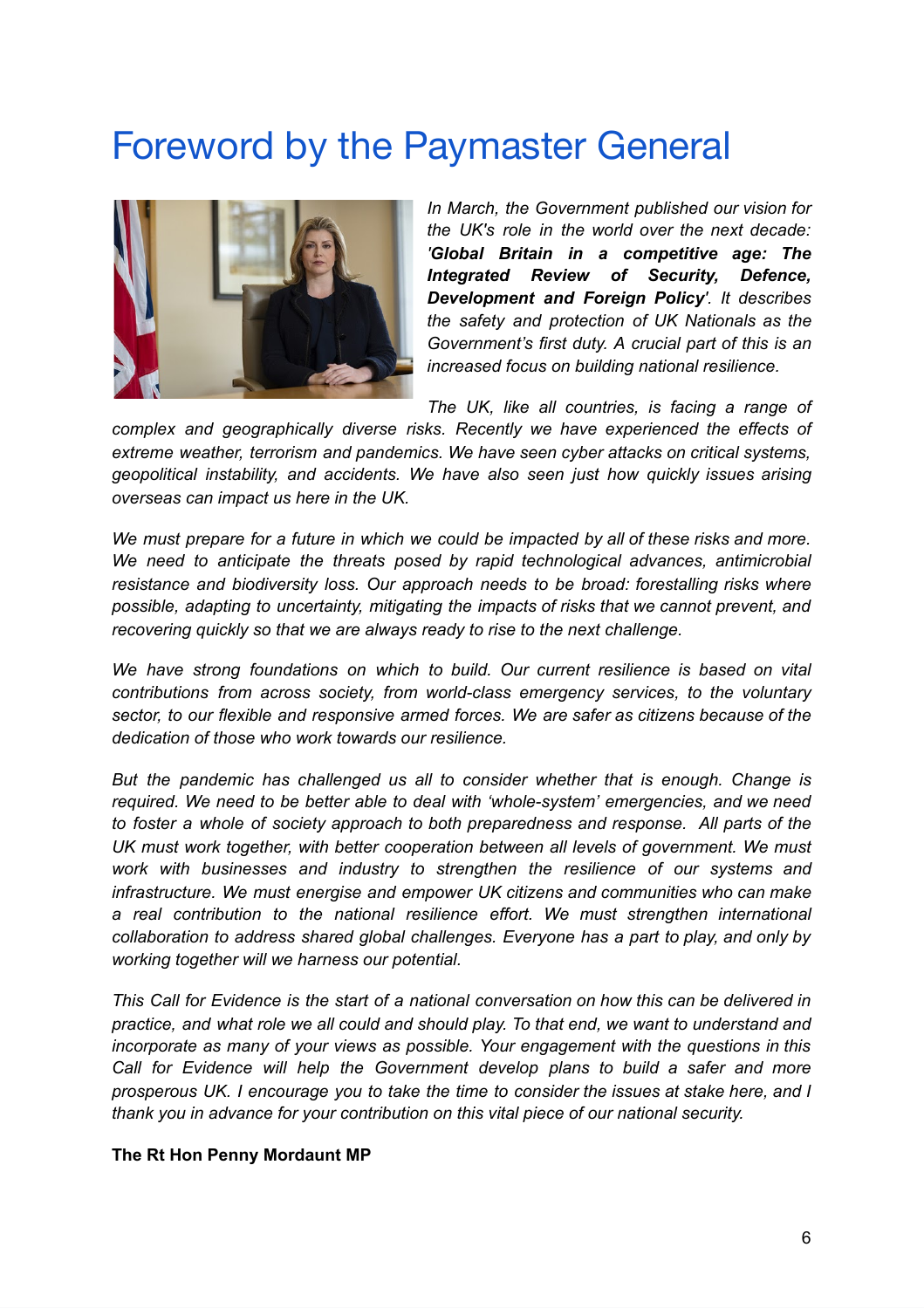# <span id="page-5-0"></span>Foreword by the Paymaster General



*In March, the Government published our vision for the UK's role in the world over the next decade: 'Global Britain in a competitive age: The Integrated Review of Security, Defence, Development and Foreign Policy'. It describes the safety and protection of UK Nationals as the Government's first duty. A crucial part of this is an increased focus on building national resilience.*

*The UK, like all countries, is facing a range of*

*complex and geographically diverse risks. Recently we have experienced the effects of extreme weather, terrorism and pandemics. We have seen cyber attacks on critical systems, geopolitical instability, and accidents. We have also seen just how quickly issues arising overseas can impact us here in the UK.*

*We must prepare for a future in which we could be impacted by all of these risks and more. We need to anticipate the threats posed by rapid technological advances, antimicrobial resistance and biodiversity loss. Our approach needs to be broad: forestalling risks where possible, adapting to uncertainty, mitigating the impacts of risks that we cannot prevent, and recovering quickly so that we are always ready to rise to the next challenge.*

*We have strong foundations on which to build. Our current resilience is based on vital contributions from across society, from world-class emergency services, to the voluntary sector, to our flexible and responsive armed forces. We are safer as citizens because of the dedication of those who work towards our resilience.*

*But the pandemic has challenged us all to consider whether that is enough. Change is required. We need to be better able to deal with 'whole-system' emergencies, and we need to foster a whole of society approach to both preparedness and response. All parts of the UK must work together, with better cooperation between all levels of government. We must work with businesses and industry to strengthen the resilience of our systems and infrastructure. We must energise and empower UK citizens and communities who can make a real contribution to the national resilience effort. We must strengthen international collaboration to address shared global challenges. Everyone has a part to play, and only by working together will we harness our potential.*

*This Call for Evidence is the start of a national conversation on how this can be delivered in practice, and what role we all could and should play. To that end, we want to understand and incorporate as many of your views as possible. Your engagement with the questions in this Call for Evidence will help the Government develop plans to build a safer and more prosperous UK. I encourage you to take the time to consider the issues at stake here, and I thank you in advance for your contribution on this vital piece of our national security.*

#### **The Rt Hon Penny Mordaunt MP**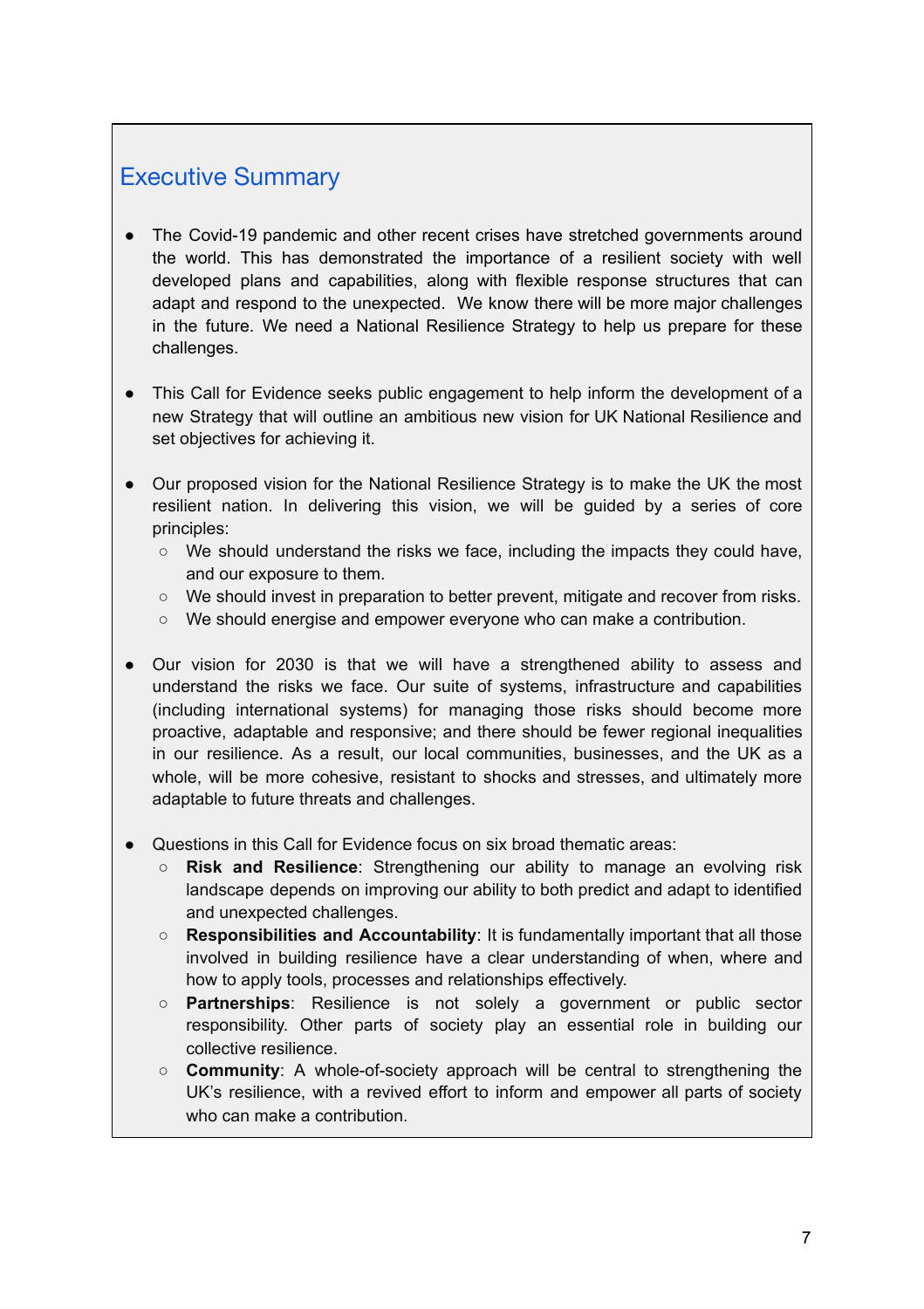# <span id="page-6-0"></span>Executive Summary

- The Covid-19 pandemic and other recent crises have stretched governments around the world. This has demonstrated the importance of a resilient society with well developed plans and capabilities, along with flexible response structures that can adapt and respond to the unexpected. We know there will be more major challenges in the future. We need a National Resilience Strategy to help us prepare for these challenges.
- This Call for Evidence seeks public engagement to help inform the development of a new Strategy that will outline an ambitious new vision for UK National Resilience and set objectives for achieving it.
- Our proposed vision for the National Resilience Strategy is to make the UK the most resilient nation. In delivering this vision, we will be guided by a series of core principles:
	- We should understand the risks we face, including the impacts they could have, and our exposure to them.
	- We should invest in preparation to better prevent, mitigate and recover from risks.
	- We should energise and empower everyone who can make a contribution.
- Our vision for 2030 is that we will have a strengthened ability to assess and understand the risks we face. Our suite of systems, infrastructure and capabilities (including international systems) for managing those risks should become more proactive, adaptable and responsive; and there should be fewer regional inequalities in our resilience. As a result, our local communities, businesses, and the UK as a whole, will be more cohesive, resistant to shocks and stresses, and ultimately more adaptable to future threats and challenges.
- Questions in this Call for Evidence focus on six broad thematic areas:
	- **Risk and Resilience**: Strengthening our ability to manage an evolving risk landscape depends on improving our ability to both predict and adapt to identified and unexpected challenges.
	- **Responsibilities and Accountability**: It is fundamentally important that all those involved in building resilience have a clear understanding of when, where and how to apply tools, processes and relationships effectively.
	- **Partnerships**: Resilience is not solely a government or public sector responsibility. Other parts of society play an essential role in building our collective resilience.
	- **Community**: A whole-of-society approach will be central to strengthening the UK's resilience, with a revived effort to inform and empower all parts of society who can make a contribution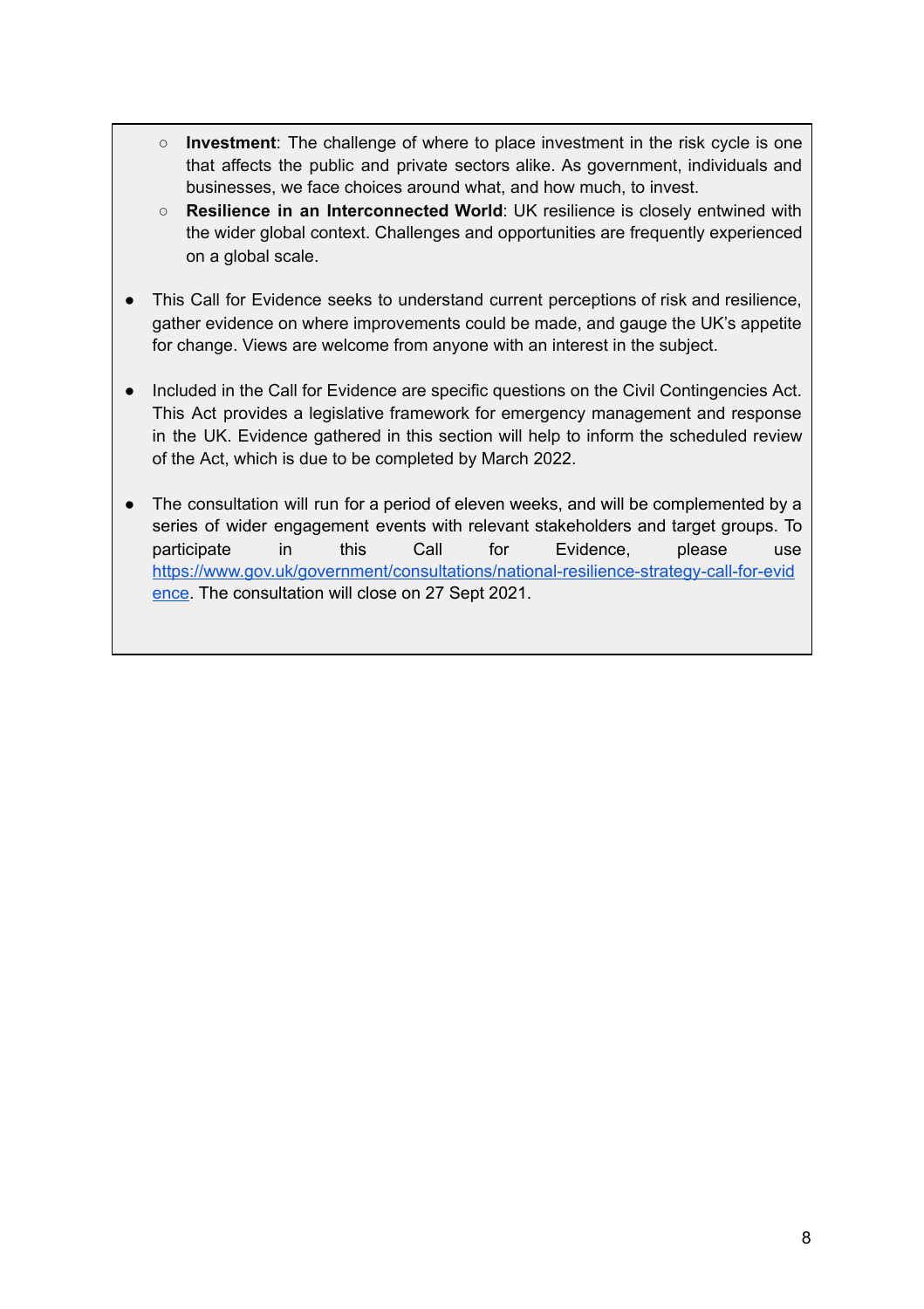- **Investment**: The challenge of where to place investment in the risk cycle is one that affects the public and private sectors alike. As government, individuals and businesses, we face choices around what, and how much, to invest.
- **Resilience in an Interconnected World**: UK resilience is closely entwined with the wider global context. Challenges and opportunities are frequently experienced on a global scale.
- This Call for Evidence seeks to understand current perceptions of risk and resilience, gather evidence on where improvements could be made, and gauge the UK's appetite for change. Views are welcome from anyone with an interest in the subject.
- Included in the Call for Evidence are specific questions on the Civil Contingencies Act. This Act provides a legislative framework for emergency management and response in the UK. Evidence gathered in this section will help to inform the scheduled review of the Act, which is due to be completed by March 2022.
- <span id="page-7-0"></span>● The consultation will run for a period of eleven weeks, and will be complemented by a series of wider engagement events with relevant stakeholders and target groups. To participate in this Call for Evidence, please use [https://www.gov.uk/government/consultations/national-resilience-strategy-call-for-evid](https://www.gov.uk/government/consultations/national-resilience-strategy-call-for-evidence) [ence.](https://www.gov.uk/government/consultations/national-resilience-strategy-call-for-evidence) The consultation will close on 27 Sept 2021.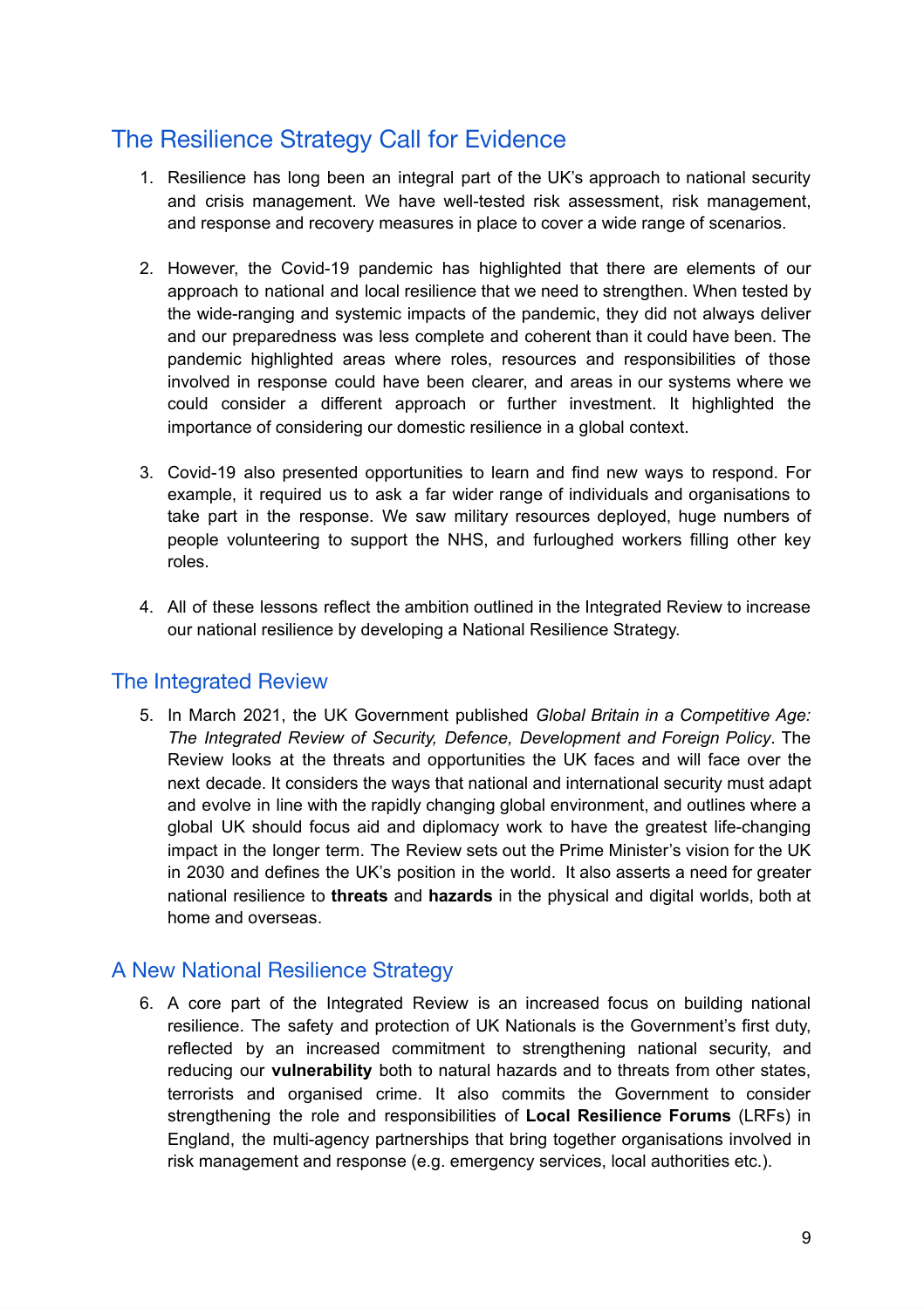# The Resilience Strategy Call for Evidence

- 1. Resilience has long been an integral part of the UK's approach to national security and crisis management. We have well-tested risk assessment, risk management, and response and recovery measures in place to cover a wide range of scenarios.
- 2. However, the Covid-19 pandemic has highlighted that there are elements of our approach to national and local resilience that we need to strengthen. When tested by the wide-ranging and systemic impacts of the pandemic, they did not always deliver and our preparedness was less complete and coherent than it could have been. The pandemic highlighted areas where roles, resources and responsibilities of those involved in response could have been clearer, and areas in our systems where we could consider a different approach or further investment. It highlighted the importance of considering our domestic resilience in a global context.
- 3. Covid-19 also presented opportunities to learn and find new ways to respond. For example, it required us to ask a far wider range of individuals and organisations to take part in the response. We saw military resources deployed, huge numbers of people volunteering to support the NHS, and furloughed workers filling other key roles.
- 4. All of these lessons reflect the ambition outlined in the Integrated Review to increase our national resilience by developing a National Resilience Strategy.

#### <span id="page-8-0"></span>The Integrated Review

5. In March 2021, the UK Government published *Global Britain in a Competitive Age: The Integrated Review of Security, Defence, Development and Foreign Policy*. The Review looks at the threats and opportunities the UK faces and will face over the next decade. It considers the ways that national and international security must adapt and evolve in line with the rapidly changing global environment, and outlines where a global UK should focus aid and diplomacy work to have the greatest life-changing impact in the longer term. The Review sets out the Prime Minister's vision for the UK in 2030 and defines the UK's position in the world. It also asserts a need for greater national resilience to **threats** and **hazards** in the physical and digital worlds, both at home and overseas.

#### <span id="page-8-1"></span>A New National Resilience Strategy

6. A core part of the Integrated Review is an increased focus on building national resilience. The safety and protection of UK Nationals is the Government's first duty, reflected by an increased commitment to strengthening national security, and reducing our **vulnerability** both to natural hazards and to threats from other states, terrorists and organised crime. It also commits the Government to consider strengthening the role and responsibilities of **Local Resilience Forums** (LRFs) in England, the multi-agency partnerships that bring together organisations involved in risk management and response (e.g. emergency services, local authorities etc.).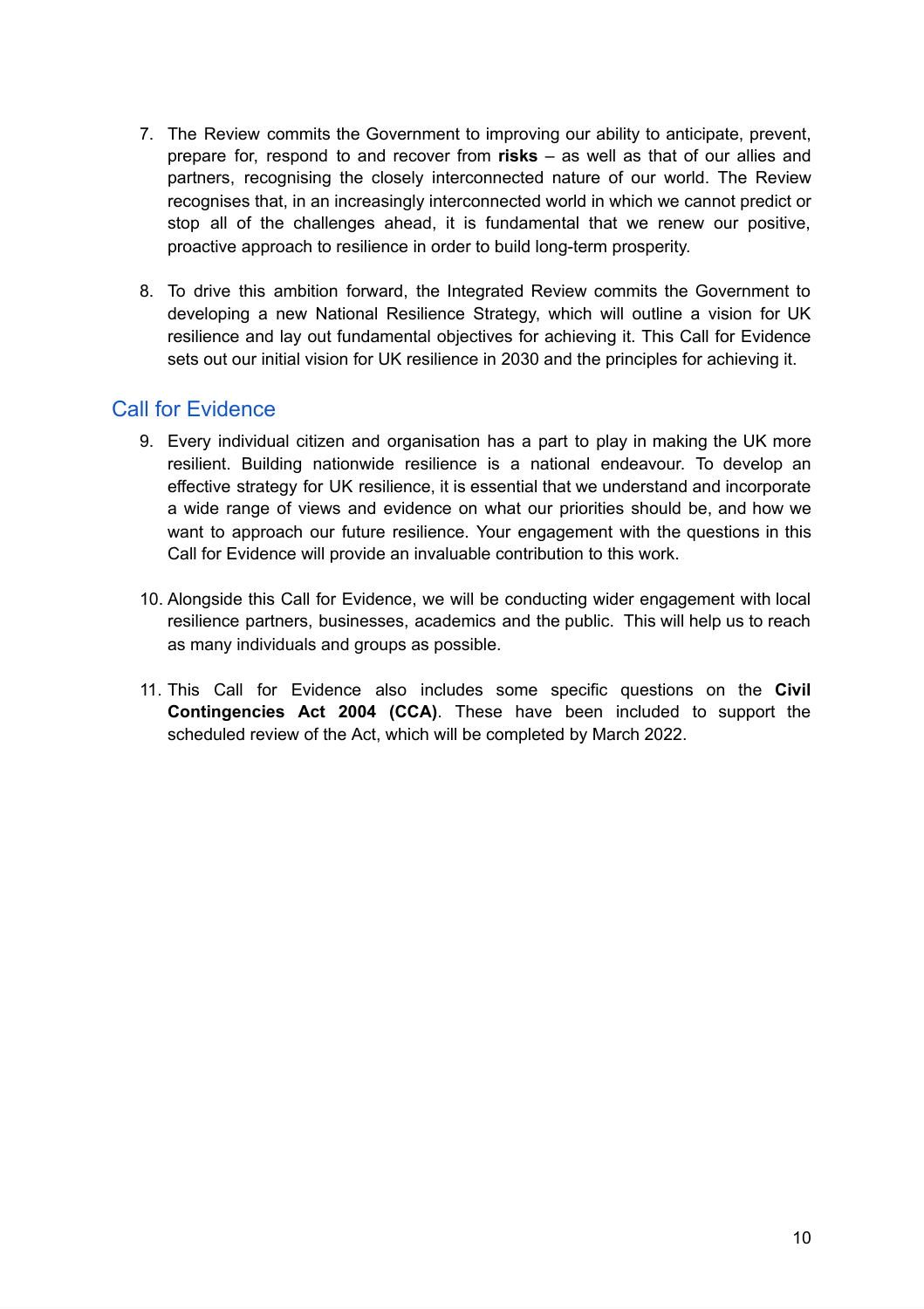- 7. The Review commits the Government to improving our ability to anticipate, prevent, prepare for, respond to and recover from **risks** – as well as that of our allies and partners, recognising the closely interconnected nature of our world. The Review recognises that, in an increasingly interconnected world in which we cannot predict or stop all of the challenges ahead, it is fundamental that we renew our positive, proactive approach to resilience in order to build long-term prosperity.
- 8. To drive this ambition forward, the Integrated Review commits the Government to developing a new National Resilience Strategy, which will outline a vision for UK resilience and lay out fundamental objectives for achieving it. This Call for Evidence sets out our initial vision for UK resilience in 2030 and the principles for achieving it.

#### <span id="page-9-0"></span>Call for Evidence

- 9. Every individual citizen and organisation has a part to play in making the UK more resilient. Building nationwide resilience is a national endeavour. To develop an effective strategy for UK resilience, it is essential that we understand and incorporate a wide range of views and evidence on what our priorities should be, and how we want to approach our future resilience. Your engagement with the questions in this Call for Evidence will provide an invaluable contribution to this work.
- 10. Alongside this Call for Evidence, we will be conducting wider engagement with local resilience partners, businesses, academics and the public. This will help us to reach as many individuals and groups as possible.
- 11. This Call for Evidence also includes some specific questions on the **Civil Contingencies Act 2004 (CCA)**. These have been included to support the scheduled review of the Act, which will be completed by March 2022.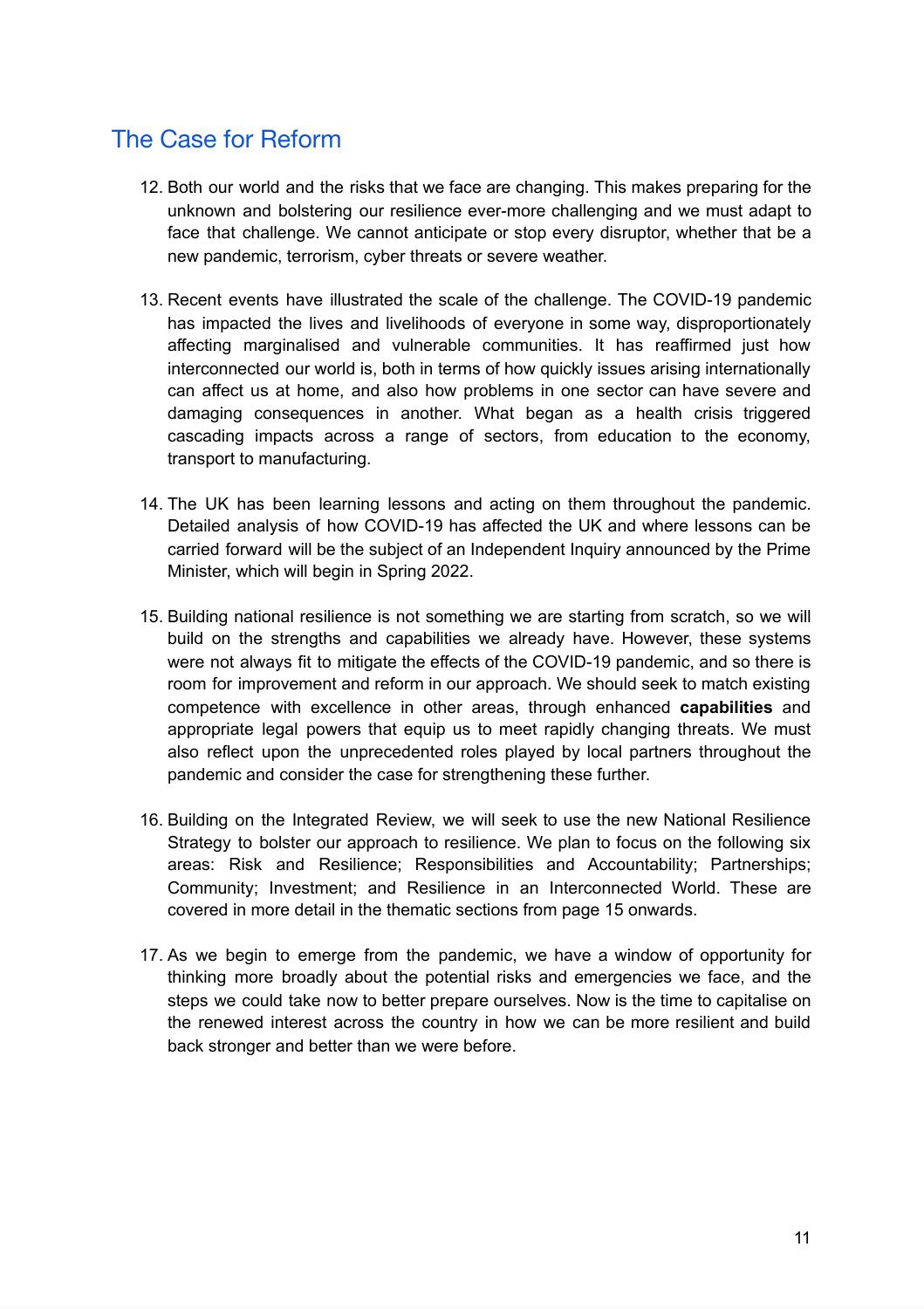# <span id="page-10-0"></span>The Case for Reform

- 12. Both our world and the risks that we face are changing. This makes preparing for the unknown and bolstering our resilience ever-more challenging and we must adapt to face that challenge. We cannot anticipate or stop every disruptor, whether that be a new pandemic, terrorism, cyber threats or severe weather.
- 13. Recent events have illustrated the scale of the challenge. The COVID-19 pandemic has impacted the lives and livelihoods of everyone in some way, disproportionately affecting marginalised and vulnerable communities. It has reaffirmed just how interconnected our world is, both in terms of how quickly issues arising internationally can affect us at home, and also how problems in one sector can have severe and damaging consequences in another. What began as a health crisis triggered cascading impacts across a range of sectors, from education to the economy, transport to manufacturing.
- 14. The UK has been learning lessons and acting on them throughout the pandemic. Detailed analysis of how COVID-19 has affected the UK and where lessons can be carried forward will be the subject of an Independent Inquiry announced by the Prime Minister, which will begin in Spring 2022.
- 15. Building national resilience is not something we are starting from scratch, so we will build on the strengths and capabilities we already have. However, these systems were not always fit to mitigate the effects of the COVID-19 pandemic, and so there is room for improvement and reform in our approach. We should seek to match existing competence with excellence in other areas, through enhanced **capabilities** and appropriate legal powers that equip us to meet rapidly changing threats. We must also reflect upon the unprecedented roles played by local partners throughout the pandemic and consider the case for strengthening these further.
- 16. Building on the Integrated Review, we will seek to use the new National Resilience Strategy to bolster our approach to resilience. We plan to focus on the following six areas: Risk and Resilience; Responsibilities and Accountability; Partnerships; Community; Investment; and Resilience in an Interconnected World. These are covered in more detail in the thematic sections from page 15 onwards.
- 17. As we begin to emerge from the pandemic, we have a window of opportunity for thinking more broadly about the potential risks and emergencies we face, and the steps we could take now to better prepare ourselves. Now is the time to capitalise on the renewed interest across the country in how we can be more resilient and build back stronger and better than we were before.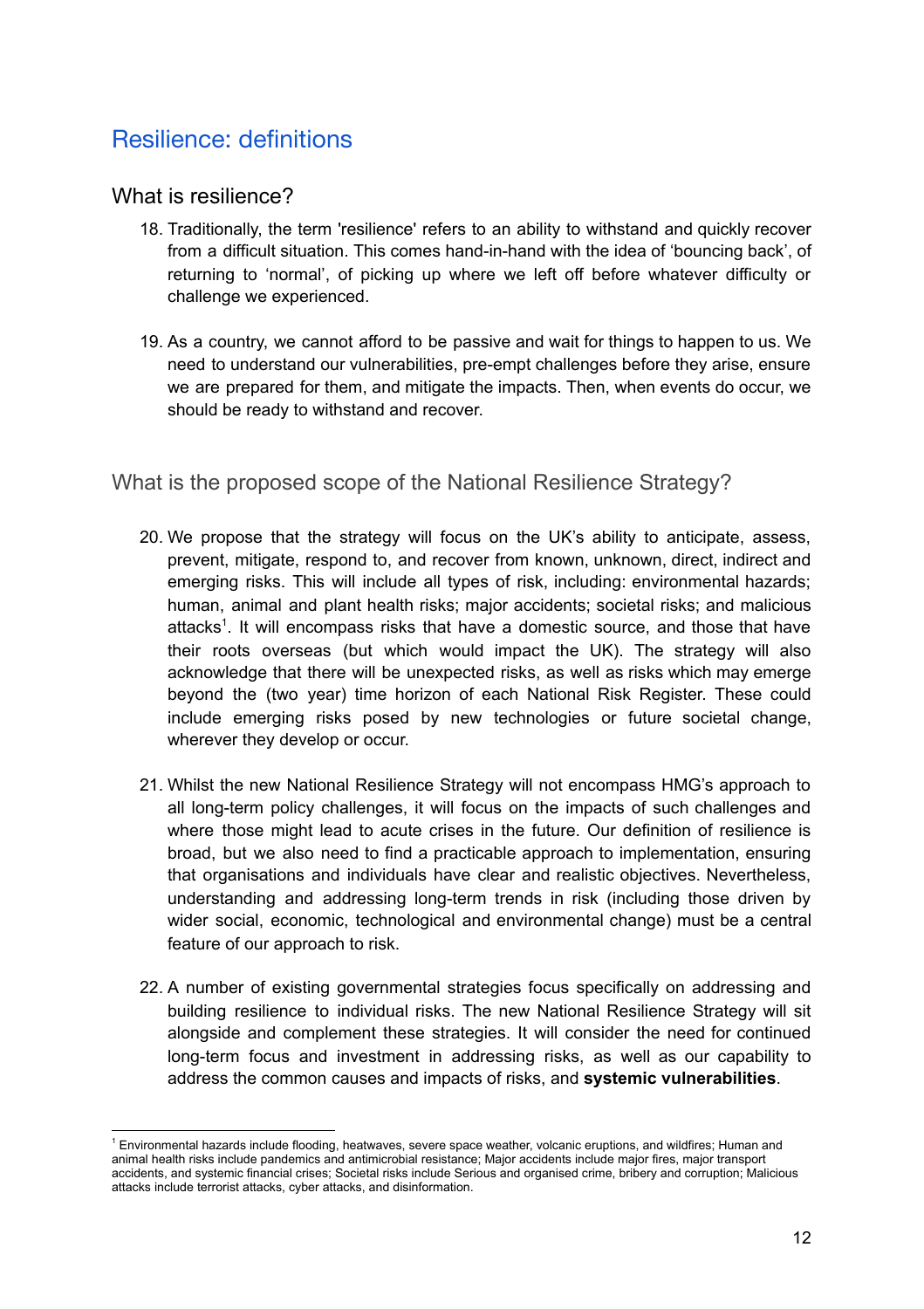# <span id="page-11-0"></span>Resilience: definitions

#### <span id="page-11-1"></span>What is resilience?

- 18. Traditionally, the term 'resilience' refers to an ability to withstand and quickly recover from a difficult situation. This comes hand-in-hand with the idea of 'bouncing back', of returning to 'normal', of picking up where we left off before whatever difficulty or challenge we experienced.
- 19. As a country, we cannot afford to be passive and wait for things to happen to us. We need to understand our vulnerabilities, pre-empt challenges before they arise, ensure we are prepared for them, and mitigate the impacts. Then, when events do occur, we should be ready to withstand and recover.

#### <span id="page-11-2"></span>What is the proposed scope of the National Resilience Strategy?

- 20. We propose that the strategy will focus on the UK's ability to anticipate, assess, prevent, mitigate, respond to, and recover from known, unknown, direct, indirect and emerging risks. This will include all types of risk, including: environmental hazards; human, animal and plant health risks; major accidents; societal risks; and malicious attacks<sup>1</sup>. It will encompass risks that have a domestic source, and those that have their roots overseas (but which would impact the UK). The strategy will also acknowledge that there will be unexpected risks, as well as risks which may emerge beyond the (two year) time horizon of each National Risk Register. These could include emerging risks posed by new technologies or future societal change, wherever they develop or occur.
- 21. Whilst the new National Resilience Strategy will not encompass HMG's approach to all long-term policy challenges, it will focus on the impacts of such challenges and where those might lead to acute crises in the future. Our definition of resilience is broad, but we also need to find a practicable approach to implementation, ensuring that organisations and individuals have clear and realistic objectives. Nevertheless, understanding and addressing long-term trends in risk (including those driven by wider social, economic, technological and environmental change) must be a central feature of our approach to risk.
- 22. A number of existing governmental strategies focus specifically on addressing and building resilience to individual risks. The new National Resilience Strategy will sit alongside and complement these strategies. It will consider the need for continued long-term focus and investment in addressing risks, as well as our capability to address the common causes and impacts of risks, and **systemic vulnerabilities**.

<sup>1</sup> Environmental hazards include flooding, heatwaves, severe space weather, volcanic eruptions, and wildfires; Human and animal health risks include pandemics and antimicrobial resistance; Major accidents include major fires, major transport accidents, and systemic financial crises; Societal risks include Serious and organised crime, bribery and corruption; Malicious attacks include terrorist attacks, cyber attacks, and disinformation.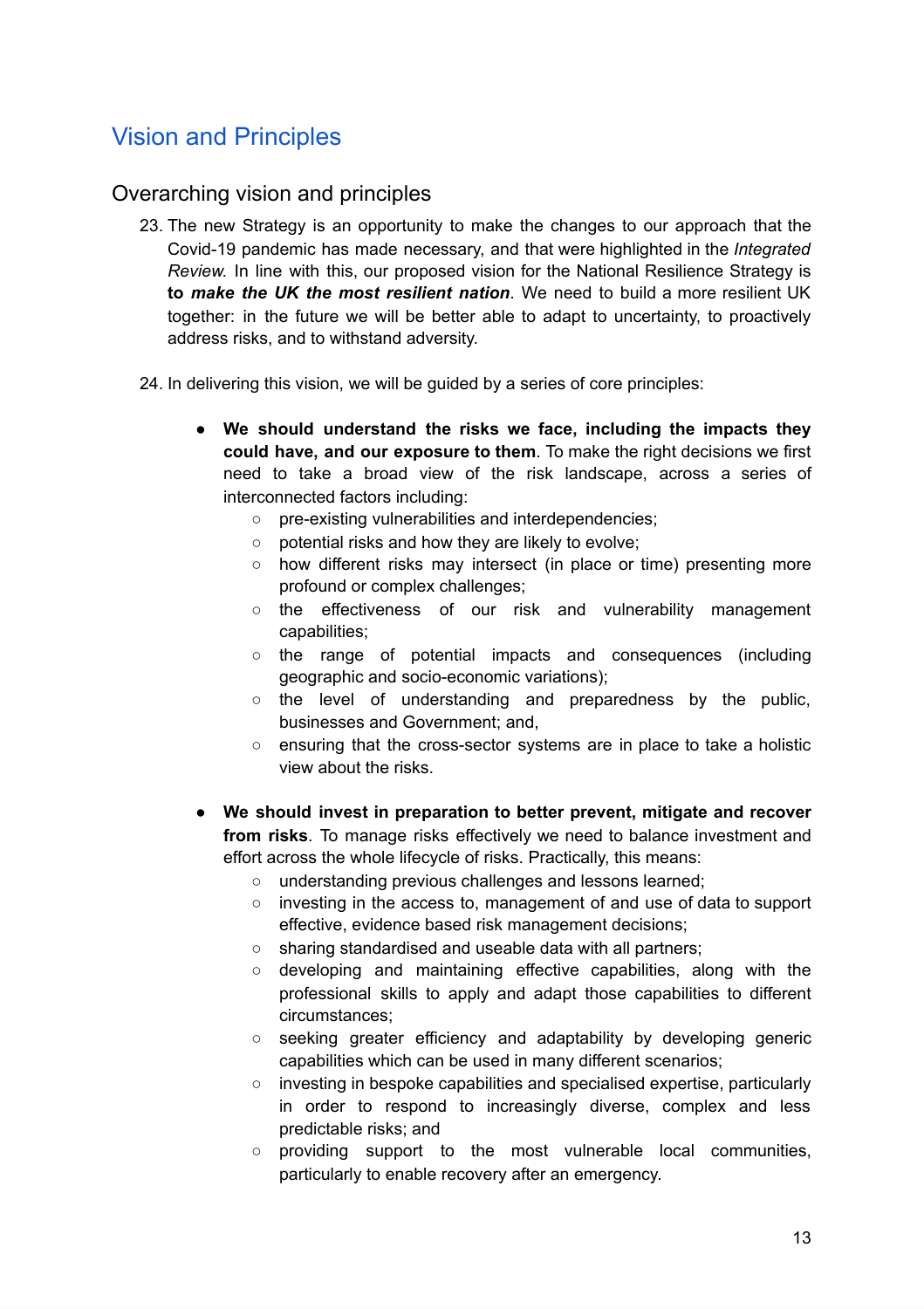# <span id="page-12-0"></span>Vision and Principles

#### <span id="page-12-1"></span>Overarching vision and principles

- 23. The new Strategy is an opportunity to make the changes to our approach that the Covid-19 pandemic has made necessary, and that were highlighted in the *Integrated Review.* In line with this, our proposed vision for the National Resilience Strategy is **to** *make the UK the most resilient nation*. We need to build a more resilient UK together: in the future we will be better able to adapt to uncertainty, to proactively address risks, and to withstand adversity.
- 24. In delivering this vision, we will be guided by a series of core principles:
	- **We should understand the risks we face, including the impacts they could have, and our exposure to them**. To make the right decisions we first need to take a broad view of the risk landscape, across a series of interconnected factors including:
		- pre-existing vulnerabilities and interdependencies;
		- potential risks and how they are likely to evolve;
		- how different risks may intersect (in place or time) presenting more profound or complex challenges;
		- the effectiveness of our risk and vulnerability management capabilities;
		- the range of potential impacts and consequences (including geographic and socio-economic variations);
		- the level of understanding and preparedness by the public, businesses and Government; and,
		- ensuring that the cross-sector systems are in place to take a holistic view about the risks.
	- **We should invest in preparation to better prevent, mitigate and recover from risks**. To manage risks effectively we need to balance investment and effort across the whole lifecycle of risks. Practically, this means:
		- understanding previous challenges and lessons learned;
		- investing in the access to, management of and use of data to support effective, evidence based risk management decisions;
		- sharing standardised and useable data with all partners;
		- developing and maintaining effective capabilities, along with the professional skills to apply and adapt those capabilities to different circumstances;
		- seeking greater efficiency and adaptability by developing generic capabilities which can be used in many different scenarios;
		- investing in bespoke capabilities and specialised expertise, particularly in order to respond to increasingly diverse, complex and less predictable risks; and
		- providing support to the most vulnerable local communities, particularly to enable recovery after an emergency.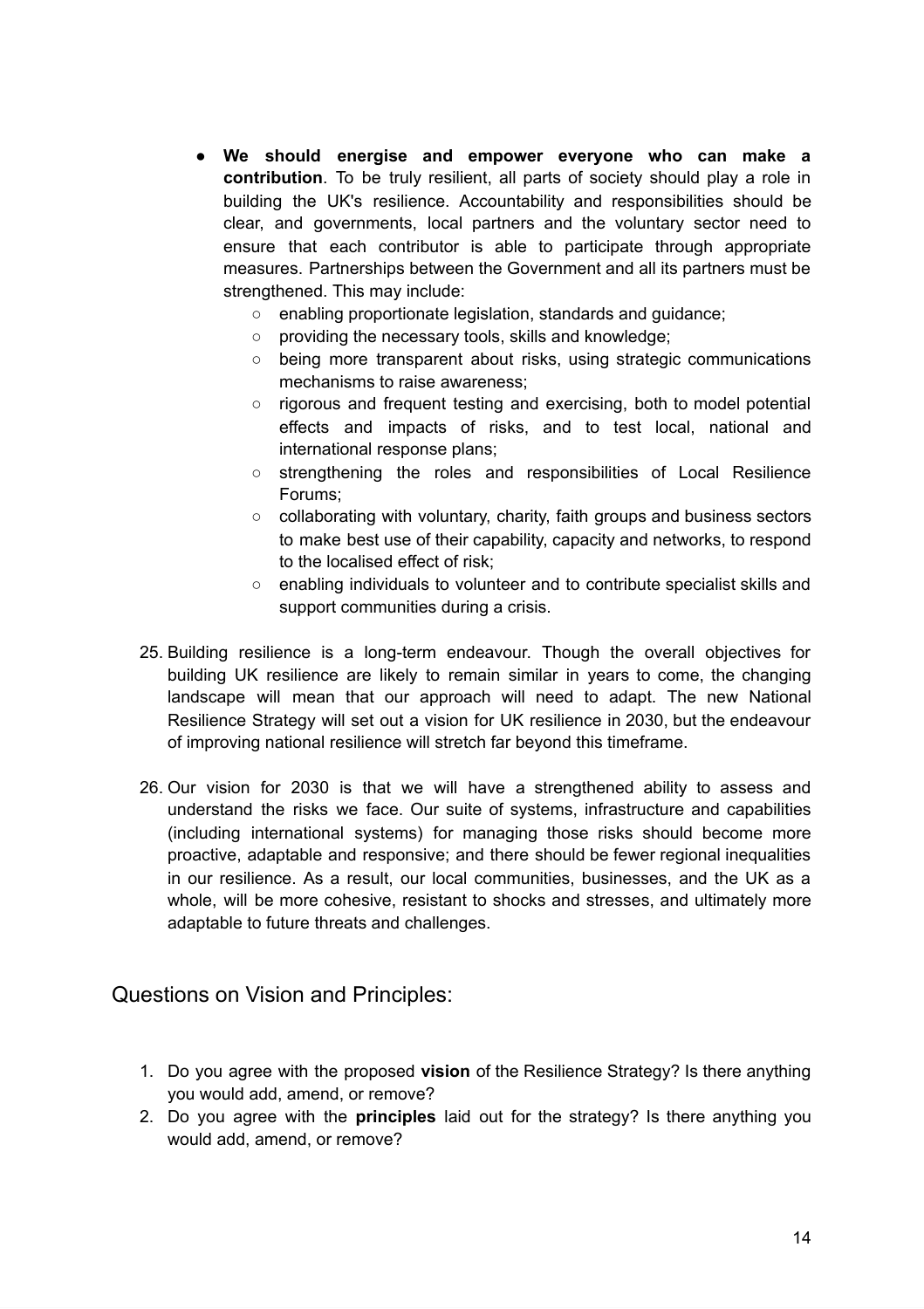- **We should energise and empower everyone who can make a contribution**. To be truly resilient, all parts of society should play a role in building the UK's resilience. Accountability and responsibilities should be clear, and governments, local partners and the voluntary sector need to ensure that each contributor is able to participate through appropriate measures. Partnerships between the Government and all its partners must be strengthened. This may include:
	- enabling proportionate legislation, standards and guidance;
	- providing the necessary tools, skills and knowledge;
	- being more transparent about risks, using strategic communications mechanisms to raise awareness;
	- rigorous and frequent testing and exercising, both to model potential effects and impacts of risks, and to test local, national and international response plans;
	- strengthening the roles and responsibilities of Local Resilience Forums;
	- collaborating with voluntary, charity, faith groups and business sectors to make best use of their capability, capacity and networks, to respond to the localised effect of risk;
	- enabling individuals to volunteer and to contribute specialist skills and support communities during a crisis.
- 25. Building resilience is a long-term endeavour. Though the overall objectives for building UK resilience are likely to remain similar in years to come, the changing landscape will mean that our approach will need to adapt. The new National Resilience Strategy will set out a vision for UK resilience in 2030, but the endeavour of improving national resilience will stretch far beyond this timeframe.
- 26. Our vision for 2030 is that we will have a strengthened ability to assess and understand the risks we face. Our suite of systems, infrastructure and capabilities (including international systems) for managing those risks should become more proactive, adaptable and responsive; and there should be fewer regional inequalities in our resilience. As a result, our local communities, businesses, and the UK as a whole, will be more cohesive, resistant to shocks and stresses, and ultimately more adaptable to future threats and challenges.

Questions on Vision and Principles:

- 1. Do you agree with the proposed **vision** of the Resilience Strategy? Is there anything you would add, amend, or remove?
- 2. Do you agree with the **principles** laid out for the strategy? Is there anything you would add, amend, or remove?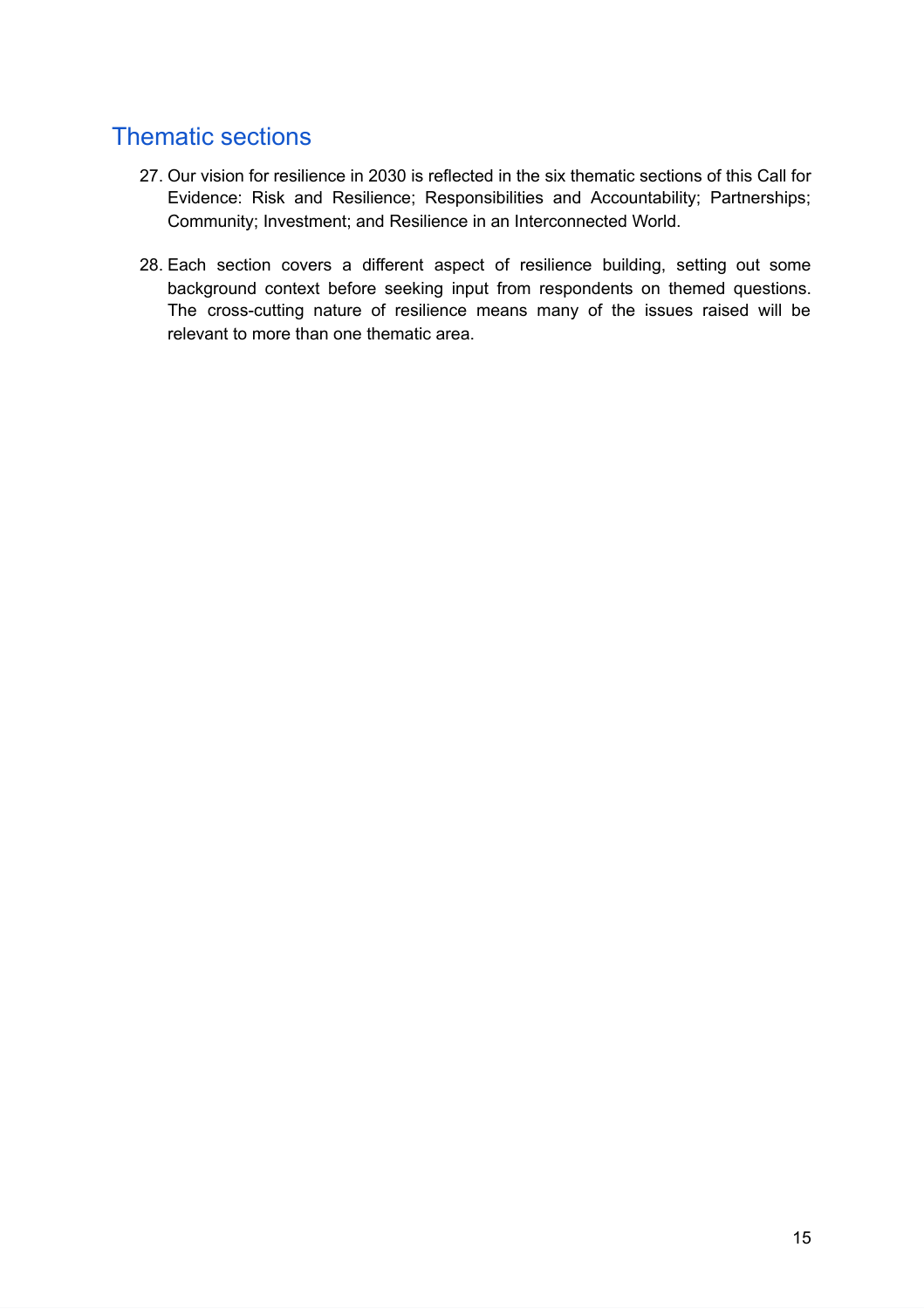# <span id="page-14-0"></span>Thematic sections

- 27. Our vision for resilience in 2030 is reflected in the six thematic sections of this Call for Evidence: Risk and Resilience; Responsibilities and Accountability; Partnerships; Community; Investment; and Resilience in an Interconnected World.
- 28. Each section covers a different aspect of resilience building, setting out some background context before seeking input from respondents on themed questions. The cross-cutting nature of resilience means many of the issues raised will be relevant to more than one thematic area.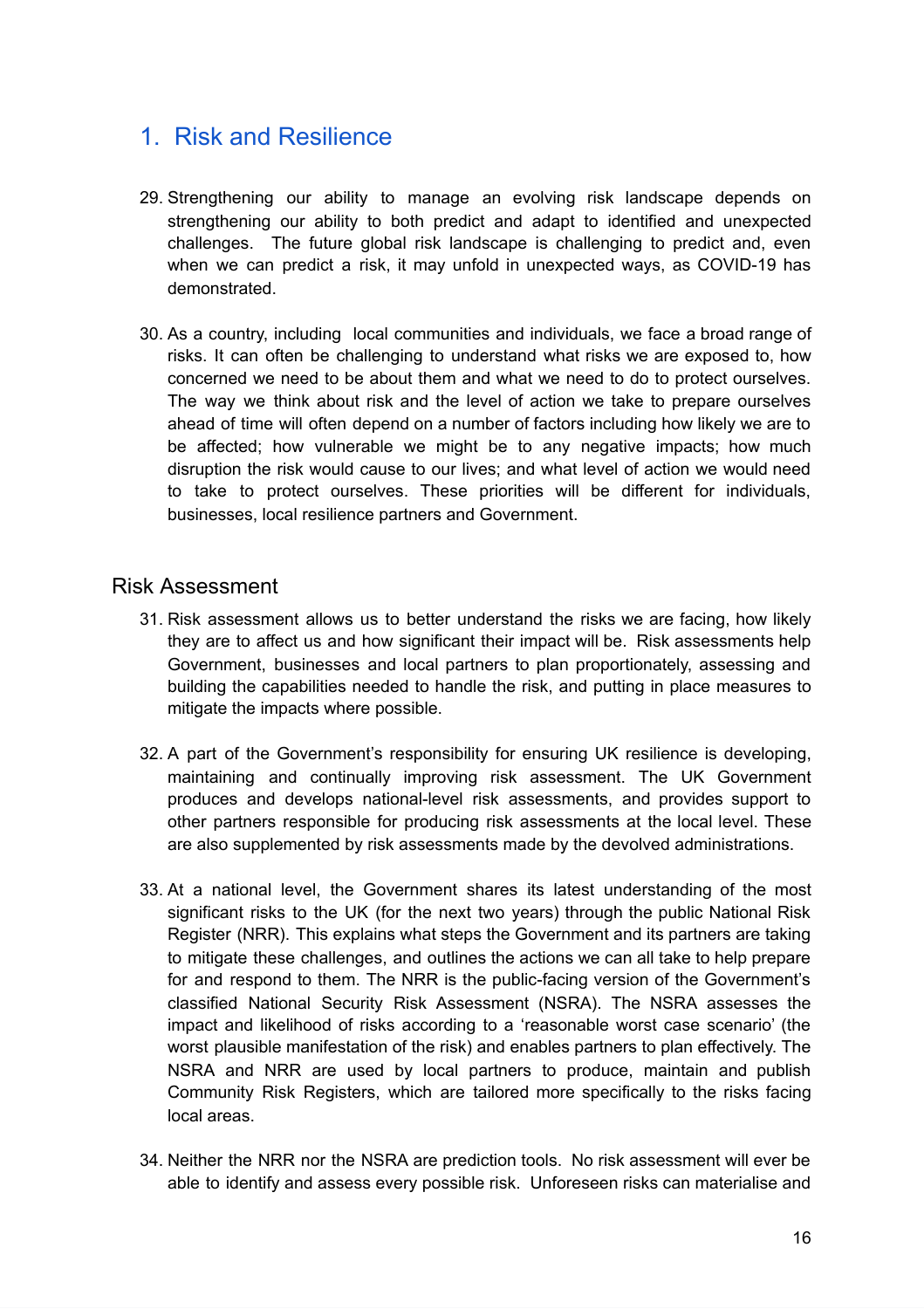# <span id="page-15-0"></span>1. Risk and Resilience

- 29. Strengthening our ability to manage an evolving risk landscape depends on strengthening our ability to both predict and adapt to identified and unexpected challenges. The future global risk landscape is challenging to predict and, even when we can predict a risk, it may unfold in unexpected ways, as COVID-19 has demonstrated.
- 30. As a country, including local communities and individuals, we face a broad range of risks. It can often be challenging to understand what risks we are exposed to, how concerned we need to be about them and what we need to do to protect ourselves. The way we think about risk and the level of action we take to prepare ourselves ahead of time will often depend on a number of factors including how likely we are to be affected; how vulnerable we might be to any negative impacts; how much disruption the risk would cause to our lives; and what level of action we would need to take to protect ourselves. These priorities will be different for individuals, businesses, local resilience partners and Government.

#### <span id="page-15-1"></span>Risk Assessment

- 31. Risk assessment allows us to better understand the risks we are facing, how likely they are to affect us and how significant their impact will be. Risk assessments help Government, businesses and local partners to plan proportionately, assessing and building the capabilities needed to handle the risk, and putting in place measures to mitigate the impacts where possible.
- 32. A part of the Government's responsibility for ensuring UK resilience is developing, maintaining and continually improving risk assessment. The UK Government produces and develops national-level risk assessments, and provides support to other partners responsible for producing risk assessments at the local level. These are also supplemented by risk assessments made by the devolved administrations.
- 33. At a national level, the Government shares its latest understanding of the most significant risks to the UK (for the next two years) through the public [National](https://assets.publishing.service.gov.uk/government/uploads/system/uploads/attachment_data/file/952959/6.6920_CO_CCS_s_National_Risk_Register_2020_11-1-21-FINAL.pdf) Risk [Register](https://assets.publishing.service.gov.uk/government/uploads/system/uploads/attachment_data/file/952959/6.6920_CO_CCS_s_National_Risk_Register_2020_11-1-21-FINAL.pdf) (NRR). This explains what steps the Government and its partners are taking to mitigate these challenges, and outlines the actions we can all take to help prepare for and respond to them. The NRR is the public-facing version of the Government's classified National Security Risk Assessment (NSRA). The NSRA assesses the impact and likelihood of risks according to a 'reasonable worst case scenario' (the worst plausible manifestation of the risk) and enables partners to plan effectively. The NSRA and NRR are used by local partners to produce, maintain and publish Community Risk Registers, which are tailored more specifically to the risks facing local areas.
- 34. Neither the NRR nor the NSRA are prediction tools. No risk assessment will ever be able to identify and assess every possible risk. Unforeseen risks can materialise and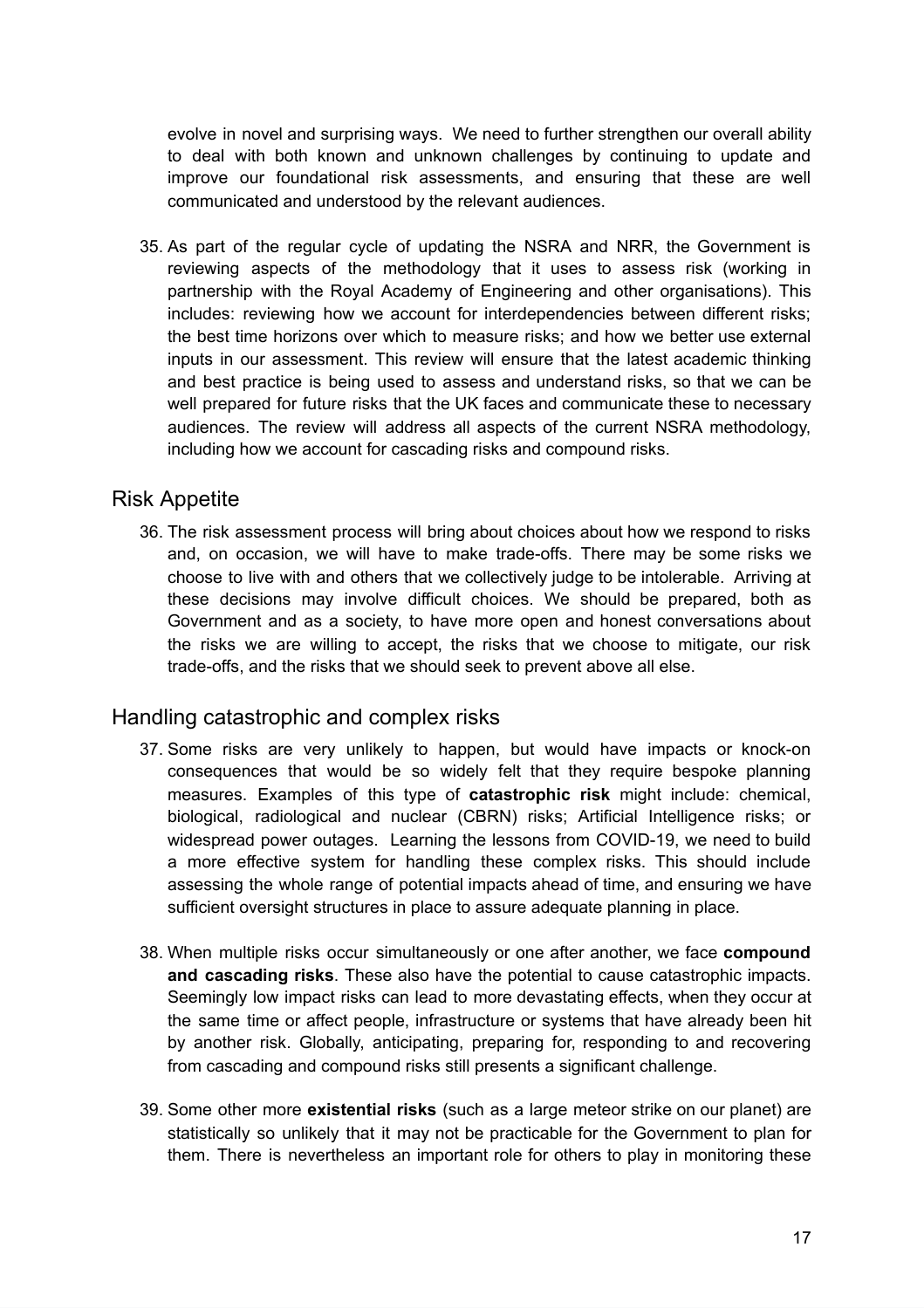evolve in novel and surprising ways. We need to further strengthen our overall ability to deal with both known and unknown challenges by continuing to update and improve our foundational risk assessments, and ensuring that these are well communicated and understood by the relevant audiences.

35. As part of the regular cycle of updating the NSRA and NRR, the Government is reviewing aspects of the methodology that it uses to assess risk (working in partnership with the Royal Academy of Engineering and other organisations). This includes: reviewing how we account for interdependencies between different risks; the best time horizons over which to measure risks; and how we better use external inputs in our assessment. This review will ensure that the latest academic thinking and best practice is being used to assess and understand risks, so that we can be well prepared for future risks that the UK faces and communicate these to necessary audiences. The review will address all aspects of the current NSRA methodology, including how we account for cascading risks and compound risks.

#### <span id="page-16-0"></span>Risk Appetite

36. The risk assessment process will bring about choices about how we respond to risks and, on occasion, we will have to make trade-offs. There may be some risks we choose to live with and others that we collectively judge to be intolerable. Arriving at these decisions may involve difficult choices. We should be prepared, both as Government and as a society, to have more open and honest conversations about the risks we are willing to accept, the risks that we choose to mitigate, our risk trade-offs, and the risks that we should seek to prevent above all else.

#### <span id="page-16-1"></span>Handling catastrophic and complex risks

- 37. Some risks are very unlikely to happen, but would have impacts or knock-on consequences that would be so widely felt that they require bespoke planning measures. Examples of this type of **catastrophic risk** might include: chemical, biological, radiological and nuclear (CBRN) risks; Artificial Intelligence risks; or widespread power outages. Learning the lessons from COVID-19, we need to build a more effective system for handling these complex risks. This should include assessing the whole range of potential impacts ahead of time, and ensuring we have sufficient oversight structures in place to assure adequate planning in place.
- 38. When multiple risks occur simultaneously or one after another, we face **compound and cascading risks**. These also have the potential to cause catastrophic impacts. Seemingly low impact risks can lead to more devastating effects, when they occur at the same time or affect people, infrastructure or systems that have already been hit by another risk. Globally, anticipating, preparing for, responding to and recovering from cascading and compound risks still presents a significant challenge.
- 39. Some other more **existential risks** (such as a large meteor strike on our planet) are statistically so unlikely that it may not be practicable for the Government to plan for them. There is nevertheless an important role for others to play in monitoring these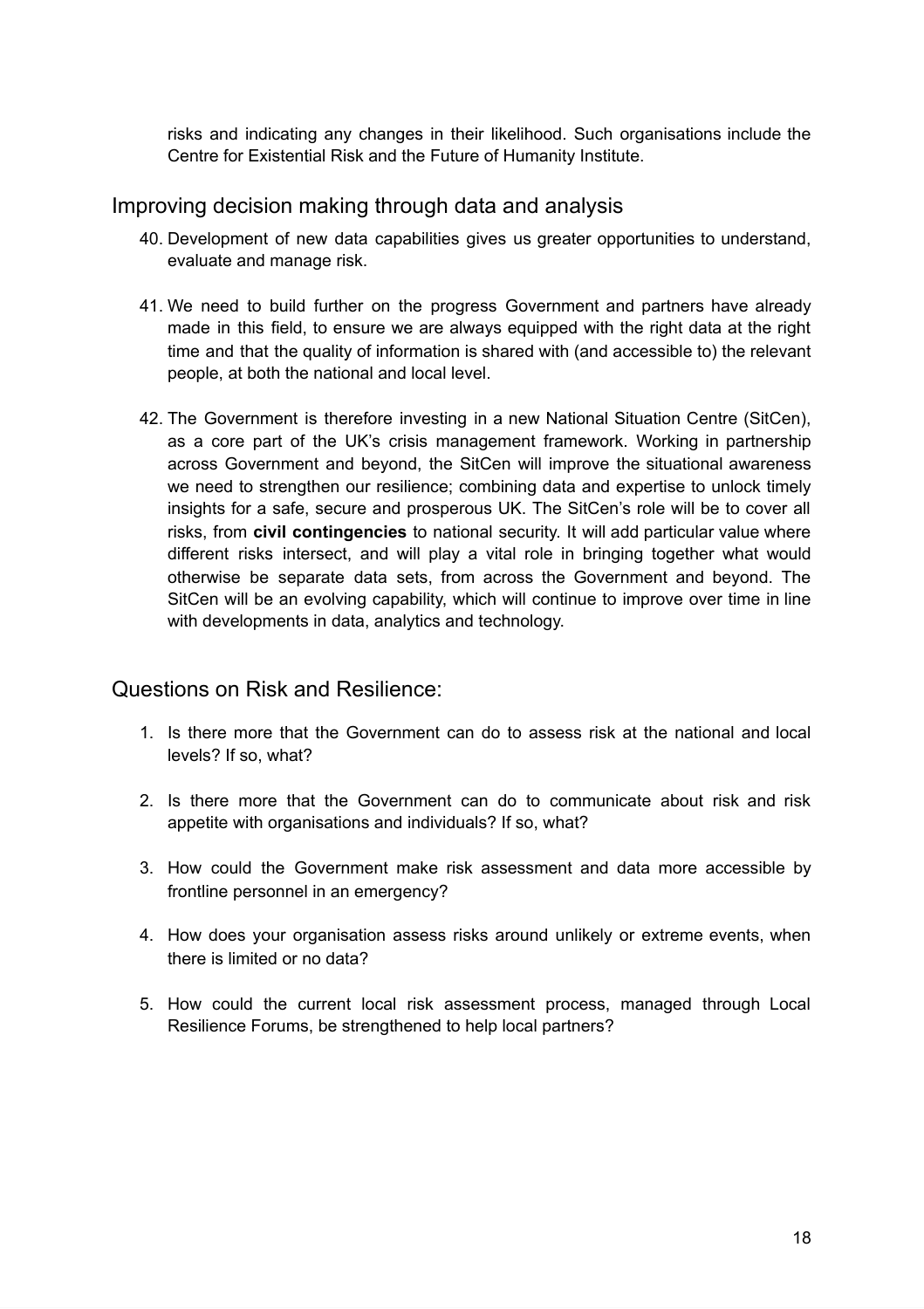risks and indicating any changes in their likelihood. Such organisations include the Centre for Existential Risk and the Future of Humanity Institute.

#### <span id="page-17-0"></span>Improving decision making through data and analysis

- 40. Development of new data capabilities gives us greater opportunities to understand, evaluate and manage risk.
- 41. We need to build further on the progress Government and partners have already made in this field, to ensure we are always equipped with the right data at the right time and that the quality of information is shared with (and accessible to) the relevant people, at both the national and local level.
- 42. The Government is therefore investing in a new National Situation Centre (SitCen), as a core part of the UK's crisis management framework. Working in partnership across Government and beyond, the SitCen will improve the situational awareness we need to strengthen our resilience; combining data and expertise to unlock timely insights for a safe, secure and prosperous UK. The SitCen's role will be to cover all risks, from **civil contingencies** to national security. It will add particular value where different risks intersect, and will play a vital role in bringing together what would otherwise be separate data sets, from across the Government and beyond. The SitCen will be an evolving capability, which will continue to improve over time in line with developments in data, analytics and technology.

#### Questions on Risk and Resilience:

- 1. Is there more that the Government can do to assess risk at the national and local levels? If so, what?
- 2. Is there more that the Government can do to communicate about risk and risk appetite with organisations and individuals? If so, what?
- 3. How could the Government make risk assessment and data more accessible by frontline personnel in an emergency?
- 4. How does your organisation assess risks around unlikely or extreme events, when there is limited or no data?
- <span id="page-17-1"></span>5. How could the current local risk assessment process, managed through Local Resilience Forums, be strengthened to help local partners?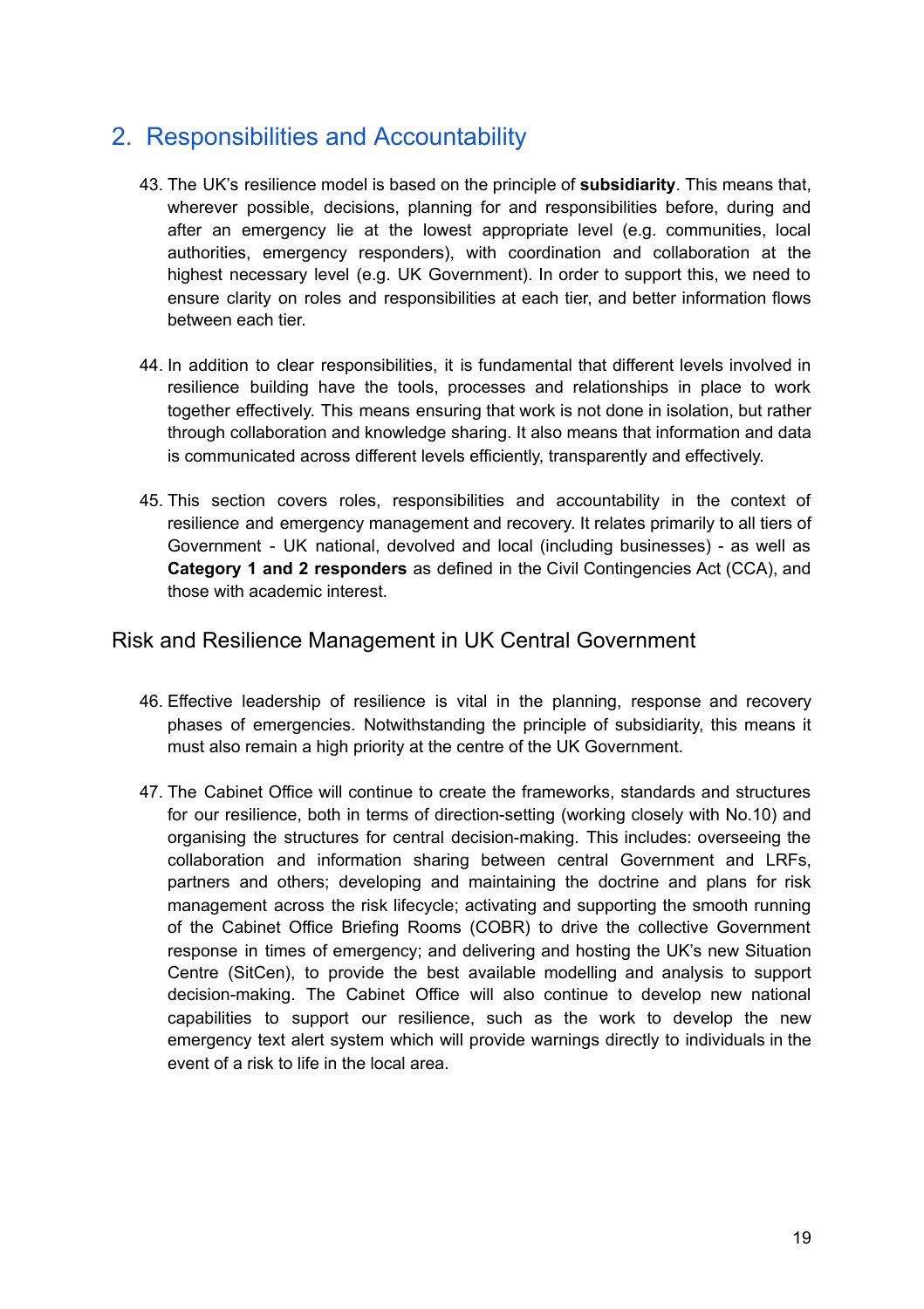# 2. Responsibilities and Accountability

- 43. The UK's resilience model is based on the principle of **subsidiarity**. This means that, wherever possible, decisions, planning for and responsibilities before, during and after an emergency lie at the lowest appropriate level (e.g. communities, local authorities, emergency responders), with coordination and collaboration at the highest necessary level (e.g. UK Government). In order to support this, we need to ensure clarity on roles and responsibilities at each tier, and better information flows between each tier.
- 44. In addition to clear responsibilities, it is fundamental that different levels involved in resilience building have the tools, processes and relationships in place to work together effectively. This means ensuring that work is not done in isolation, but rather through collaboration and knowledge sharing. It also means that information and data is communicated across different levels efficiently, transparently and effectively.
- 45. This section covers roles, responsibilities and accountability in the context of resilience and emergency management and recovery. It relates primarily to all tiers of Government - UK national, devolved and local (including businesses) - as well as **Category 1 and 2 responders** as defined in the Civil Contingencies Act (CCA), and those with academic interest.

#### <span id="page-18-0"></span>Risk and Resilience Management in UK Central Government

- 46. Effective leadership of resilience is vital in the planning, response and recovery phases of emergencies. Notwithstanding the principle of subsidiarity, this means it must also remain a high priority at the centre of the UK Government.
- 47. The Cabinet Office will continue to create the frameworks, standards and structures for our resilience, both in terms of direction-setting (working closely with No.10) and organising the structures for central decision-making. This includes: overseeing the collaboration and information sharing between central Government and LRFs, partners and others; developing and maintaining the doctrine and plans for risk management across the risk lifecycle; activating and supporting the smooth running of the Cabinet Office Briefing Rooms (COBR) to drive the collective Government response in times of emergency; and delivering and hosting the UK's new Situation Centre (SitCen), to provide the best available modelling and analysis to support decision-making. The Cabinet Office will also continue to develop new national capabilities to support our resilience, such as the work to develop the new emergency text alert system which will provide warnings directly to individuals in the event of a risk to life in the local area.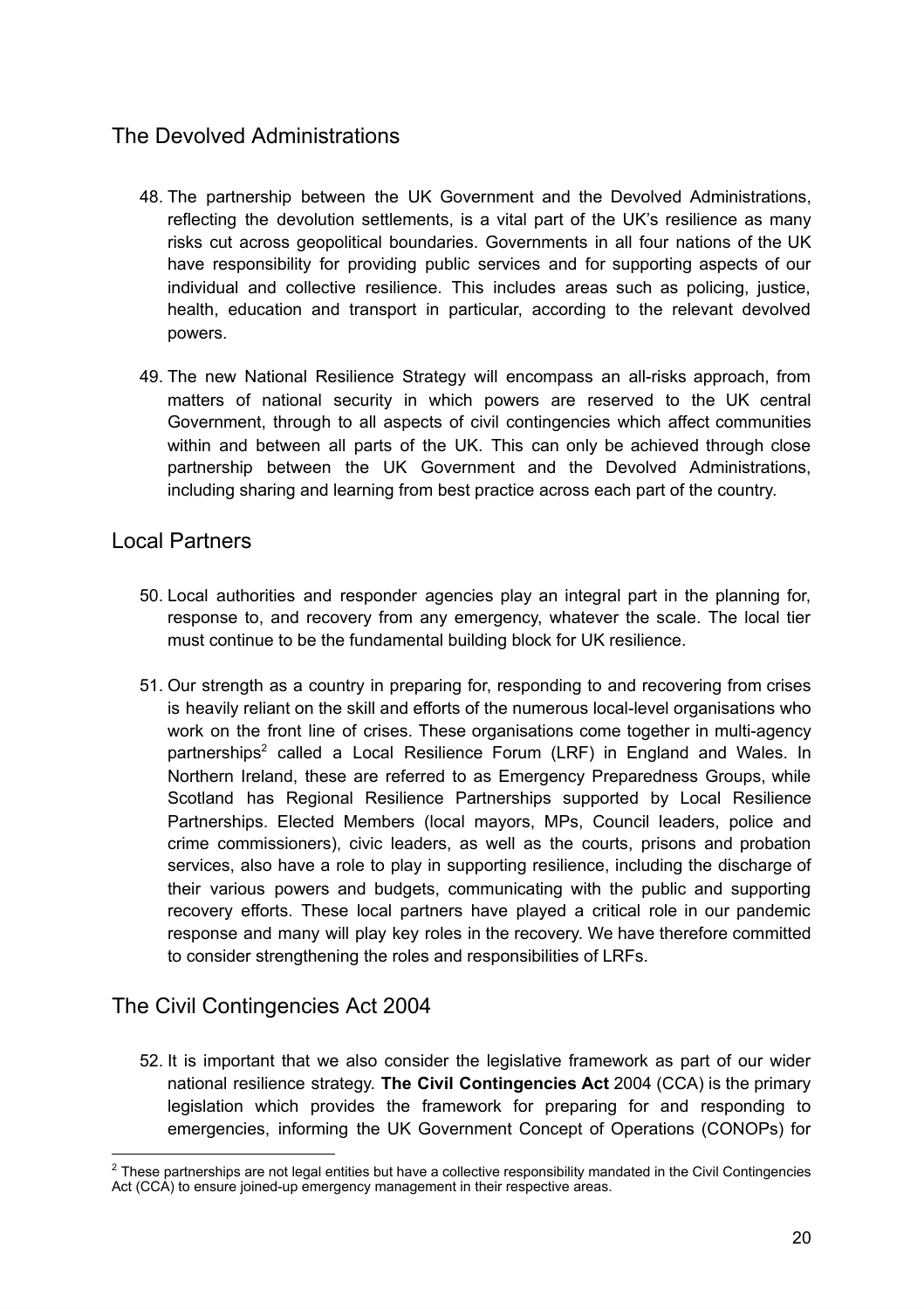### <span id="page-19-0"></span>The Devolved Administrations

- 48. The partnership between the UK Government and the Devolved Administrations, reflecting the devolution settlements, is a vital part of the UK's resilience as many risks cut across geopolitical boundaries. Governments in all four nations of the UK have responsibility for providing public services and for supporting aspects of our individual and collective resilience. This includes areas such as policing, justice, health, education and transport in particular, according to the relevant devolved powers.
- 49. The new National Resilience Strategy will encompass an all-risks approach, from matters of national security in which powers are reserved to the UK central Government, through to all aspects of civil contingencies which affect communities within and between all parts of the UK. This can only be achieved through close partnership between the UK Government and the Devolved Administrations, including sharing and learning from best practice across each part of the country.

#### <span id="page-19-1"></span>Local Partners

- 50. Local authorities and responder agencies play an integral part in the planning for, response to, and recovery from any emergency, whatever the scale. The local tier must continue to be the fundamental building block for UK resilience.
- 51. Our strength as a country in preparing for, responding to and recovering from crises is heavily reliant on the skill and efforts of the numerous local-level organisations who work on the front line of crises. These organisations come together in multi-agency partnerships<sup>2</sup> called a Local Resilience Forum (LRF) in England and Wales. In Northern Ireland, these are referred to as Emergency Preparedness Groups, while Scotland has Regional Resilience Partnerships supported by Local Resilience Partnerships. Elected Members (local mayors, MPs, Council leaders, police and crime commissioners), civic leaders, as well as the courts, prisons and probation services, also have a role to play in supporting resilience, including the discharge of their various powers and budgets, communicating with the public and supporting recovery efforts. These local partners have played a critical role in our pandemic response and many will play key roles in the recovery. We have therefore committed to consider strengthening the roles and responsibilities of LRFs.

### <span id="page-19-2"></span>The Civil Contingencies Act 2004

52. It is important that we also consider the legislative framework as part of our wider national resilience strategy. **The Civil Contingencies Act** 2004 (CCA) is the primary legislation which provides the framework for preparing for and responding to emergencies, informing the UK Government Concept of Operations (CONOPs) for

 $2$  These partnerships are not legal entities but have a collective responsibility mandated in the Civil Contingencies Act (CCA) to ensure joined-up emergency management in their respective areas.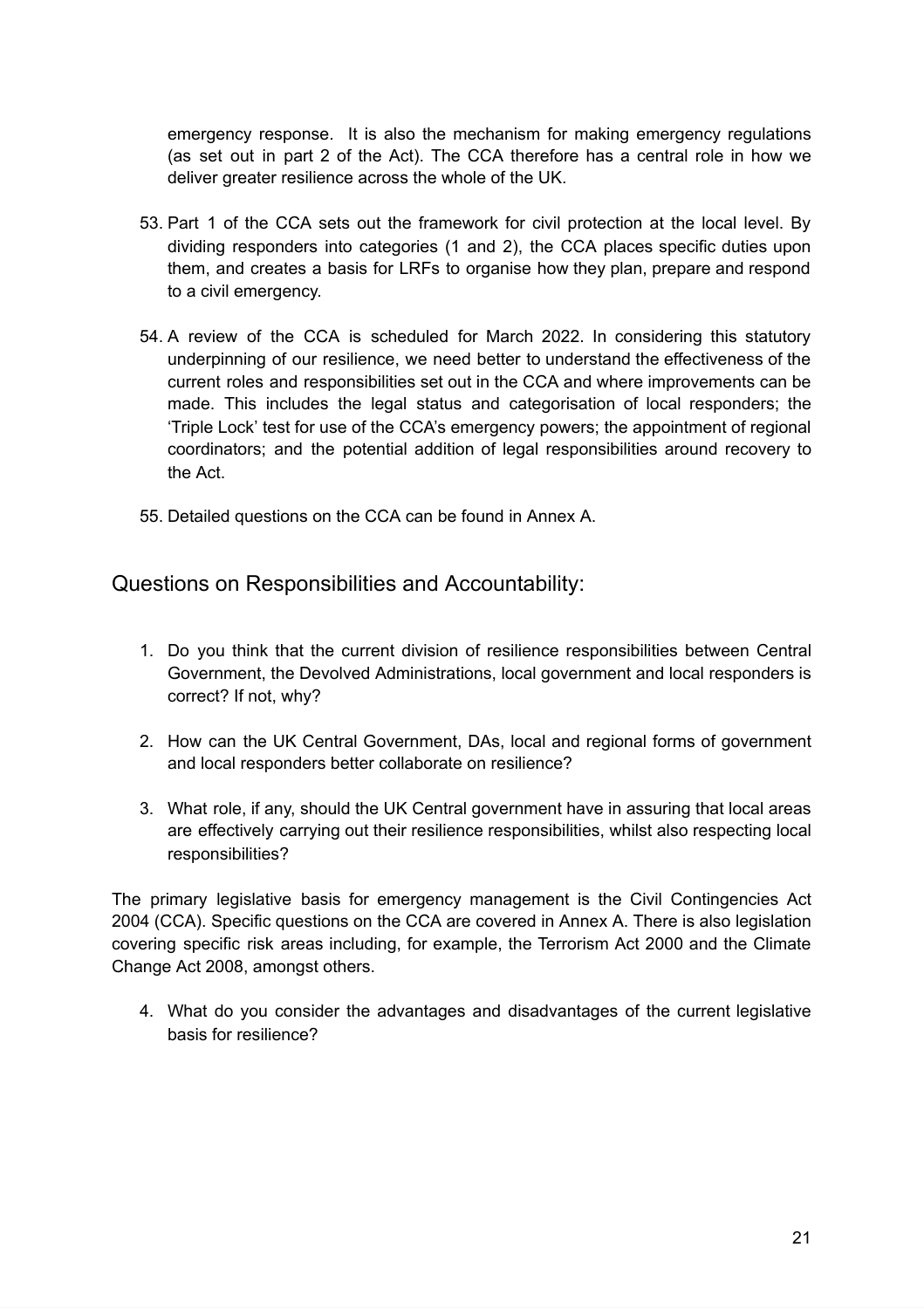emergency response. It is also the mechanism for making emergency regulations (as set out in part 2 of the Act). The CCA therefore has a central role in how we deliver greater resilience across the whole of the UK.

- 53. Part 1 of the CCA sets out the framework for civil protection at the local level. By dividing responders into categories (1 and 2), the CCA places specific duties upon them, and creates a basis for LRFs to organise how they plan, prepare and respond to a civil emergency.
- 54. A review of the CCA is scheduled for March 2022. In considering this statutory underpinning of our resilience, we need better to understand the effectiveness of the current roles and responsibilities set out in the CCA and where improvements can be made. This includes the legal status and categorisation of local responders; the 'Triple Lock' test for use of the CCA's emergency powers; the appointment of regional coordinators; and the potential addition of legal responsibilities around recovery to the Act.
- 55. Detailed questions on the CCA can be found in Annex A.

Questions on Responsibilities and Accountability:

- 1. Do you think that the current division of resilience responsibilities between Central Government, the Devolved Administrations, local government and local responders is correct? If not, why?
- 2. How can the UK Central Government, DAs, local and regional forms of government and local responders better collaborate on resilience?
- 3. What role, if any, should the UK Central government have in assuring that local areas are effectively carrying out their resilience responsibilities, whilst also respecting local responsibilities?

The primary legislative basis for emergency management is the Civil Contingencies Act 2004 (CCA). Specific questions on the CCA are covered in Annex A. There is also legislation covering specific risk areas including, for example, the Terrorism Act 2000 and the Climate Change Act 2008, amongst others.

4. What do you consider the advantages and disadvantages of the current legislative basis for resilience?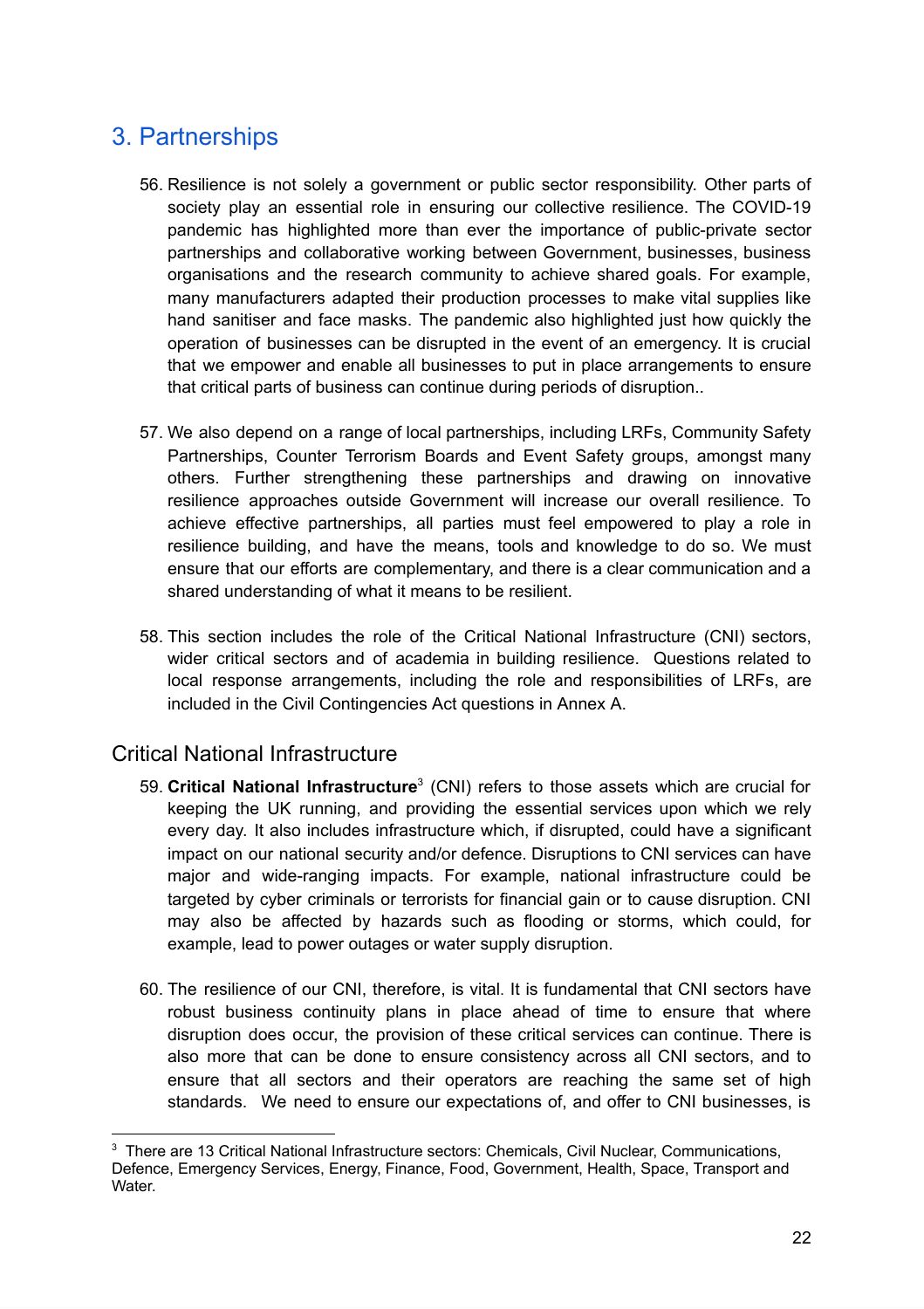# <span id="page-21-0"></span>3. Partnerships

- 56. Resilience is not solely a government or public sector responsibility. Other parts of society play an essential role in ensuring our collective resilience. The COVID-19 pandemic has highlighted more than ever the importance of public-private sector partnerships and collaborative working between Government, businesses, business organisations and the research community to achieve shared goals. For example, many manufacturers adapted their production processes to make vital supplies like hand sanitiser and face masks. The pandemic also highlighted just how quickly the operation of businesses can be disrupted in the event of an emergency. It is crucial that we empower and enable all businesses to put in place arrangements to ensure that critical parts of business can continue during periods of disruption..
- 57. We also depend on a range of local partnerships, including LRFs, Community Safety Partnerships, Counter Terrorism Boards and Event Safety groups, amongst many others. Further strengthening these partnerships and drawing on innovative resilience approaches outside Government will increase our overall resilience. To achieve effective partnerships, all parties must feel empowered to play a role in resilience building, and have the means, tools and knowledge to do so. We must ensure that our efforts are complementary, and there is a clear communication and a shared understanding of what it means to be resilient.
- 58. This section includes the role of the Critical National Infrastructure (CNI) sectors, wider critical sectors and of academia in building resilience. Questions related to local response arrangements, including the role and responsibilities of LRFs, are included in the Civil Contingencies Act questions in Annex A.

#### <span id="page-21-1"></span>Critical National Infrastructure

- 59. **Critical National Infrastructure** 3 (CNI) refers to those assets which are crucial for keeping the UK running, and providing the essential services upon which we rely every day. It also includes infrastructure which, if disrupted, could have a significant impact on our national security and/or defence. Disruptions to CNI services can have major and wide-ranging impacts. For example, national infrastructure could be targeted by cyber criminals or terrorists for financial gain or to cause disruption. CNI may also be affected by hazards such as flooding or storms, which could, for example, lead to power outages or water supply disruption.
- 60. The resilience of our CNI, therefore, is vital. It is fundamental that CNI sectors have robust business continuity plans in place ahead of time to ensure that where disruption does occur, the provision of these critical services can continue. There is also more that can be done to ensure consistency across all CNI sectors, and to ensure that all sectors and their operators are reaching the same set of high standards. We need to ensure our expectations of, and offer to CNI businesses, is

<sup>&</sup>lt;sup>3</sup> There are 13 Critical National Infrastructure sectors: Chemicals, Civil Nuclear, Communications, Defence, Emergency Services, Energy, Finance, Food, Government, Health, Space, Transport and Water.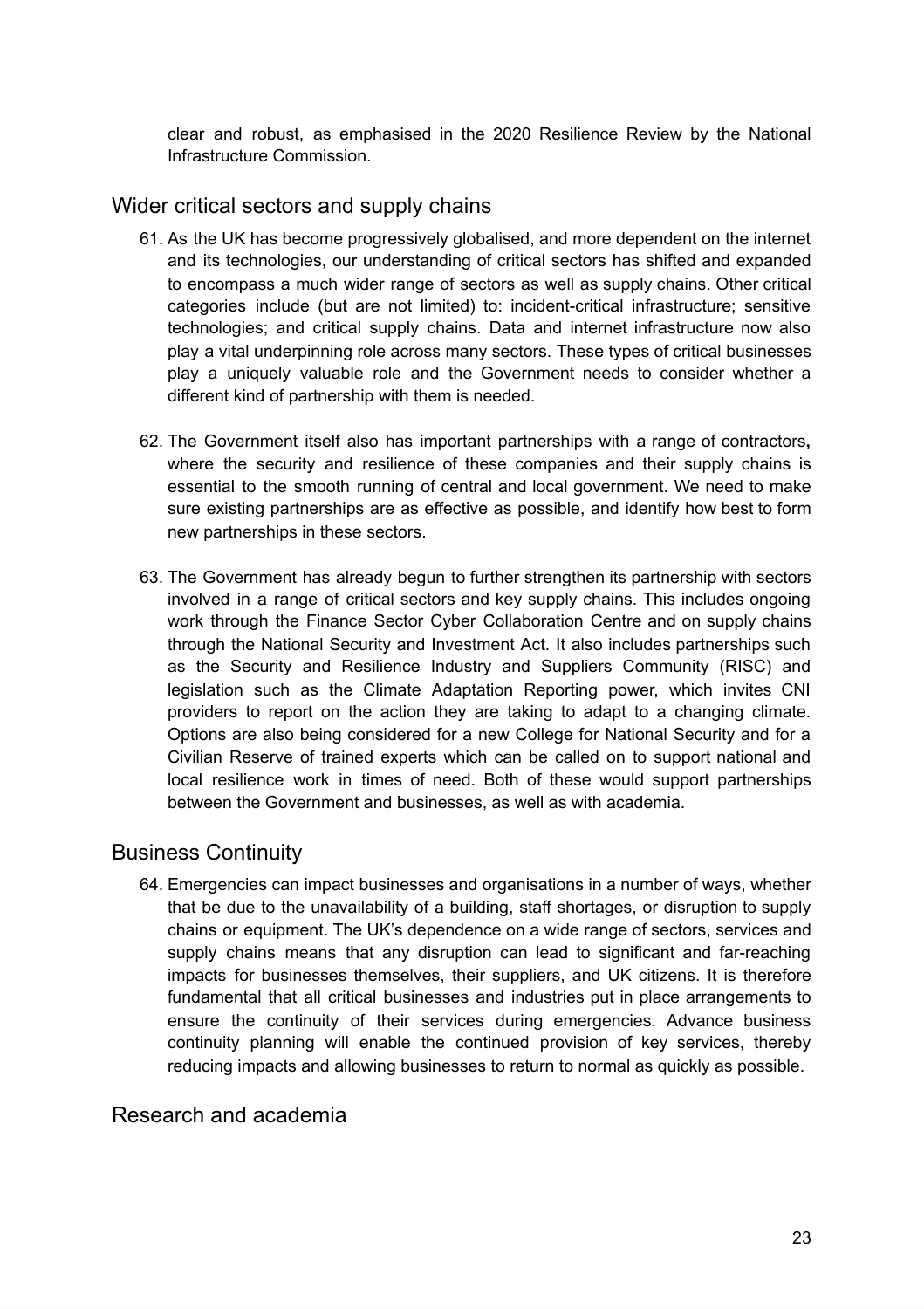clear and robust, as emphasised in the 2020 Resilience Review by the National Infrastructure Commission.

#### <span id="page-22-0"></span>Wider critical sectors and supply chains

- 61. As the UK has become progressively globalised, and more dependent on the internet and its technologies, our understanding of critical sectors has shifted and expanded to encompass a much wider range of sectors as well as supply chains. Other critical categories include (but are not limited) to: incident-critical infrastructure; sensitive technologies; and critical supply chains. Data and internet infrastructure now also play a vital underpinning role across many sectors. These types of critical businesses play a uniquely valuable role and the Government needs to consider whether a different kind of partnership with them is needed.
- 62. The Government itself also has important partnerships with a range of contractors**,** where the security and resilience of these companies and their supply chains is essential to the smooth running of central and local government. We need to make sure existing partnerships are as effective as possible, and identify how best to form new partnerships in these sectors.
- 63. The Government has already begun to further strengthen its partnership with sectors involved in a range of critical sectors and key supply chains. This includes ongoing work through the Finance Sector Cyber Collaboration Centre and on supply chains through the National Security and Investment Act. It also includes partnerships such as the Security and Resilience Industry and Suppliers Community (RISC) and legislation such as the Climate Adaptation Reporting power, which invites CNI providers to report on the action they are taking to adapt to a changing climate. Options are also being considered for a new College for National Security and for a Civilian Reserve of trained experts which can be called on to support national and local resilience work in times of need. Both of these would support partnerships between the Government and businesses, as well as with academia.

#### Business Continuity

64. Emergencies can impact businesses and organisations in a number of ways, whether that be due to the unavailability of a building, staff shortages, or disruption to supply chains or equipment. The UK's dependence on a wide range of sectors, services and supply chains means that any disruption can lead to significant and far-reaching impacts for businesses themselves, their suppliers, and UK citizens. It is therefore fundamental that all critical businesses and industries put in place arrangements to ensure the continuity of their services during emergencies. Advance business continuity planning will enable the continued provision of key services, thereby reducing impacts and allowing businesses to return to normal as quickly as possible.

#### <span id="page-22-1"></span>Research and academia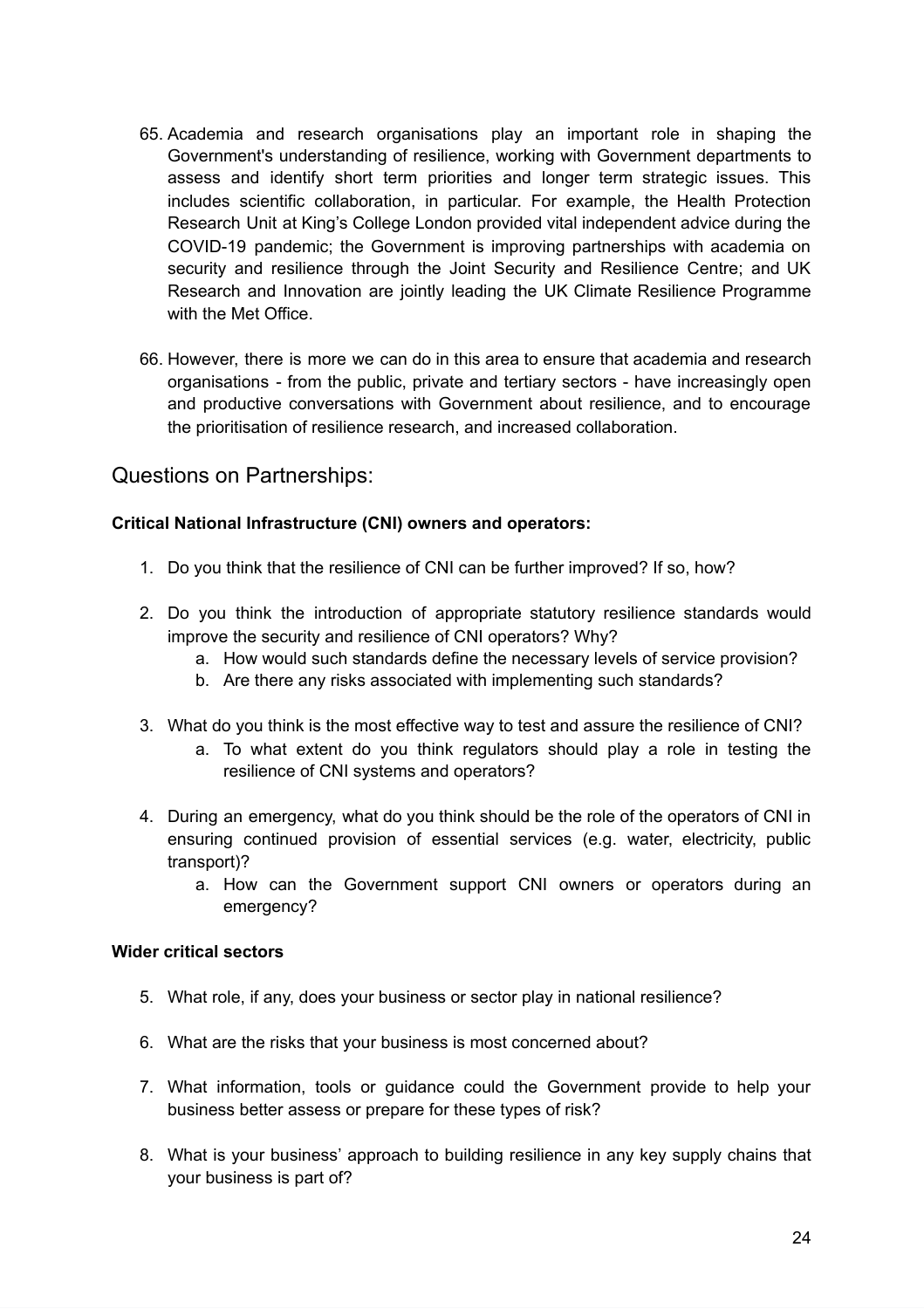- 65. Academia and research organisations play an important role in shaping the Government's understanding of resilience, working with Government departments to assess and identify short term priorities and longer term strategic issues. This includes scientific collaboration, in particular. For example, the Health Protection Research Unit at King's College London provided vital independent advice during the COVID-19 pandemic; the Government is improving partnerships with academia on security and resilience through the Joint Security and Resilience Centre; and UK Research and Innovation are jointly leading the UK Climate Resilience Programme with the Met Office.
- 66. However, there is more we can do in this area to ensure that academia and research organisations - from the public, private and tertiary sectors - have increasingly open and productive conversations with Government about resilience, and to encourage the prioritisation of resilience research, and increased collaboration.

#### Questions on Partnerships:

#### **Critical National Infrastructure (CNI) owners and operators:**

- 1. Do you think that the resilience of CNI can be further improved? If so, how?
- 2. Do you think the introduction of appropriate statutory resilience standards would improve the security and resilience of CNI operators? Why?
	- a. How would such standards define the necessary levels of service provision?
	- b. Are there any risks associated with implementing such standards?
- 3. What do you think is the most effective way to test and assure the resilience of CNI?
	- a. To what extent do you think regulators should play a role in testing the resilience of CNI systems and operators?
- 4. During an emergency, what do you think should be the role of the operators of CNI in ensuring continued provision of essential services (e.g. water, electricity, public transport)?
	- a. How can the Government support CNI owners or operators during an emergency?

#### **Wider critical sectors**

- 5. What role, if any, does your business or sector play in national resilience?
- 6. What are the risks that your business is most concerned about?
- 7. What information, tools or guidance could the Government provide to help your business better assess or prepare for these types of risk?
- 8. What is your business' approach to building resilience in any key supply chains that your business is part of?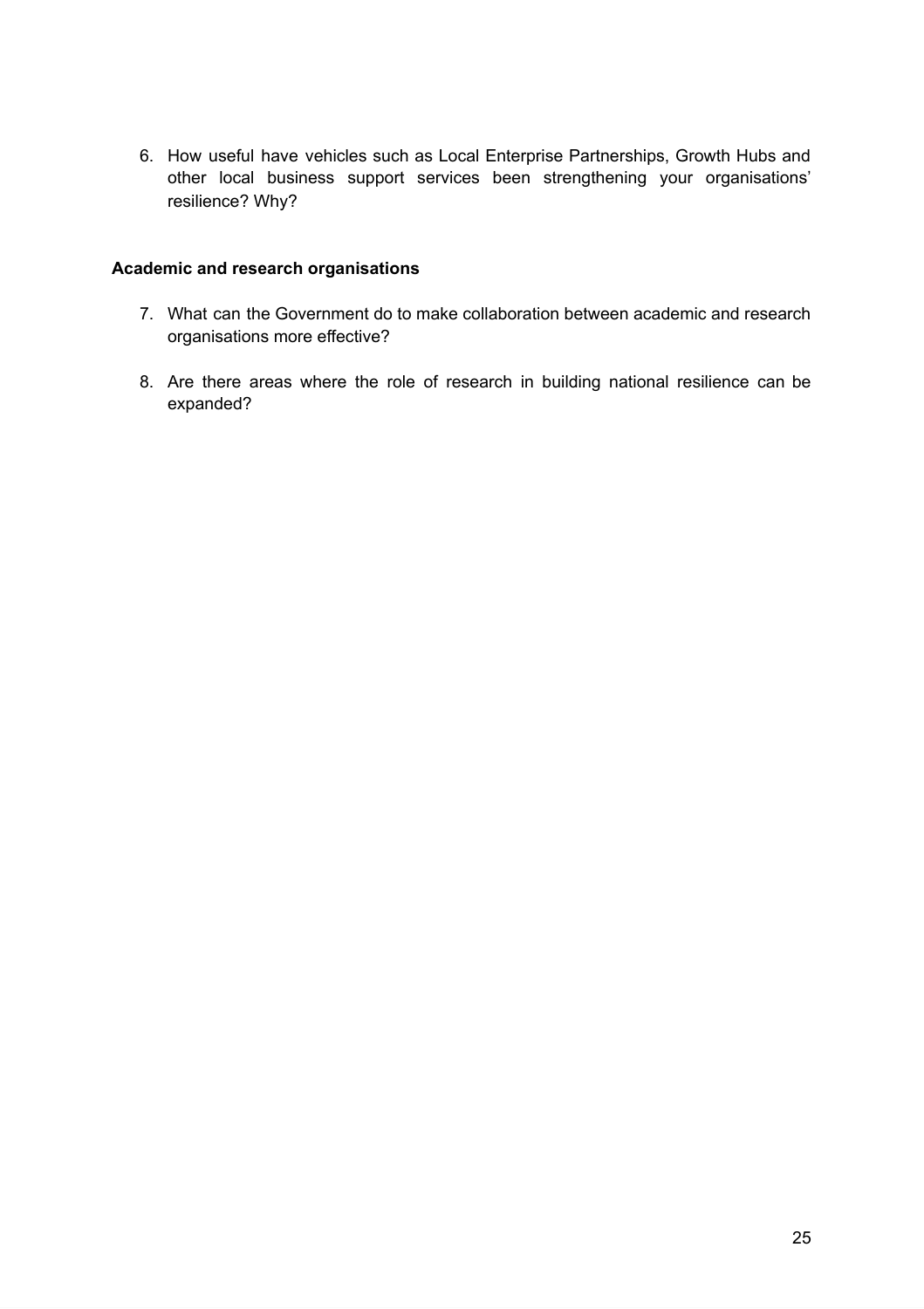6. How useful have vehicles such as Local Enterprise Partnerships, Growth Hubs and other local business support services been strengthening your organisations' resilience? Why?

#### **Academic and research organisations**

- 7. What can the Government do to make collaboration between academic and research organisations more effective?
- 8. Are there areas where the role of research in building national resilience can be expanded?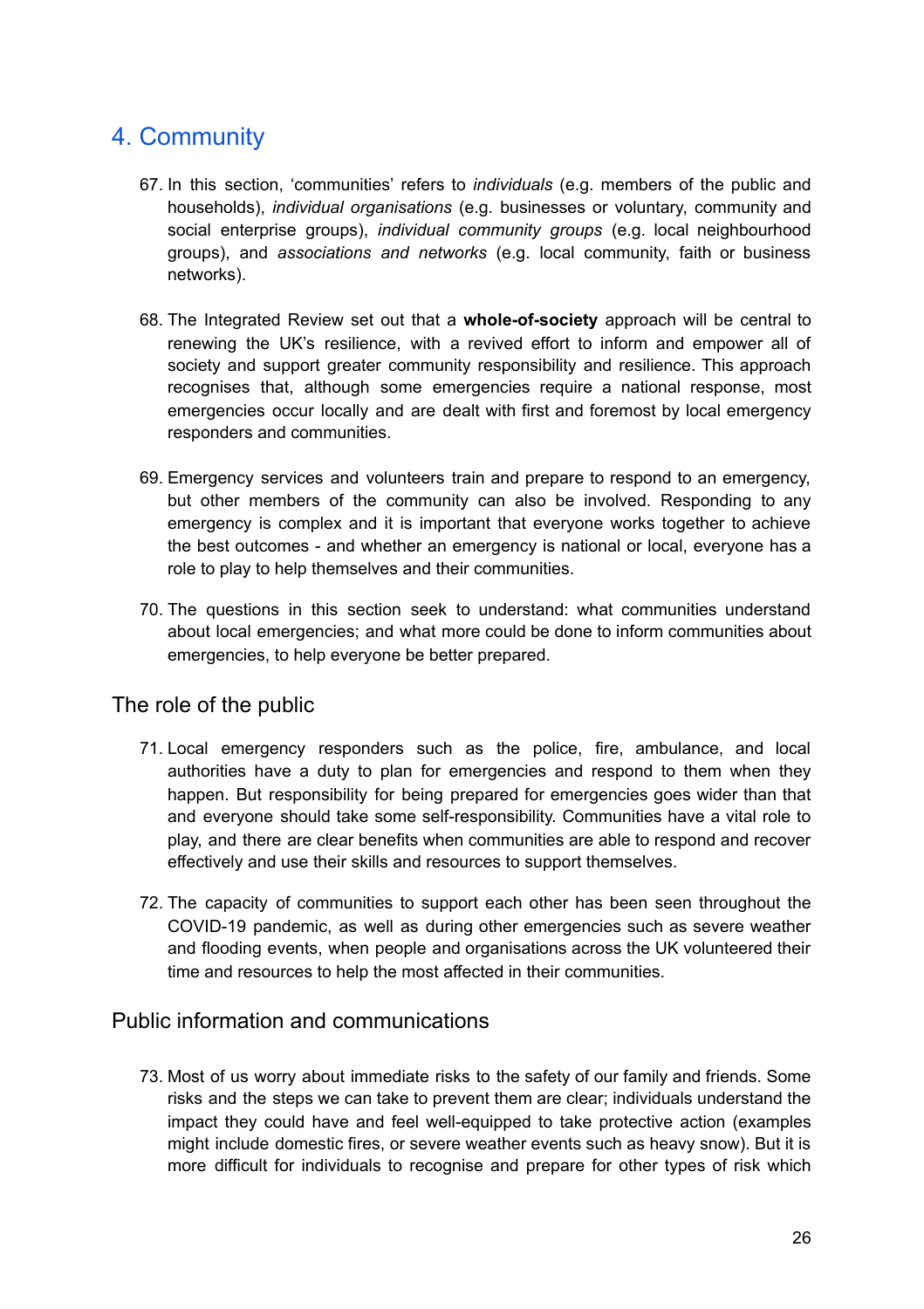# <span id="page-25-0"></span>4. Community

- 67. In this section, 'communities' refers to *individuals* (e.g. members of the public and households), *individual organisations* (e.g. businesses or voluntary, community and social enterprise groups), *individual community groups* (e.g. local neighbourhood groups), and *associations and networks* (e.g. local community, faith or business networks).
- 68. The Integrated Review set out that a **whole-of-society** approach will be central to renewing the UK's resilience, with a revived effort to inform and empower all of society and support greater community responsibility and resilience. This approach recognises that, although some emergencies require a national response, most emergencies occur locally and are dealt with first and foremost by local emergency responders and communities.
- 69. Emergency services and volunteers train and prepare to respond to an emergency, but other members of the community can also be involved. Responding to any emergency is complex and it is important that everyone works together to achieve the best outcomes - and whether an emergency is national or local, everyone has a role to play to help themselves and their communities.
- 70. The questions in this section seek to understand: what communities understand about local emergencies; and what more could be done to inform communities about emergencies, to help everyone be better prepared.

#### <span id="page-25-1"></span>The role of the public

- 71. Local emergency responders such as the police, fire, ambulance, and local authorities have a duty to plan for emergencies and respond to them when they happen. But responsibility for being prepared for emergencies goes wider than that and everyone should take some self-responsibility. Communities have a vital role to play, and there are clear benefits when communities are able to respond and recover effectively and use their skills and resources to support themselves.
- 72. The capacity of communities to support each other has been seen throughout the COVID-19 pandemic, as well as during other emergencies such as severe weather and flooding events, when people and organisations across the UK volunteered their time and resources to help the most affected in their communities.

#### <span id="page-25-2"></span>Public information and communications

73. Most of us worry about immediate risks to the safety of our family and friends. Some risks and the steps we can take to prevent them are clear; individuals understand the impact they could have and feel well-equipped to take protective action (examples might include domestic fires, or severe weather events such as heavy snow). But it is more difficult for individuals to recognise and prepare for other types of risk which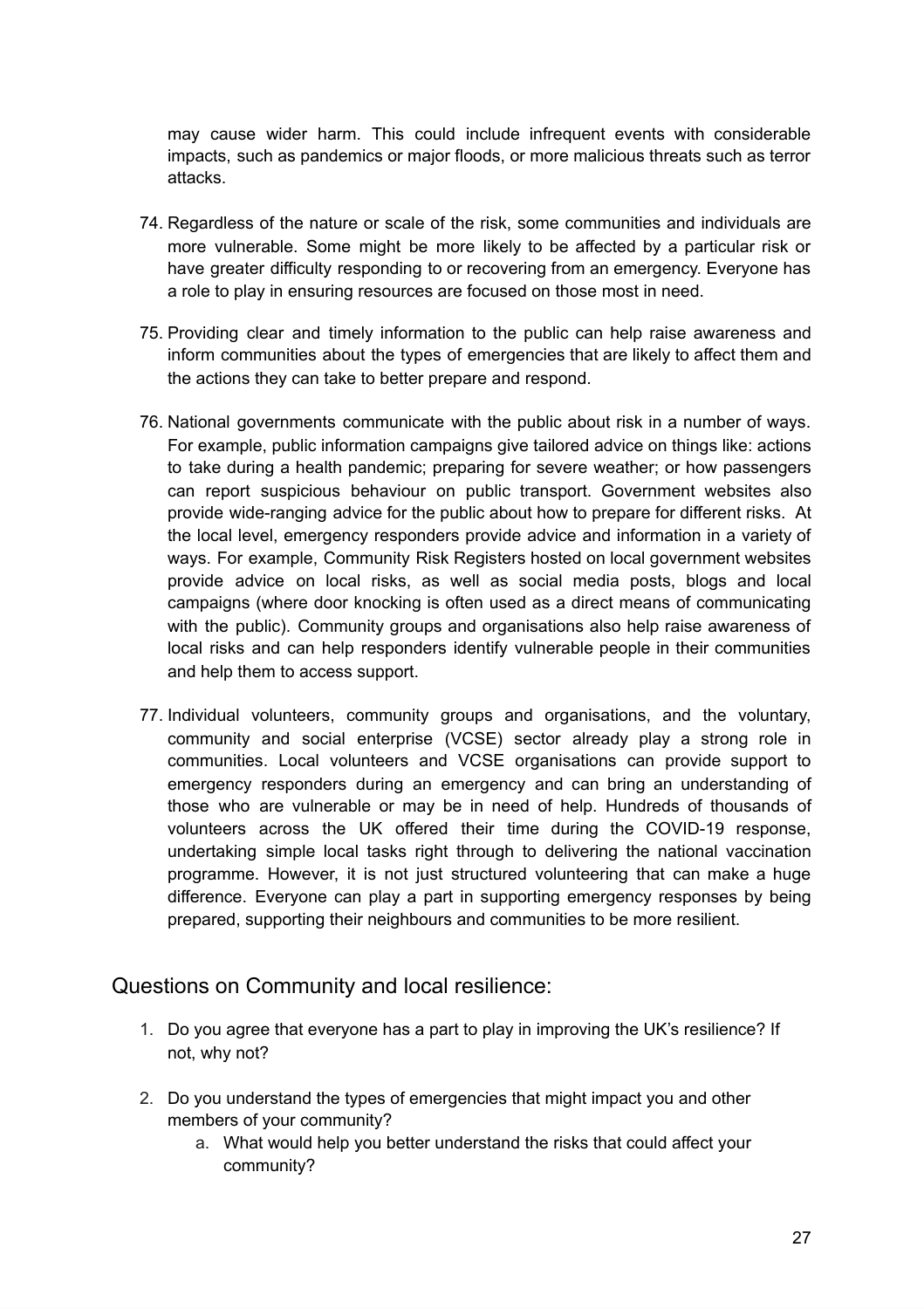may cause wider harm. This could include infrequent events with considerable impacts, such as pandemics or major floods, or more malicious threats such as terror attacks.

- 74. Regardless of the nature or scale of the risk, some communities and individuals are more vulnerable. Some might be more likely to be affected by a particular risk or have greater difficulty responding to or recovering from an emergency. Everyone has a role to play in ensuring resources are focused on those most in need.
- 75. Providing clear and timely information to the public can help raise awareness and inform communities about the types of emergencies that are likely to affect them and the actions they can take to better prepare and respond.
- 76. National governments communicate with the public about risk in a number of ways. For example, public information campaigns give tailored advice on things like: actions to take during a health pandemic; preparing for severe weather; or how passengers can report suspicious behaviour on public transport. Government websites also provide wide-ranging advice for the public about how to prepare for different risks. At the local level, emergency responders provide advice and information in a variety of ways. For example, Community Risk Registers hosted on local government websites provide advice on local risks, as well as social media posts, blogs and local campaigns (where door knocking is often used as a direct means of communicating with the public). Community groups and organisations also help raise awareness of local risks and can help responders identify vulnerable people in their communities and help them to access support.
- 77. Individual volunteers, community groups and organisations, and the voluntary, community and social enterprise (VCSE) sector already play a strong role in communities. Local volunteers and VCSE organisations can provide support to emergency responders during an emergency and can bring an understanding of those who are vulnerable or may be in need of help. Hundreds of thousands of volunteers across the UK offered their time during the COVID-19 response, undertaking simple local tasks right through to delivering the national vaccination programme. However, it is not just structured volunteering that can make a huge difference. Everyone can play a part in supporting emergency responses by being prepared, supporting their neighbours and communities to be more resilient.

#### Questions on Community and local resilience:

- 1. Do you agree that everyone has a part to play in improving the UK's resilience? If not, why not?
- 2. Do you understand the types of emergencies that might impact you and other members of your community?
	- a. What would help you better understand the risks that could affect your community?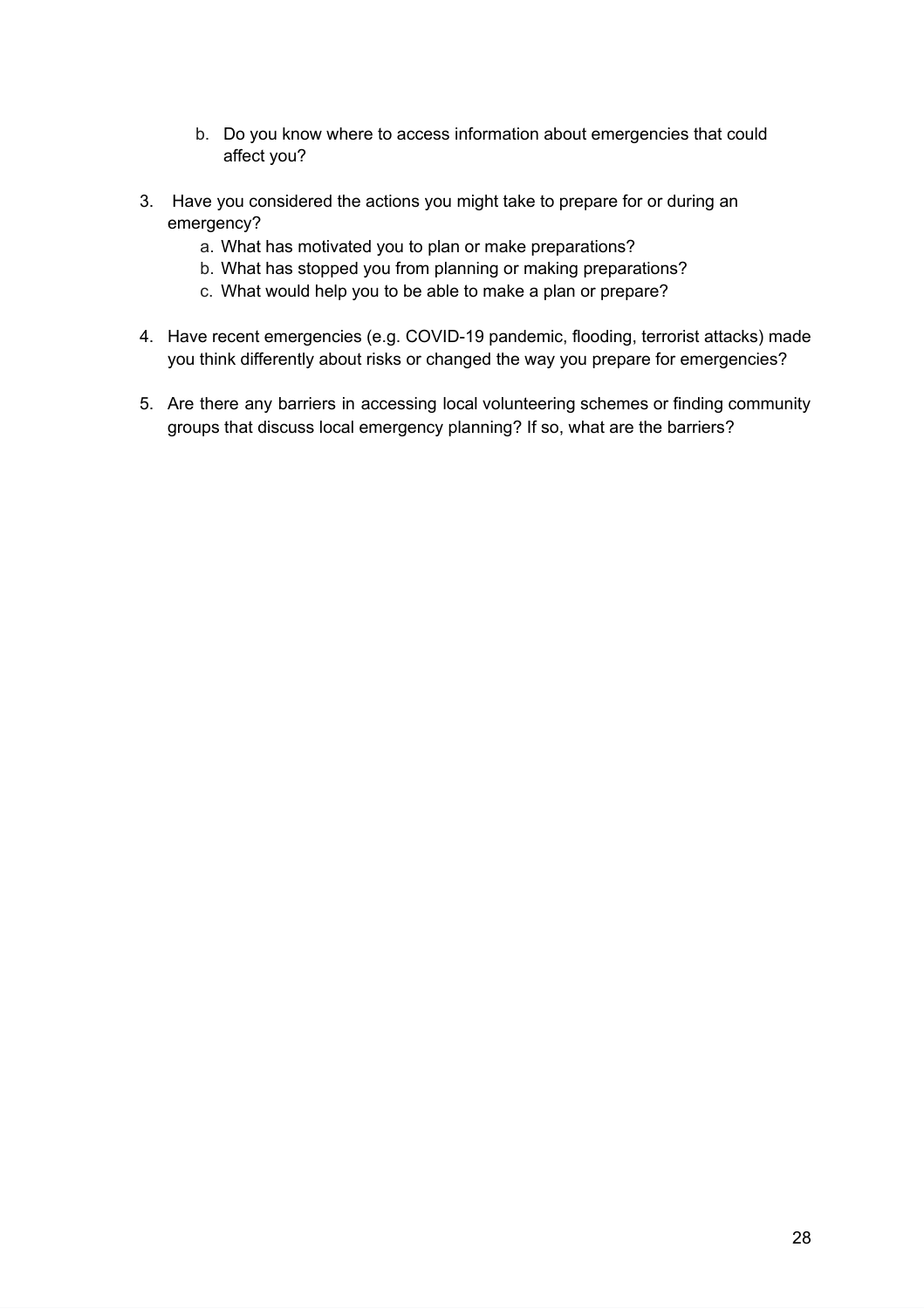- b. Do you know where to access information about emergencies that could affect you?
- 3. Have you considered the actions you might take to prepare for or during an emergency?
	- a. What has motivated you to plan or make preparations?
	- b. What has stopped you from planning or making preparations?
	- c. What would help you to be able to make a plan or prepare?
- 4. Have recent emergencies (e.g. COVID-19 pandemic, flooding, terrorist attacks) made you think differently about risks or changed the way you prepare for emergencies?
- 5. Are there any barriers in accessing local volunteering schemes or finding community groups that discuss local emergency planning? If so, what are the barriers?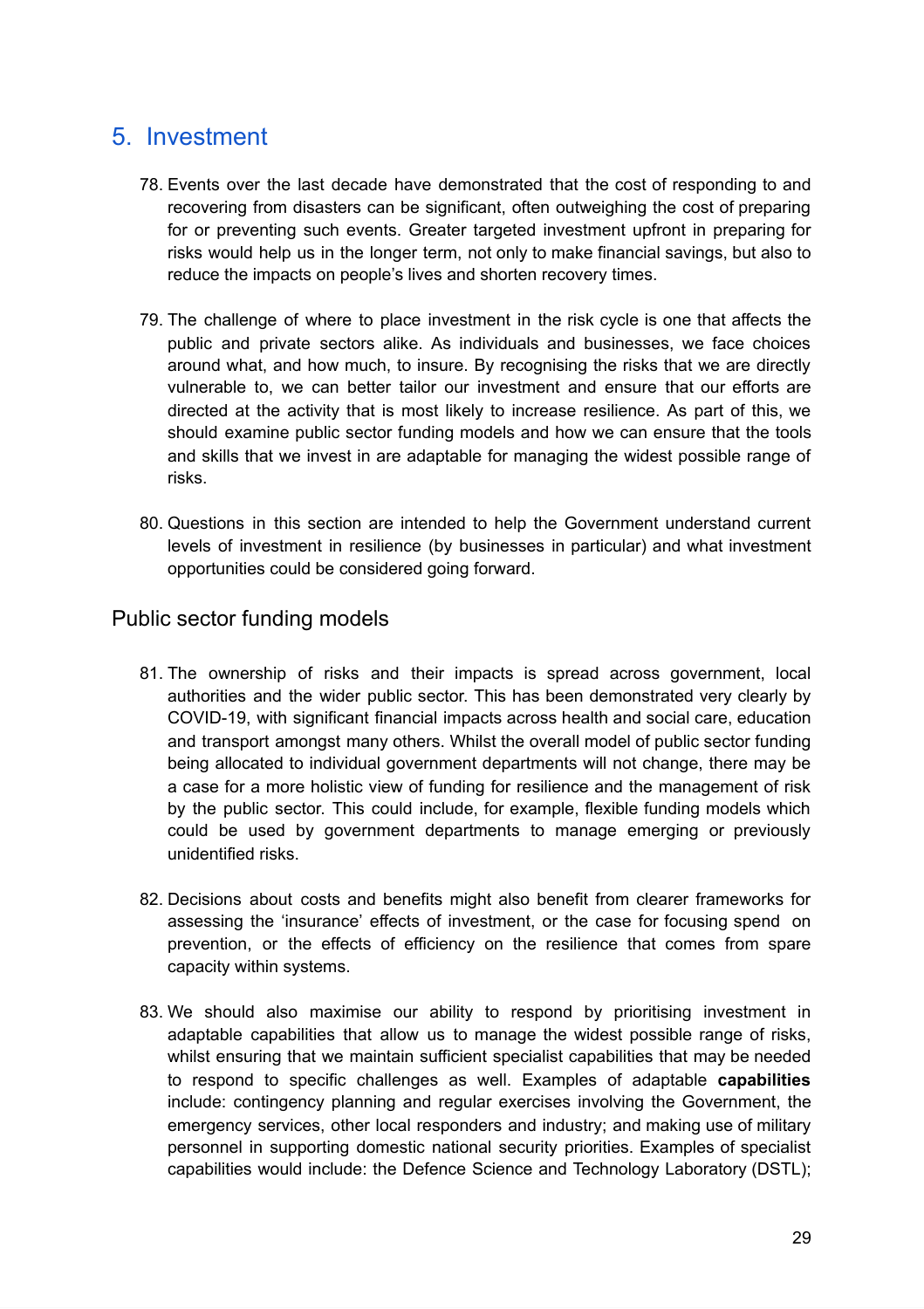# <span id="page-28-0"></span>5. Investment

- 78. Events over the last decade have demonstrated that the cost of responding to and recovering from disasters can be significant, often outweighing the cost of preparing for or preventing such events. Greater targeted investment upfront in preparing for risks would help us in the longer term, not only to make financial savings, but also to reduce the impacts on people's lives and shorten recovery times.
- 79. The challenge of where to place investment in the risk cycle is one that affects the public and private sectors alike. As individuals and businesses, we face choices around what, and how much, to insure. By recognising the risks that we are directly vulnerable to, we can better tailor our investment and ensure that our efforts are directed at the activity that is most likely to increase resilience. As part of this, we should examine public sector funding models and how we can ensure that the tools and skills that we invest in are adaptable for managing the widest possible range of risks.
- 80. Questions in this section are intended to help the Government understand current levels of investment in resilience (by businesses in particular) and what investment opportunities could be considered going forward.

#### <span id="page-28-1"></span>Public sector funding models

- 81. The ownership of risks and their impacts is spread across government, local authorities and the wider public sector. This has been demonstrated very clearly by COVID-19, with significant financial impacts across health and social care, education and transport amongst many others. Whilst the overall model of public sector funding being allocated to individual government departments will not change, there may be a case for a more holistic view of funding for resilience and the management of risk by the public sector. This could include, for example, flexible funding models which could be used by government departments to manage emerging or previously unidentified risks.
- 82. Decisions about costs and benefits might also benefit from clearer frameworks for assessing the 'insurance' effects of investment, or the case for focusing spend on prevention, or the effects of efficiency on the resilience that comes from spare capacity within systems.
- 83. We should also maximise our ability to respond by prioritising investment in adaptable capabilities that allow us to manage the widest possible range of risks, whilst ensuring that we maintain sufficient specialist capabilities that may be needed to respond to specific challenges as well. Examples of adaptable **capabilities** include: contingency planning and regular exercises involving the Government, the emergency services, other local responders and industry; and making use of military personnel in supporting domestic national security priorities. Examples of specialist capabilities would include: the Defence Science and Technology Laboratory (DSTL);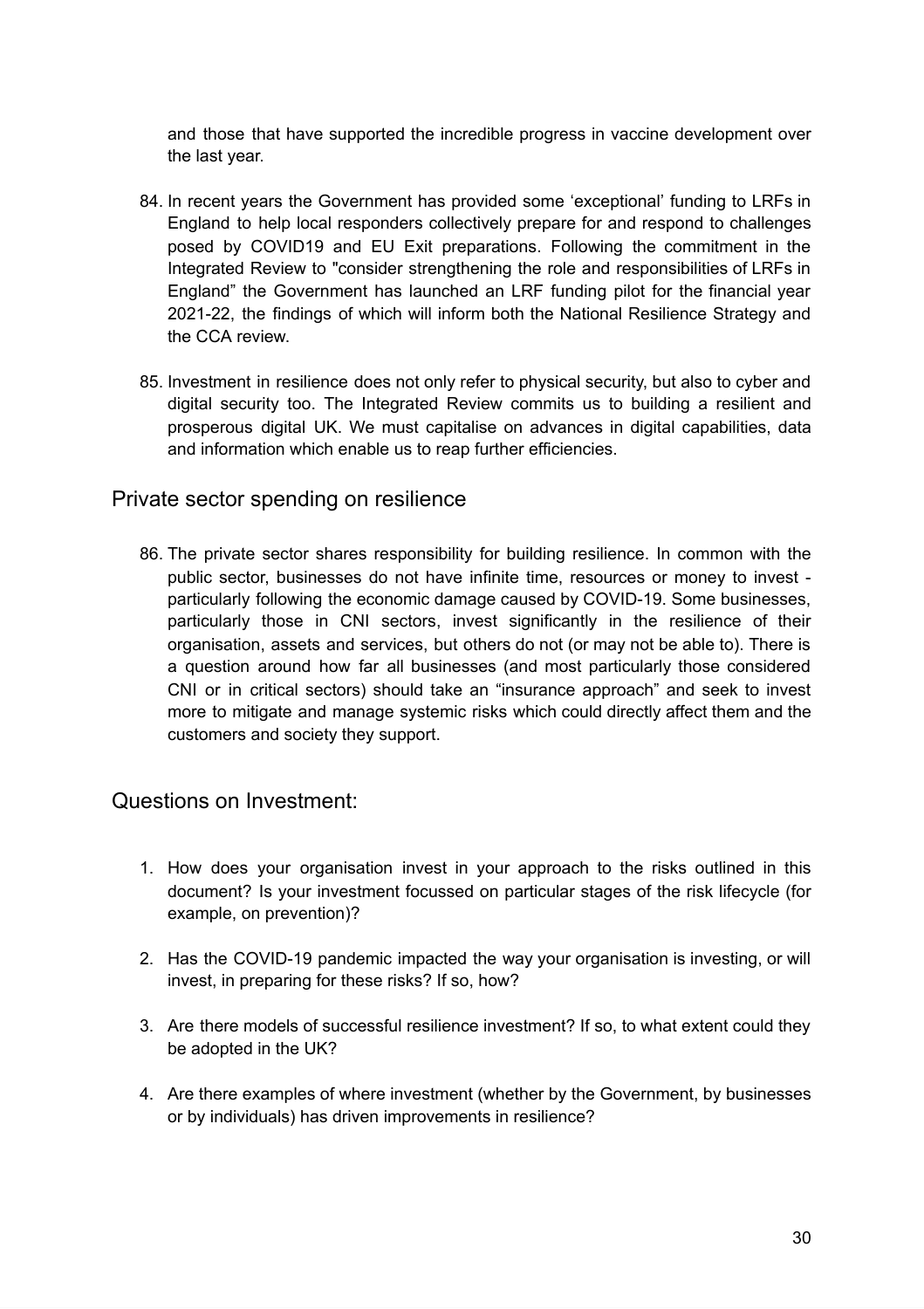and those that have supported the incredible progress in vaccine development over the last year.

- 84. In recent years the Government has provided some 'exceptional' funding to LRFs in England to help local responders collectively prepare for and respond to challenges posed by COVID19 and EU Exit preparations. Following the commitment in the Integrated Review to "consider strengthening the role and responsibilities of LRFs in England" the Government has launched an LRF funding pilot for the financial year 2021-22, the findings of which will inform both the National Resilience Strategy and the CCA review.
- 85. Investment in resilience does not only refer to physical security, but also to cyber and digital security too. The Integrated Review commits us to building a resilient and prosperous digital UK. We must capitalise on advances in digital capabilities, data and information which enable us to reap further efficiencies.

#### <span id="page-29-0"></span>Private sector spending on resilience

86. The private sector shares responsibility for building resilience. In common with the public sector, businesses do not have infinite time, resources or money to invest particularly following the economic damage caused by COVID-19. Some businesses, particularly those in CNI sectors, invest significantly in the resilience of their organisation, assets and services, but others do not (or may not be able to). There is a question around how far all businesses (and most particularly those considered CNI or in critical sectors) should take an "insurance approach" and seek to invest more to mitigate and manage systemic risks which could directly affect them and the customers and society they support.

#### Questions on Investment:

- 1. How does your organisation invest in your approach to the risks outlined in this document? Is your investment focussed on particular stages of the risk lifecycle (for example, on prevention)?
- 2. Has the COVID-19 pandemic impacted the way your organisation is investing, or will invest, in preparing for these risks? If so, how?
- 3. Are there models of successful resilience investment? If so, to what extent could they be adopted in the UK?
- 4. Are there examples of where investment (whether by the Government, by businesses or by individuals) has driven improvements in resilience?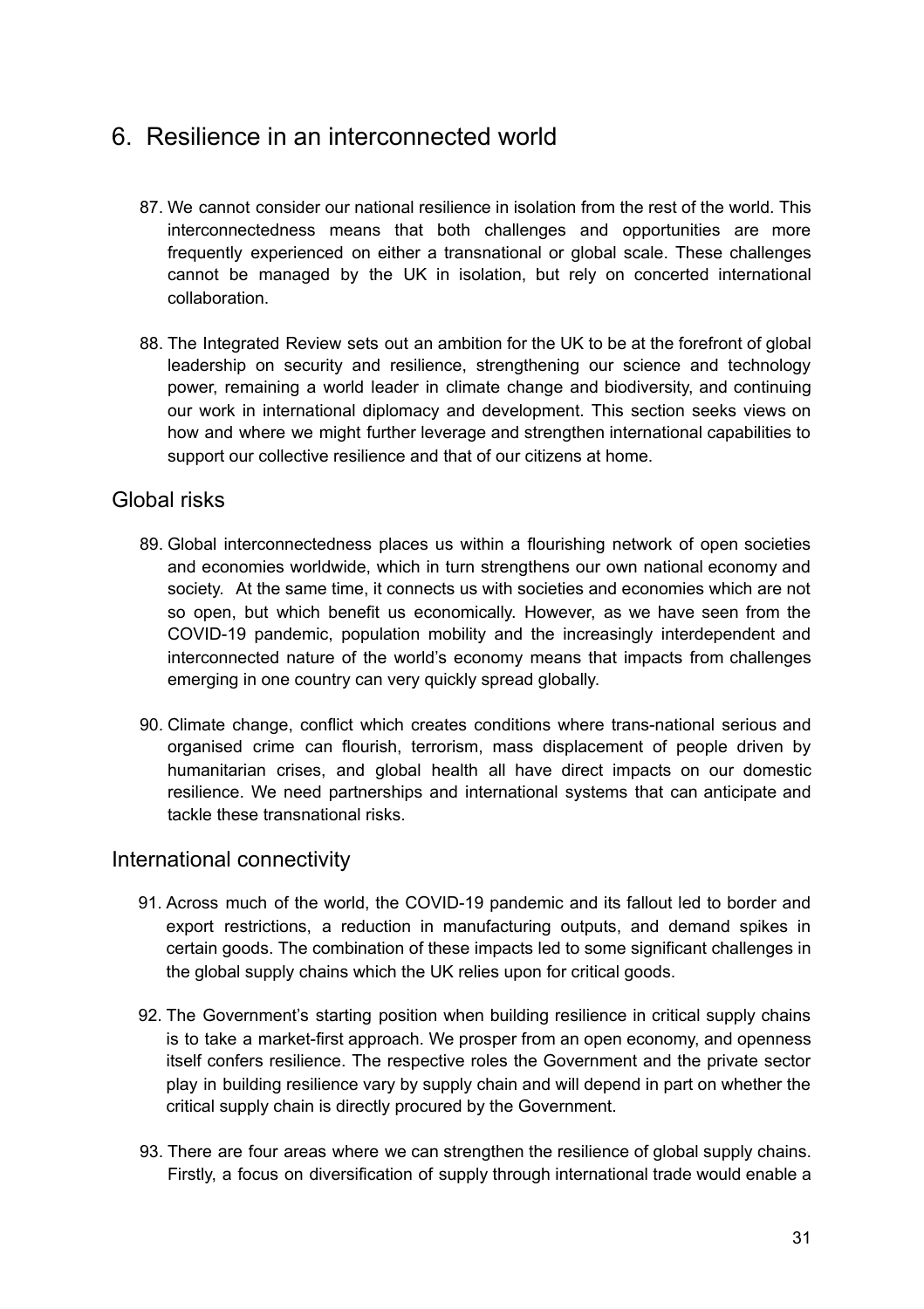# <span id="page-30-0"></span>6. Resilience in an interconnected world

- 87. We cannot consider our national resilience in isolation from the rest of the world. This interconnectedness means that both challenges and opportunities are more frequently experienced on either a transnational or global scale. These challenges cannot be managed by the UK in isolation, but rely on concerted international collaboration.
- 88. The Integrated Review sets out an ambition for the UK to be at the forefront of global leadership on security and resilience, strengthening our science and technology power, remaining a world leader in climate change and biodiversity, and continuing our work in international diplomacy and development. This section seeks views on how and where we might further leverage and strengthen international capabilities to support our collective resilience and that of our citizens at home.

#### Global risks

- 89. Global interconnectedness places us within a flourishing network of open societies and economies worldwide, which in turn strengthens our own national economy and society. At the same time, it connects us with societies and economies which are not so open, but which benefit us economically. However, as we have seen from the COVID-19 pandemic, population mobility and the increasingly interdependent and interconnected nature of the world's economy means that impacts from challenges emerging in one country can very quickly spread globally.
- 90. Climate change, conflict which creates conditions where trans-national serious and organised crime can flourish, terrorism, mass displacement of people driven by humanitarian crises, and global health all have direct impacts on our domestic resilience. We need partnerships and international systems that can anticipate and tackle these transnational risks.

#### <span id="page-30-1"></span>International connectivity

- 91. Across much of the world, the COVID-19 pandemic and its fallout led to border and export restrictions, a reduction in manufacturing outputs, and demand spikes in certain goods. The combination of these impacts led to some significant challenges in the global supply chains which the UK relies upon for critical goods.
- 92. The Government's starting position when building resilience in critical supply chains is to take a market-first approach. We prosper from an open economy, and openness itself confers resilience. The respective roles the Government and the private sector play in building resilience vary by supply chain and will depend in part on whether the critical supply chain is directly procured by the Government.
- 93. There are four areas where we can strengthen the resilience of global supply chains. Firstly, a focus on diversification of supply through international trade would enable a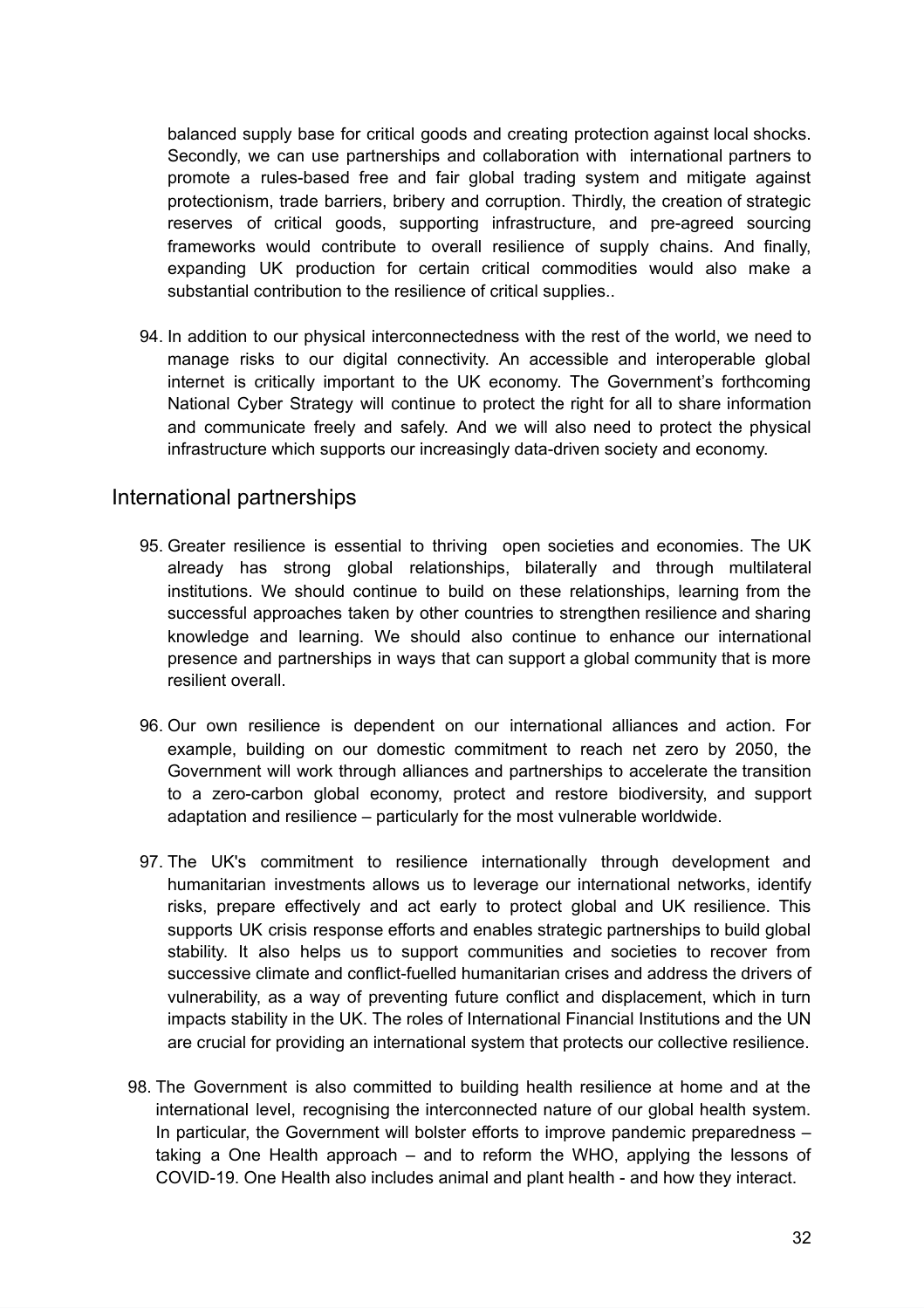balanced supply base for critical goods and creating protection against local shocks. Secondly, we can use partnerships and collaboration with international partners to promote a rules-based free and fair global trading system and mitigate against protectionism, trade barriers, bribery and corruption. Thirdly, the creation of strategic reserves of critical goods, supporting infrastructure, and pre-agreed sourcing frameworks would contribute to overall resilience of supply chains. And finally, expanding UK production for certain critical commodities would also make a substantial contribution to the resilience of critical supplies..

94. In addition to our physical interconnectedness with the rest of the world, we need to manage risks to our digital connectivity. An accessible and interoperable global internet is critically important to the UK economy. The Government's forthcoming National Cyber Strategy will continue to protect the right for all to share information and communicate freely and safely. And we will also need to protect the physical infrastructure which supports our increasingly data-driven society and economy.

#### <span id="page-31-0"></span>International partnerships

- 95. Greater resilience is essential to thriving open societies and economies. The UK already has strong global relationships, bilaterally and through multilateral institutions. We should continue to build on these relationships, learning from the successful approaches taken by other countries to strengthen resilience and sharing knowledge and learning. We should also continue to enhance our international presence and partnerships in ways that can support a global community that is more resilient overall.
- 96. Our own resilience is dependent on our international alliances and action. For example, building on our domestic commitment to reach net zero by 2050, the Government will work through alliances and partnerships to accelerate the transition to a zero-carbon global economy, protect and restore biodiversity, and support adaptation and resilience – particularly for the most vulnerable worldwide.
- 97. The UK's commitment to resilience internationally through development and humanitarian investments allows us to leverage our international networks, identify risks, prepare effectively and act early to protect global and UK resilience. This supports UK crisis response efforts and enables strategic partnerships to build global stability. It also helps us to support communities and societies to recover from successive climate and conflict-fuelled humanitarian crises and address the drivers of vulnerability, as a way of preventing future conflict and displacement, which in turn impacts stability in the UK. The roles of International Financial Institutions and the UN are crucial for providing an international system that protects our collective resilience.
- 98. The Government is also committed to building health resilience at home and at the international level, recognising the interconnected nature of our global health system. In particular, the Government will bolster efforts to improve pandemic preparedness – taking a One Health approach – and to reform the WHO, applying the lessons of COVID-19. One Health also includes animal and plant health - and how they interact.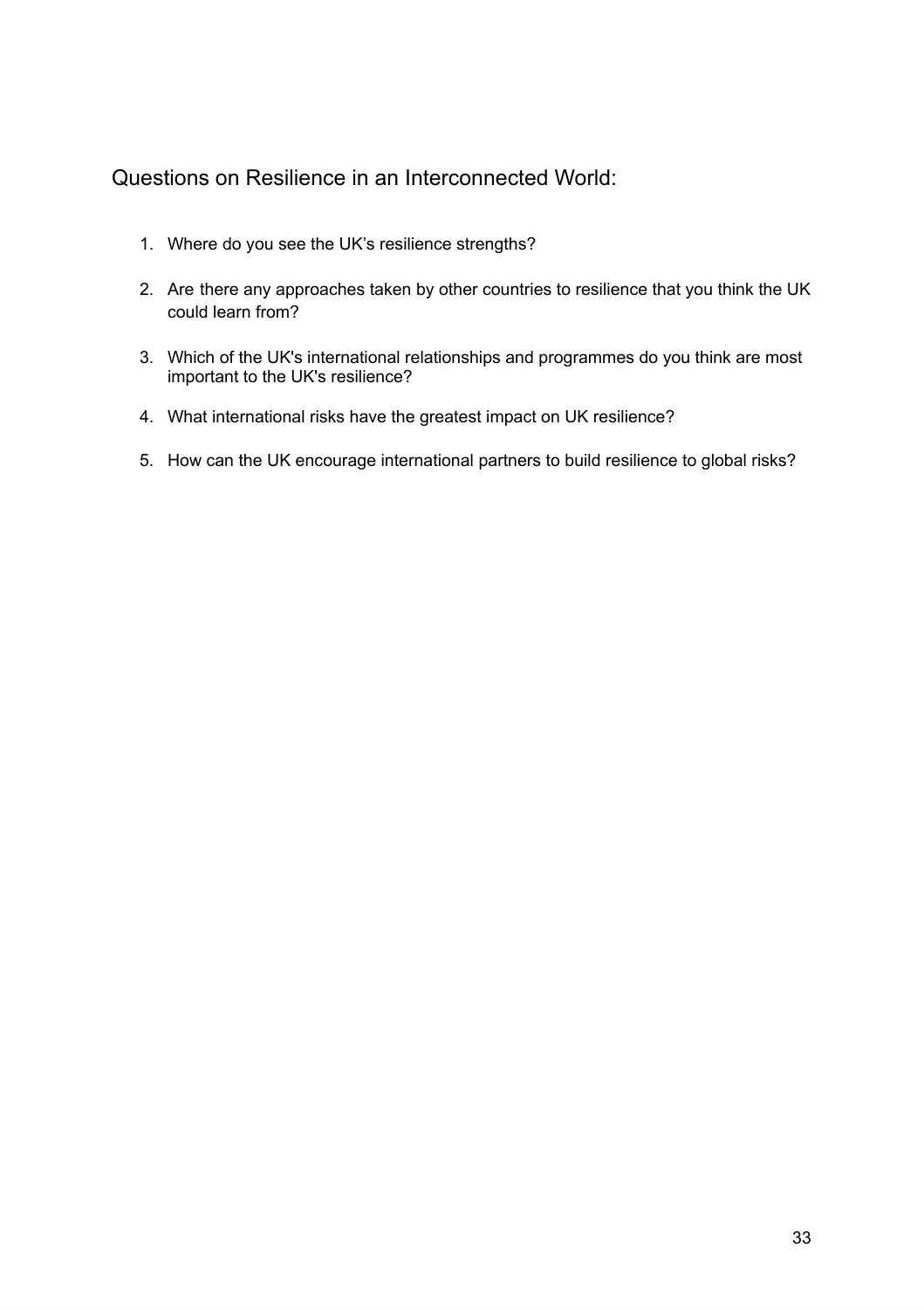#### Questions on Resilience in an Interconnected World:

- 1. Where do you see the UK's resilience strengths?
- 2. Are there any approaches taken by other countries to resilience that you think the UK could learn from?
- 3. Which of the UK's international relationships and programmes do you think are most important to the UK's resilience?
- 4. What international risks have the greatest impact on UK resilience?
- <span id="page-32-0"></span>5. How can the UK encourage international partners to build resilience to global risks?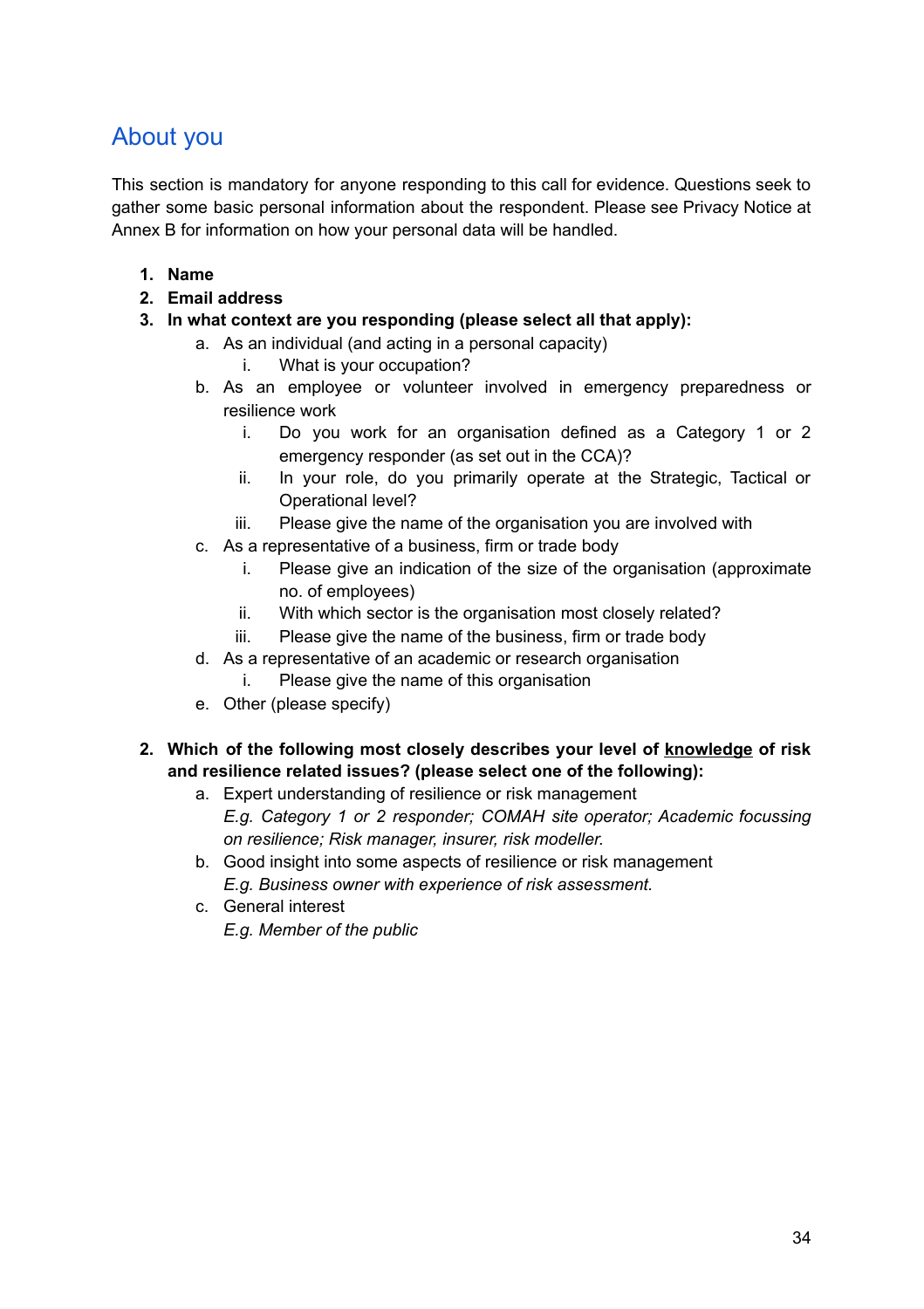# About you

This section is mandatory for anyone responding to this call for evidence. Questions seek to gather some basic personal information about the respondent. Please see Privacy Notice at Annex B for information on how your personal data will be handled.

- **1. Name**
- **2. Email address**
- **3. In what context are you responding (please select all that apply):**
	- a. As an individual (and acting in a personal capacity)
		- i. What is your occupation?
	- b. As an employee or volunteer involved in emergency preparedness or resilience work
		- i. Do you work for an organisation defined as a Category 1 or 2 emergency responder (as set out in the CCA)?
		- ii. In your role, do you primarily operate at the Strategic, Tactical or Operational level?
		- iii. Please give the name of the organisation you are involved with
	- c. As a representative of a business, firm or trade body
		- i. Please give an indication of the size of the organisation (approximate no. of employees)
		- ii. With which sector is the organisation most closely related?
		- iii. Please give the name of the business, firm or trade body
	- d. As a representative of an academic or research organisation
		- i. Please give the name of this organisation
	- e. Other (please specify)
- **2. Which of the following most closely describes your level of knowledge of risk and resilience related issues? (please select one of the following):**
	- a. Expert understanding of resilience or risk management
		- *E.g. Category 1 or 2 responder; COMAH site operator; Academic focussing on resilience; Risk manager, insurer, risk modeller.*
	- b. Good insight into some aspects of resilience or risk management *E.g. Business owner with experience of risk assessment.*
	- c. General interest *E.g. Member of the public*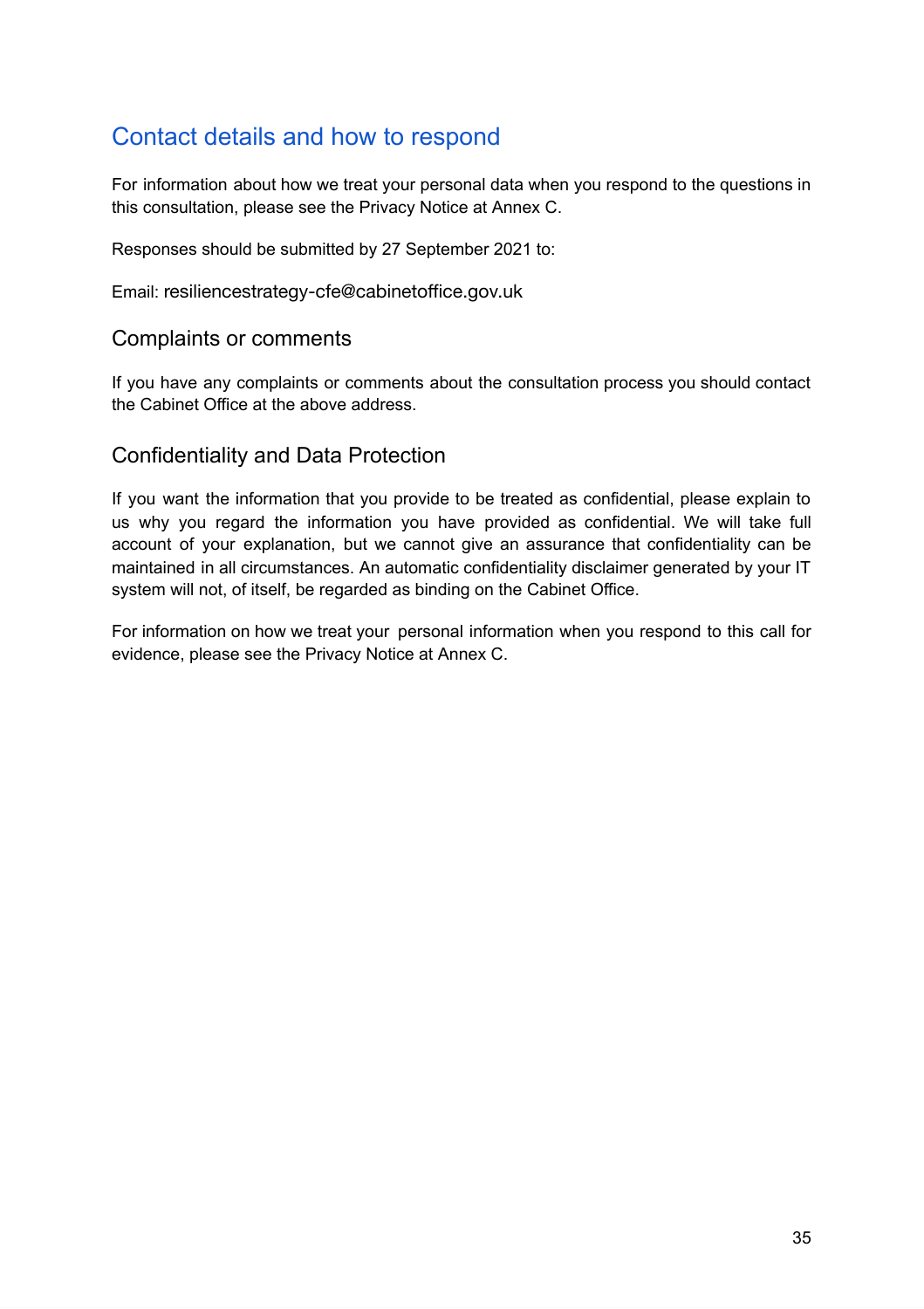# <span id="page-34-0"></span>Contact details and how to respond

For information about how we treat your personal data when you respond to the questions in this consultation, please see the Privacy Notice at Annex C.

Responses should be submitted by 27 September 2021 to:

Email: resiliencestrategy-cfe@cabinetoffice.gov.uk

#### <span id="page-34-1"></span>Complaints or comments

If you have any complaints or comments about the consultation process you should contact the Cabinet Office at the above address.

#### <span id="page-34-2"></span>Confidentiality and Data Protection

If you want the information that you provide to be treated as confidential, please explain to us why you regard the information you have provided as confidential. We will take full account of your explanation, but we cannot give an assurance that confidentiality can be maintained in all circumstances. An automatic confidentiality disclaimer generated by your IT system will not, of itself, be regarded as binding on the Cabinet Office.

For information on how we treat your personal information when you respond to this call for evidence, please see the Privacy Notice at Annex C.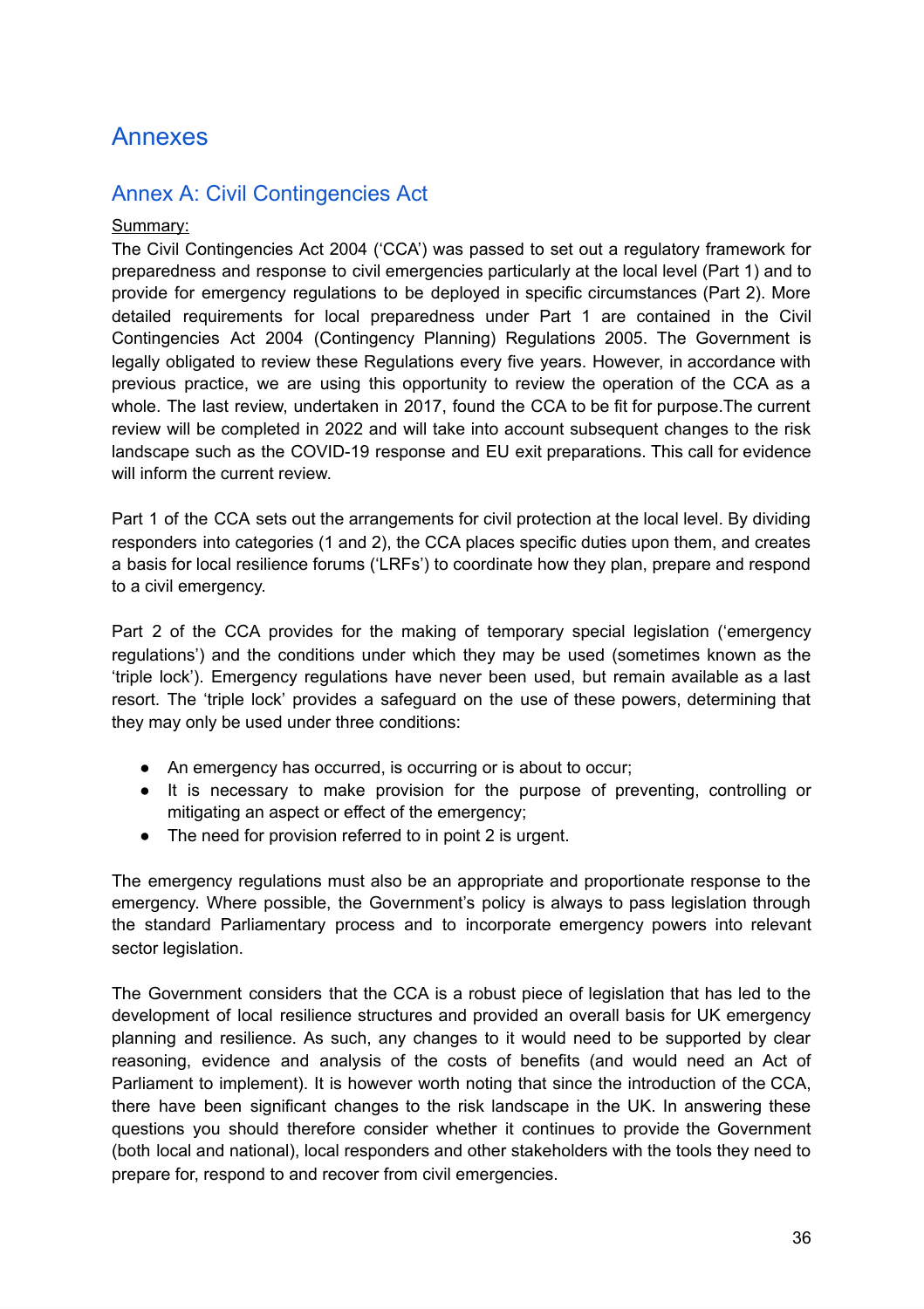# <span id="page-35-0"></span>Annexes

#### <span id="page-35-1"></span>Annex A: Civil Contingencies Act

#### Summary:

The Civil Contingencies Act 2004 ('CCA') was passed to set out a regulatory framework for preparedness and response to civil emergencies particularly at the local level (Part 1) and to provide for emergency regulations to be deployed in specific circumstances (Part 2). More detailed requirements for local preparedness under Part 1 are contained in the Civil Contingencies Act 2004 (Contingency Planning) Regulations 2005. The Government is legally obligated to review these Regulations every five years. However, in accordance with previous practice, we are using this opportunity to review the operation of the CCA as a whole. The last review, undertaken in 2017, found the CCA to be fit for purpose.The current review will be completed in 2022 and will take into account subsequent changes to the risk landscape such as the COVID-19 response and EU exit preparations. This call for evidence will inform the current review.

Part 1 of the CCA sets out the arrangements for civil protection at the local level. By dividing responders into categories (1 and 2), the CCA places specific duties upon them, and creates a basis for local resilience forums ('LRFs') to coordinate how they plan, prepare and respond to a civil emergency.

Part 2 of the CCA provides for the making of temporary special legislation ('emergency regulations') and the conditions under which they may be used (sometimes known as the 'triple lock'). Emergency regulations have never been used, but remain available as a last resort. The 'triple lock' provides a safeguard on the use of these powers, determining that they may only be used under three conditions:

- An emergency has occurred, is occurring or is about to occur;
- It is necessary to make provision for the purpose of preventing, controlling or mitigating an aspect or effect of the emergency;
- The need for provision referred to in point 2 is urgent.

The emergency regulations must also be an appropriate and proportionate response to the emergency. Where possible, the Government's policy is always to pass legislation through the standard Parliamentary process and to incorporate emergency powers into relevant sector legislation.

The Government considers that the CCA is a robust piece of legislation that has led to the development of local resilience structures and provided an overall basis for UK emergency planning and resilience. As such, any changes to it would need to be supported by clear reasoning, evidence and analysis of the costs of benefits (and would need an Act of Parliament to implement). It is however worth noting that since the introduction of the CCA, there have been significant changes to the risk landscape in the UK. In answering these questions you should therefore consider whether it continues to provide the Government (both local and national), local responders and other stakeholders with the tools they need to prepare for, respond to and recover from civil emergencies.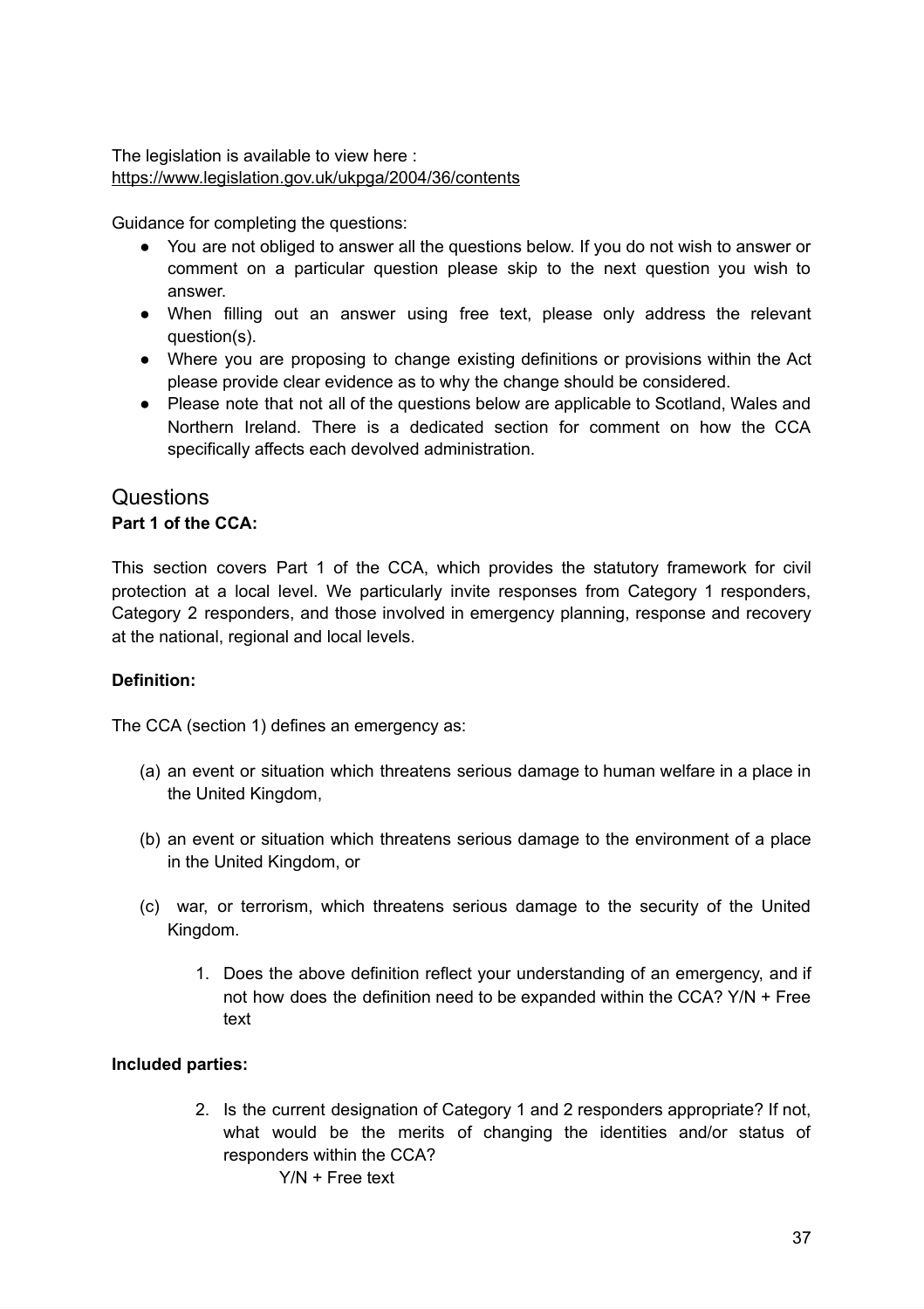The legislation is available to view here : <https://www.legislation.gov.uk/ukpga/2004/36/contents>

Guidance for completing the questions:

- You are not obliged to answer all the questions below. If you do not wish to answer or comment on a particular question please skip to the next question you wish to answer.
- When filling out an answer using free text, please only address the relevant question(s).
- Where you are proposing to change existing definitions or provisions within the Act please provide clear evidence as to why the change should be considered.
- Please note that not all of the questions below are applicable to Scotland, Wales and Northern Ireland. There is a dedicated section for comment on how the CCA specifically affects each devolved administration.

#### **Questions Part 1 of the CCA:**

This section covers Part 1 of the CCA, which provides the statutory framework for civil protection at a local level. We particularly invite responses from Category 1 responders, Category 2 responders, and those involved in emergency planning, response and recovery at the national, regional and local levels.

#### **Definition:**

The CCA (section 1) defines an emergency as:

- (a) an event or situation which threatens serious damage to human welfare in a place in the United Kingdom,
- (b) an event or situation which threatens serious damage to the environment of a place in the United Kingdom, or
- (c) war, or terrorism, which threatens serious damage to the security of the United Kingdom.
	- 1. Does the above definition reflect your understanding of an emergency, and if not how does the definition need to be expanded within the CCA? Y/N + Free text

#### **Included parties:**

2. Is the current designation of Category 1 and 2 responders appropriate? If not, what would be the merits of changing the identities and/or status of responders within the CCA?

Y/N + Free text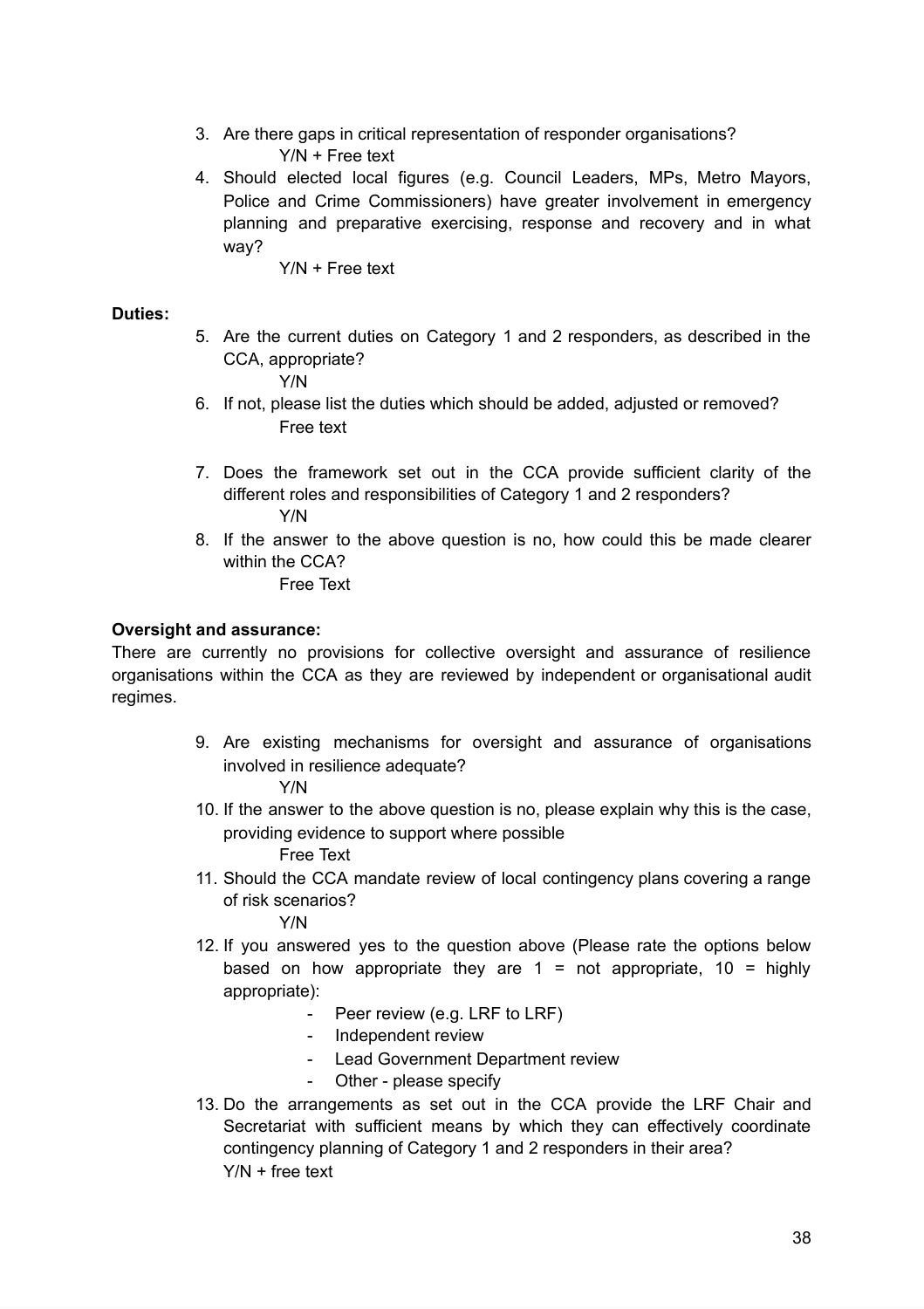- 3. Are there gaps in critical representation of responder organisations? Y/N + Free text
- 4. Should elected local figures (e.g. Council Leaders, MPs, Metro Mayors, Police and Crime Commissioners) have greater involvement in emergency planning and preparative exercising, response and recovery and in what way?
	- Y/N + Free text

#### **Duties:**

5. Are the current duties on Category 1 and 2 responders, as described in the CCA, appropriate?

Y/N

- 6. If not, please list the duties which should be added, adjusted or removed? Free text
- 7. Does the framework set out in the CCA provide sufficient clarity of the different roles and responsibilities of Category 1 and 2 responders? Y/N
- 8. If the answer to the above question is no, how could this be made clearer within the CCA? Free Text

#### **Oversight and assurance:**

There are currently no provisions for collective oversight and assurance of resilience organisations within the CCA as they are reviewed by independent or organisational audit regimes.

> 9. Are existing mechanisms for oversight and assurance of organisations involved in resilience adequate?

#### Y/N

- 10. If the answer to the above question is no, please explain why this is the case, providing evidence to support where possible Free Text
- 11. Should the CCA mandate review of local contingency plans covering a range of risk scenarios?

Y/N

- 12. If you answered yes to the question above (Please rate the options below based on how appropriate they are  $1 =$  not appropriate,  $10 =$  highly appropriate):
	- Peer review (e.g. LRF to LRF)
	- Independent review
	- Lead Government Department review
	- Other please specify
- 13. Do the arrangements as set out in the CCA provide the LRF Chair and Secretariat with sufficient means by which they can effectively coordinate contingency planning of Category 1 and 2 responders in their area? Y/N + free text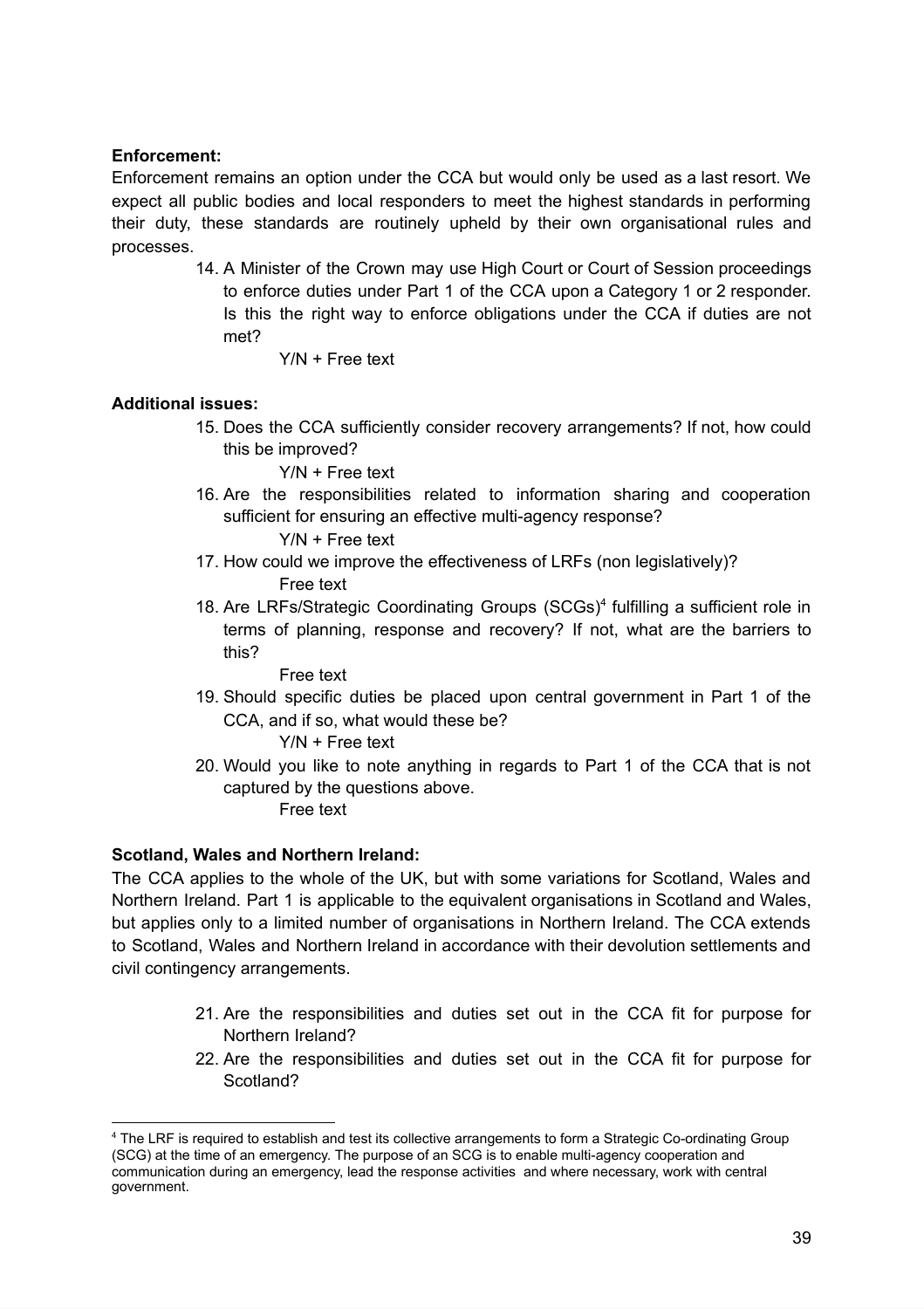#### **Enforcement:**

Enforcement remains an option under the CCA but would only be used as a last resort. We expect all public bodies and local responders to meet the highest standards in performing their duty, these standards are routinely upheld by their own organisational rules and processes.

- 14. A Minister of the Crown may use High Court or Court of Session proceedings to enforce duties under Part 1 of the CCA upon a Category 1 or 2 responder. Is this the right way to enforce obligations under the CCA if duties are not met?
	- Y/N + Free text

#### **Additional issues:**

15. Does the CCA sufficiently consider recovery arrangements? If not, how could this be improved?

Y/N + Free text

16. Are the responsibilities related to information sharing and cooperation sufficient for ensuring an effective multi-agency response?

Y/N + Free text

- 17. How could we improve the effectiveness of LRFs (non legislatively)? Free text
- 18. Are LRFs/Strategic Coordinating Groups (SCGs) 4 fulfilling a sufficient role in terms of planning, response and recovery? If not, what are the barriers to this?

Free text

19. Should specific duties be placed upon central government in Part 1 of the CCA, and if so, what would these be?

Y/N + Free text

20. Would you like to note anything in regards to Part 1 of the CCA that is not captured by the questions above.

Free text

#### **Scotland, Wales and Northern Ireland:**

The CCA applies to the whole of the UK, but with some variations for Scotland, Wales and Northern Ireland. Part 1 is applicable to the equivalent organisations in Scotland and Wales, but applies only to a limited number of organisations in Northern Ireland. The CCA extends to Scotland, Wales and Northern Ireland in accordance with their devolution settlements and civil contingency arrangements.

- 21. Are the responsibilities and duties set out in the CCA fit for purpose for Northern Ireland?
- 22. Are the responsibilities and duties set out in the CCA fit for purpose for Scotland?

<sup>4</sup> The LRF is required to establish and test its collective arrangements to form a Strategic Co-ordinating Group (SCG) at the time of an emergency. The purpose of an SCG is to enable multi-agency cooperation and communication during an emergency, lead the response activities and where necessary, work with central government.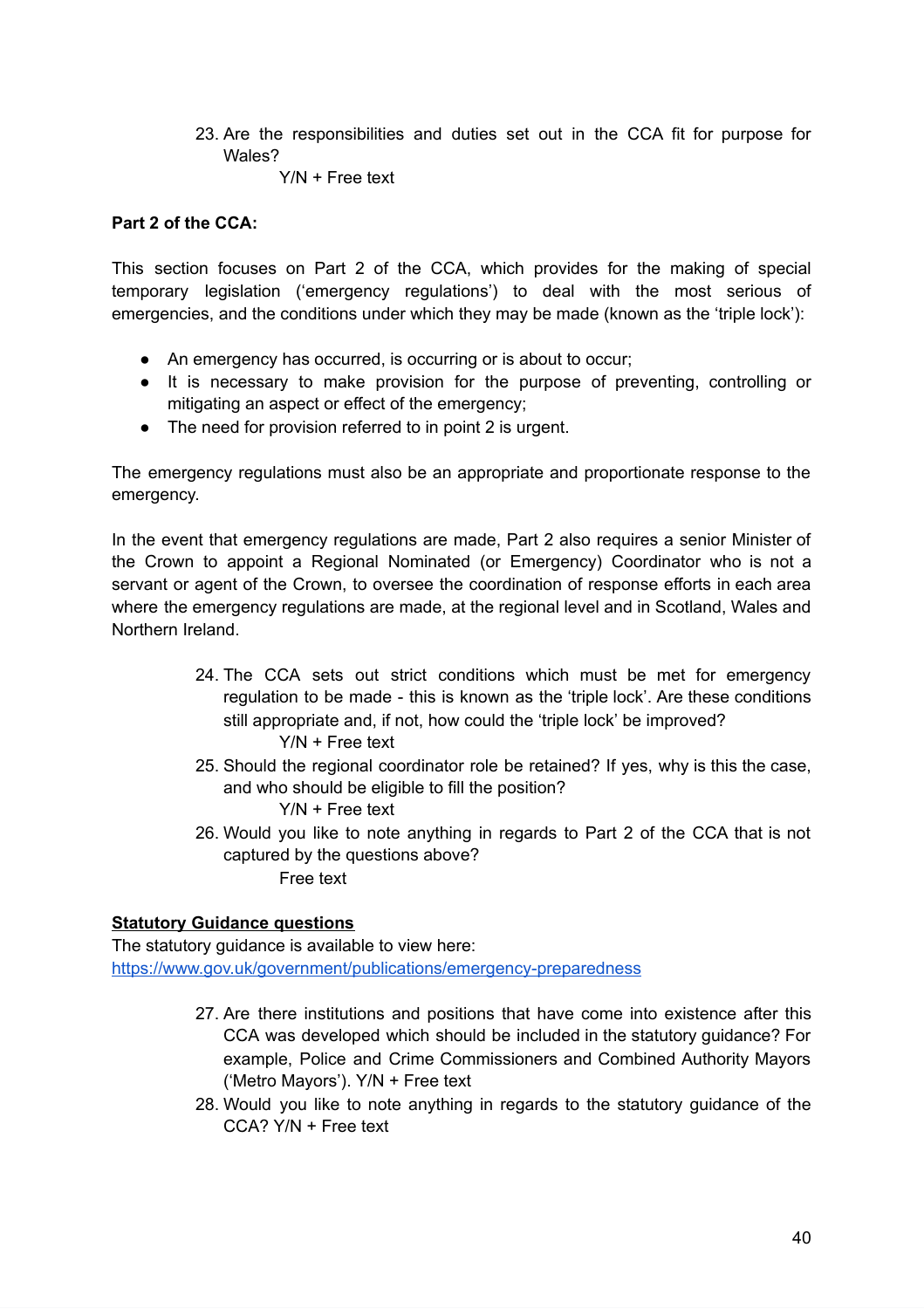23. Are the responsibilities and duties set out in the CCA fit for purpose for Wales?

Y/N + Free text

#### **Part 2 of the CCA:**

This section focuses on Part 2 of the CCA, which provides for the making of special temporary legislation ('emergency regulations') to deal with the most serious of emergencies, and the conditions under which they may be made (known as the 'triple lock'):

- An emergency has occurred, is occurring or is about to occur;
- It is necessary to make provision for the purpose of preventing, controlling or mitigating an aspect or effect of the emergency;
- The need for provision referred to in point 2 is urgent.

The emergency regulations must also be an appropriate and proportionate response to the emergency.

In the event that emergency regulations are made, Part 2 also requires a senior Minister of the Crown to appoint a Regional Nominated (or Emergency) Coordinator who is not a servant or agent of the Crown, to oversee the coordination of response efforts in each area where the emergency regulations are made, at the regional level and in Scotland, Wales and Northern Ireland.

> 24. The CCA sets out strict conditions which must be met for emergency regulation to be made - this is known as the 'triple lock'. Are these conditions still appropriate and, if not, how could the 'triple lock' be improved?

Y/N + Free text

25. Should the regional coordinator role be retained? If yes, why is this the case, and who should be eligible to fill the position?

Y/N + Free text

26. Would you like to note anything in regards to Part 2 of the CCA that is not captured by the questions above?

Free text

#### **Statutory Guidance questions**

The statutory guidance is available to view here: <https://www.gov.uk/government/publications/emergency-preparedness>

- 27. Are there institutions and positions that have come into existence after this CCA was developed which should be included in the statutory guidance? For example, Police and Crime Commissioners and Combined Authority Mayors ('Metro Mayors'). Y/N + Free text
- 28. Would you like to note anything in regards to the statutory guidance of the CCA? Y/N + Free text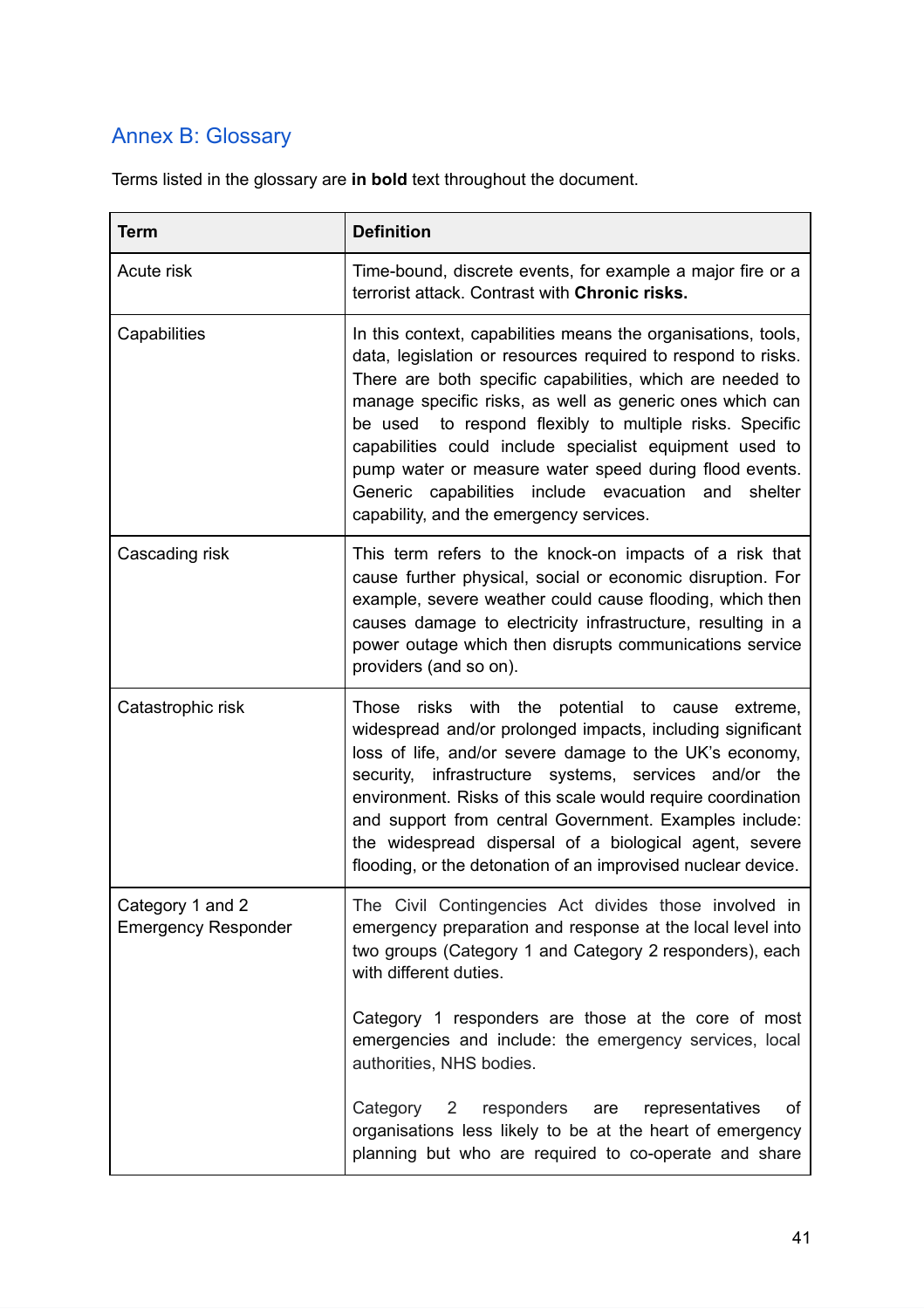# <span id="page-40-0"></span>Annex B: Glossary

Terms listed in the glossary are **in bold** text throughout the document.

| <b>Term</b>                                    | <b>Definition</b>                                                                                                                                                                                                                                                                                                                                                                                                                                                                                                                           |
|------------------------------------------------|---------------------------------------------------------------------------------------------------------------------------------------------------------------------------------------------------------------------------------------------------------------------------------------------------------------------------------------------------------------------------------------------------------------------------------------------------------------------------------------------------------------------------------------------|
| Acute risk                                     | Time-bound, discrete events, for example a major fire or a<br>terrorist attack. Contrast with Chronic risks.                                                                                                                                                                                                                                                                                                                                                                                                                                |
| Capabilities                                   | In this context, capabilities means the organisations, tools,<br>data, legislation or resources required to respond to risks.<br>There are both specific capabilities, which are needed to<br>manage specific risks, as well as generic ones which can<br>be used to respond flexibly to multiple risks. Specific<br>capabilities could include specialist equipment used to<br>pump water or measure water speed during flood events.<br>Generic capabilities include evacuation and<br>shelter<br>capability, and the emergency services. |
| Cascading risk                                 | This term refers to the knock-on impacts of a risk that<br>cause further physical, social or economic disruption. For<br>example, severe weather could cause flooding, which then<br>causes damage to electricity infrastructure, resulting in a<br>power outage which then disrupts communications service<br>providers (and so on).                                                                                                                                                                                                       |
| Catastrophic risk                              | risks with the potential to cause extreme,<br>Those<br>widespread and/or prolonged impacts, including significant<br>loss of life, and/or severe damage to the UK's economy,<br>infrastructure systems, services and/or the<br>security,<br>environment. Risks of this scale would require coordination<br>and support from central Government. Examples include:<br>the widespread dispersal of a biological agent, severe<br>flooding, or the detonation of an improvised nuclear device.                                                 |
| Category 1 and 2<br><b>Emergency Responder</b> | The Civil Contingencies Act divides those involved in<br>emergency preparation and response at the local level into<br>two groups (Category 1 and Category 2 responders), each<br>with different duties.                                                                                                                                                                                                                                                                                                                                    |
|                                                | Category 1 responders are those at the core of most<br>emergencies and include: the emergency services, local<br>authorities, NHS bodies.                                                                                                                                                                                                                                                                                                                                                                                                   |
|                                                | Category<br>responders<br>representatives<br>$\overline{\mathbf{2}}$<br>оf<br>are<br>organisations less likely to be at the heart of emergency<br>planning but who are required to co-operate and share                                                                                                                                                                                                                                                                                                                                     |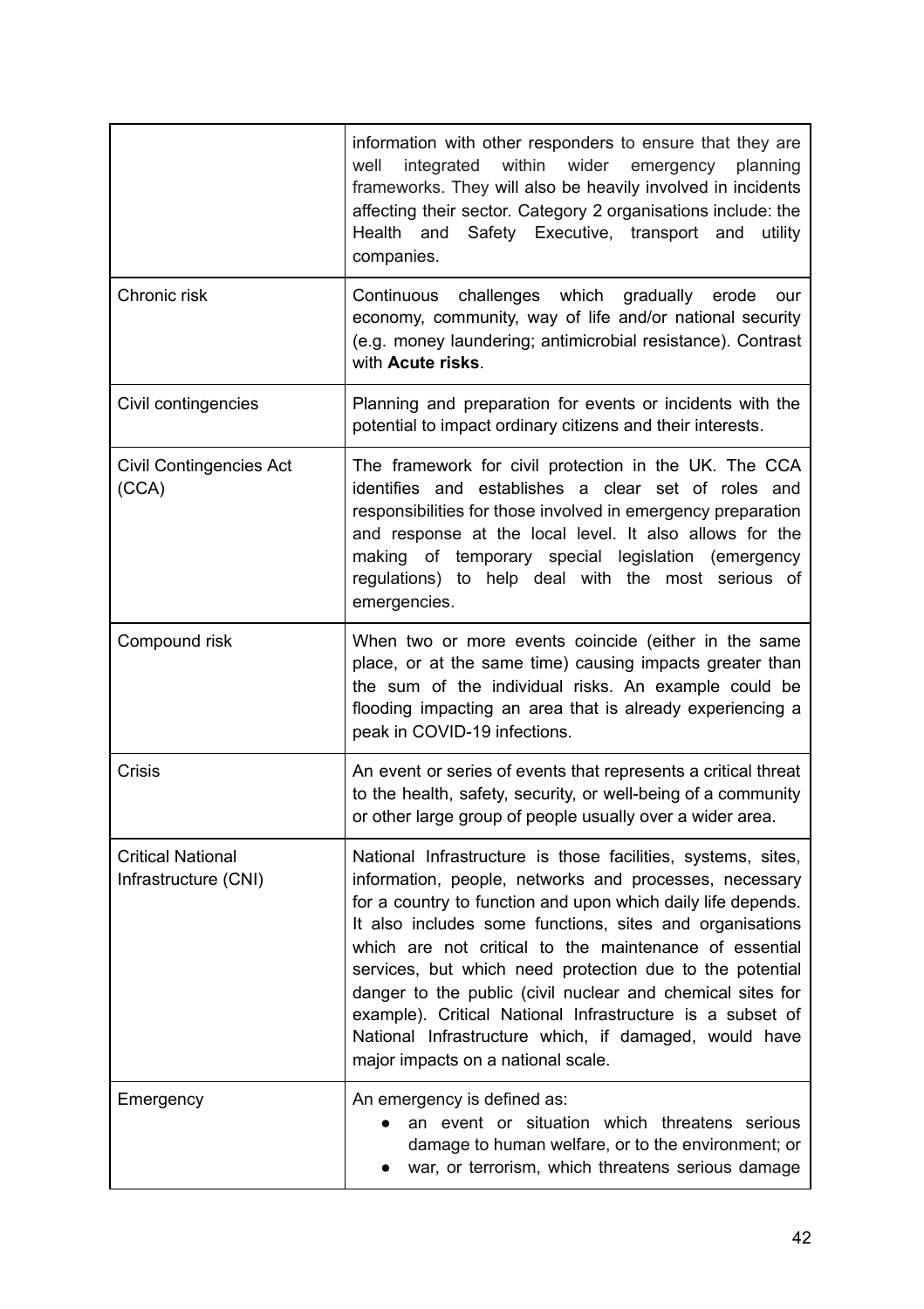|                                                  | information with other responders to ensure that they are<br>within<br>wider<br>well<br>integrated<br>planning<br>emergency<br>frameworks. They will also be heavily involved in incidents<br>affecting their sector. Category 2 organisations include: the<br>Health and Safety Executive, transport and<br>utility<br>companies.                                                                                                                                                                                                                                                                 |
|--------------------------------------------------|----------------------------------------------------------------------------------------------------------------------------------------------------------------------------------------------------------------------------------------------------------------------------------------------------------------------------------------------------------------------------------------------------------------------------------------------------------------------------------------------------------------------------------------------------------------------------------------------------|
| Chronic risk                                     | Continuous challenges which<br>gradually erode<br>our<br>economy, community, way of life and/or national security<br>(e.g. money laundering; antimicrobial resistance). Contrast<br>with Acute risks.                                                                                                                                                                                                                                                                                                                                                                                              |
| Civil contingencies                              | Planning and preparation for events or incidents with the<br>potential to impact ordinary citizens and their interests.                                                                                                                                                                                                                                                                                                                                                                                                                                                                            |
| <b>Civil Contingencies Act</b><br>(CCA)          | The framework for civil protection in the UK. The CCA<br>identifies and establishes a clear set of roles and<br>responsibilities for those involved in emergency preparation<br>and response at the local level. It also allows for the<br>making of temporary special legislation (emergency<br>regulations) to help deal with the most serious of<br>emergencies.                                                                                                                                                                                                                                |
| Compound risk                                    | When two or more events coincide (either in the same<br>place, or at the same time) causing impacts greater than<br>the sum of the individual risks. An example could be<br>flooding impacting an area that is already experiencing a<br>peak in COVID-19 infections.                                                                                                                                                                                                                                                                                                                              |
| <b>Crisis</b>                                    | An event or series of events that represents a critical threat<br>to the health, safety, security, or well-being of a community<br>or other large group of people usually over a wider area.                                                                                                                                                                                                                                                                                                                                                                                                       |
| <b>Critical National</b><br>Infrastructure (CNI) | National Infrastructure is those facilities, systems, sites,<br>information, people, networks and processes, necessary<br>for a country to function and upon which daily life depends.<br>It also includes some functions, sites and organisations<br>which are not critical to the maintenance of essential<br>services, but which need protection due to the potential<br>danger to the public (civil nuclear and chemical sites for<br>example). Critical National Infrastructure is a subset of<br>National Infrastructure which, if damaged, would have<br>major impacts on a national scale. |
| Emergency                                        | An emergency is defined as:<br>an event or situation which threatens serious<br>damage to human welfare, or to the environment; or<br>war, or terrorism, which threatens serious damage                                                                                                                                                                                                                                                                                                                                                                                                            |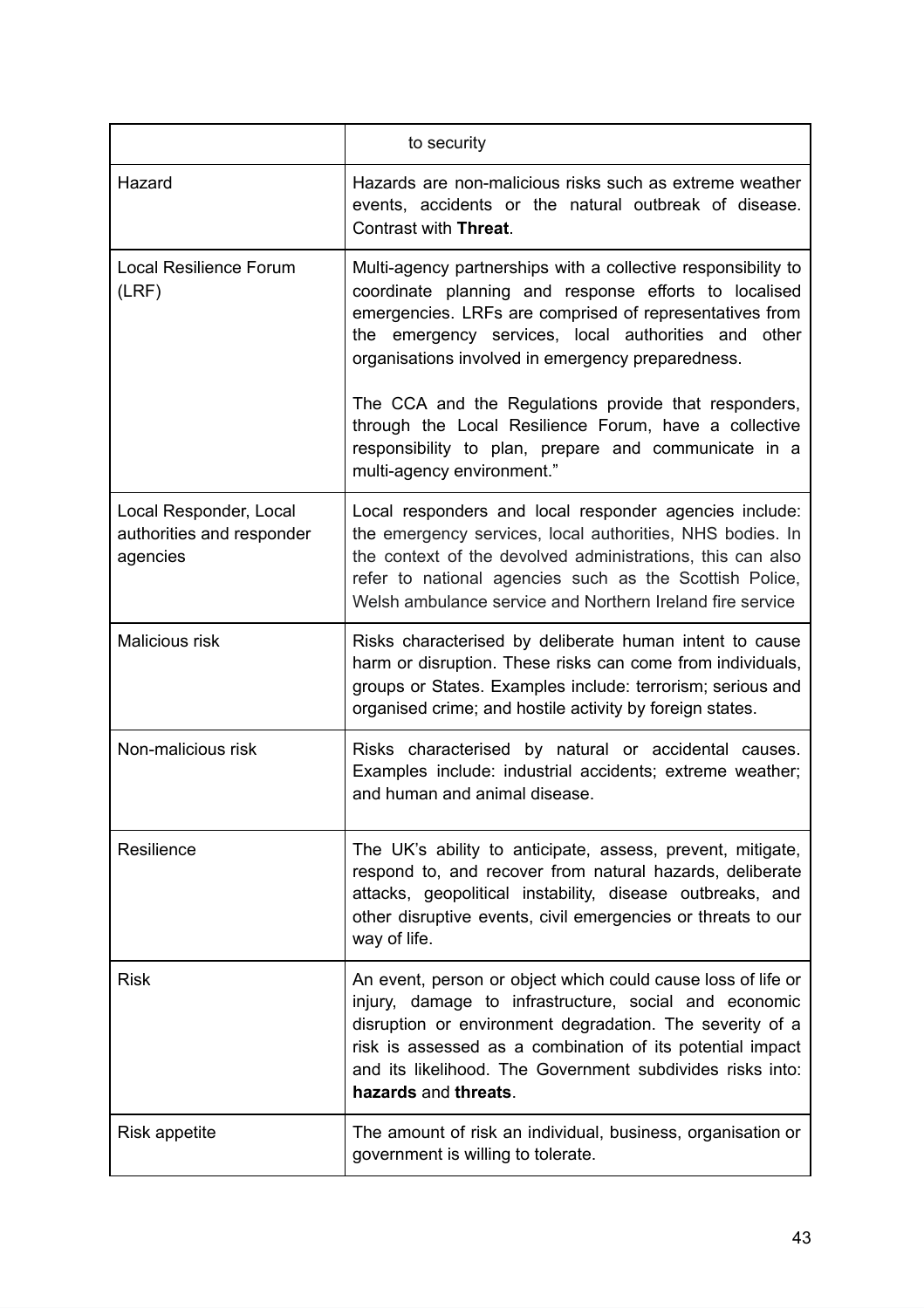|                                                                 | to security                                                                                                                                                                                                                                                                                                                         |
|-----------------------------------------------------------------|-------------------------------------------------------------------------------------------------------------------------------------------------------------------------------------------------------------------------------------------------------------------------------------------------------------------------------------|
|                                                                 |                                                                                                                                                                                                                                                                                                                                     |
| Hazard                                                          | Hazards are non-malicious risks such as extreme weather<br>events, accidents or the natural outbreak of disease.<br>Contrast with Threat.                                                                                                                                                                                           |
| <b>Local Resilience Forum</b><br>(LRF)                          | Multi-agency partnerships with a collective responsibility to<br>coordinate planning and response efforts to localised<br>emergencies. LRFs are comprised of representatives from<br>the emergency services, local authorities and other<br>organisations involved in emergency preparedness.                                       |
|                                                                 | The CCA and the Regulations provide that responders,<br>through the Local Resilience Forum, have a collective<br>responsibility to plan, prepare and communicate in a<br>multi-agency environment."                                                                                                                                 |
| Local Responder, Local<br>authorities and responder<br>agencies | Local responders and local responder agencies include:<br>the emergency services, local authorities, NHS bodies. In<br>the context of the devolved administrations, this can also<br>refer to national agencies such as the Scottish Police,<br>Welsh ambulance service and Northern Ireland fire service                           |
| Malicious risk                                                  | Risks characterised by deliberate human intent to cause<br>harm or disruption. These risks can come from individuals,<br>groups or States. Examples include: terrorism; serious and<br>organised crime; and hostile activity by foreign states.                                                                                     |
| Non-malicious risk                                              | Risks characterised by natural or accidental causes.<br>Examples include: industrial accidents; extreme weather;<br>and human and animal disease.                                                                                                                                                                                   |
| Resilience                                                      | The UK's ability to anticipate, assess, prevent, mitigate,<br>respond to, and recover from natural hazards, deliberate<br>attacks, geopolitical instability, disease outbreaks, and<br>other disruptive events, civil emergencies or threats to our<br>way of life.                                                                 |
| Risk                                                            | An event, person or object which could cause loss of life or<br>injury, damage to infrastructure, social and economic<br>disruption or environment degradation. The severity of a<br>risk is assessed as a combination of its potential impact<br>and its likelihood. The Government subdivides risks into:<br>hazards and threats. |
| <b>Risk appetite</b>                                            | The amount of risk an individual, business, organisation or<br>government is willing to tolerate.                                                                                                                                                                                                                                   |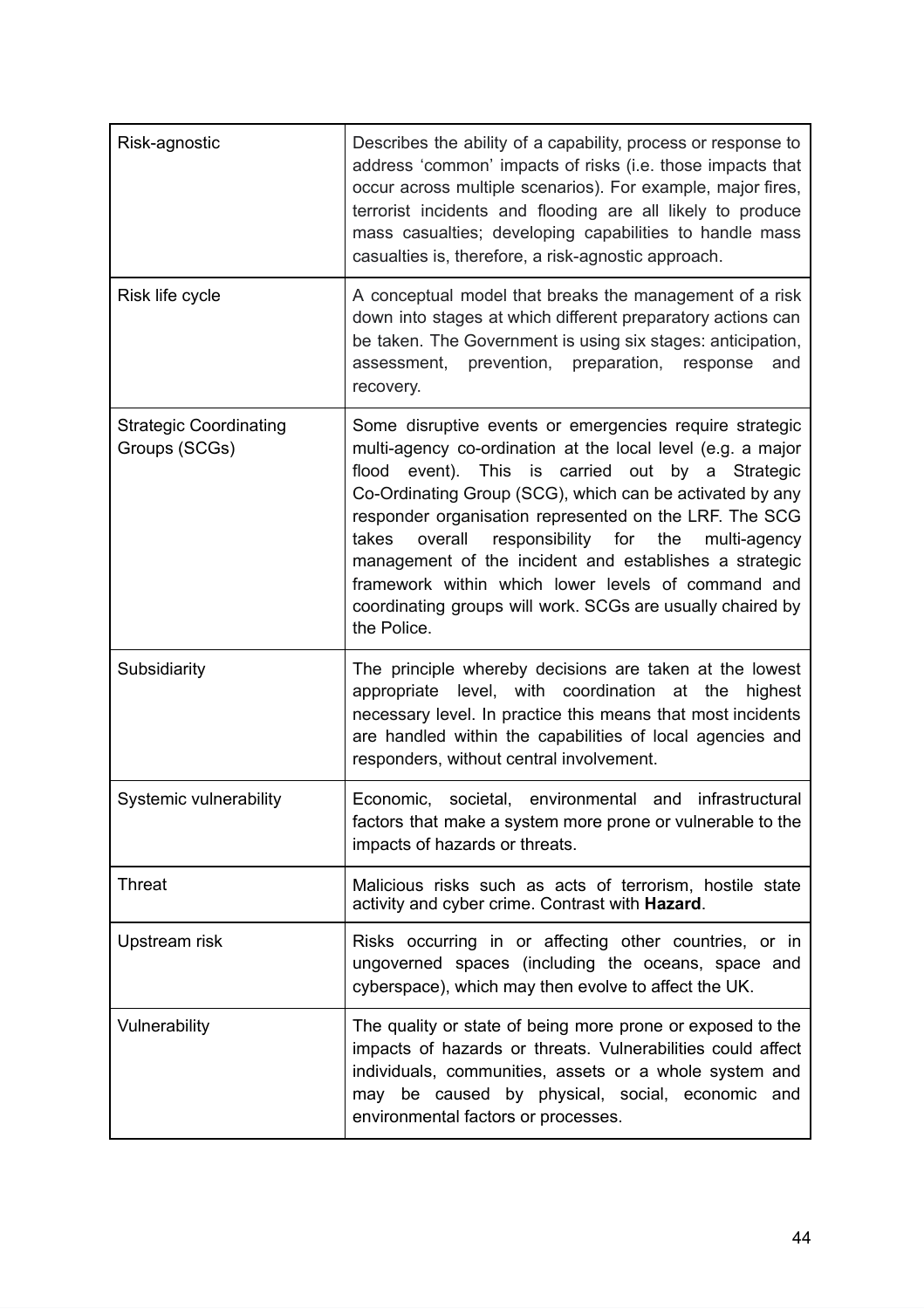| Risk-agnostic                                  | Describes the ability of a capability, process or response to<br>address 'common' impacts of risks (i.e. those impacts that<br>occur across multiple scenarios). For example, major fires,<br>terrorist incidents and flooding are all likely to produce<br>mass casualties; developing capabilities to handle mass<br>casualties is, therefore, a risk-agnostic approach.                                                                                                                                                                                        |
|------------------------------------------------|-------------------------------------------------------------------------------------------------------------------------------------------------------------------------------------------------------------------------------------------------------------------------------------------------------------------------------------------------------------------------------------------------------------------------------------------------------------------------------------------------------------------------------------------------------------------|
| Risk life cycle                                | A conceptual model that breaks the management of a risk<br>down into stages at which different preparatory actions can<br>be taken. The Government is using six stages: anticipation,<br>assessment, prevention, preparation, response<br>and<br>recovery.                                                                                                                                                                                                                                                                                                        |
| <b>Strategic Coordinating</b><br>Groups (SCGs) | Some disruptive events or emergencies require strategic<br>multi-agency co-ordination at the local level (e.g. a major<br>flood event). This is carried out by a Strategic<br>Co-Ordinating Group (SCG), which can be activated by any<br>responder organisation represented on the LRF. The SCG<br>takes<br>overall<br>responsibility<br>for<br>the<br>multi-agency<br>management of the incident and establishes a strategic<br>framework within which lower levels of command and<br>coordinating groups will work. SCGs are usually chaired by<br>the Police. |
| Subsidiarity                                   | The principle whereby decisions are taken at the lowest<br>appropriate level, with coordination at the highest<br>necessary level. In practice this means that most incidents<br>are handled within the capabilities of local agencies and<br>responders, without central involvement.                                                                                                                                                                                                                                                                            |
| Systemic vulnerability                         | societal, environmental<br>infrastructural<br>and<br>Economic,<br>factors that make a system more prone or vulnerable to the<br>impacts of hazards or threats.                                                                                                                                                                                                                                                                                                                                                                                                    |
| Threat                                         | Malicious risks such as acts of terrorism, hostile state<br>activity and cyber crime. Contrast with Hazard.                                                                                                                                                                                                                                                                                                                                                                                                                                                       |
| Upstream risk                                  | Risks occurring in or affecting other countries, or in<br>ungoverned spaces (including the oceans, space and<br>cyberspace), which may then evolve to affect the UK.                                                                                                                                                                                                                                                                                                                                                                                              |
| Vulnerability                                  | The quality or state of being more prone or exposed to the<br>impacts of hazards or threats. Vulnerabilities could affect<br>individuals, communities, assets or a whole system and<br>may be caused by physical, social, economic and<br>environmental factors or processes.                                                                                                                                                                                                                                                                                     |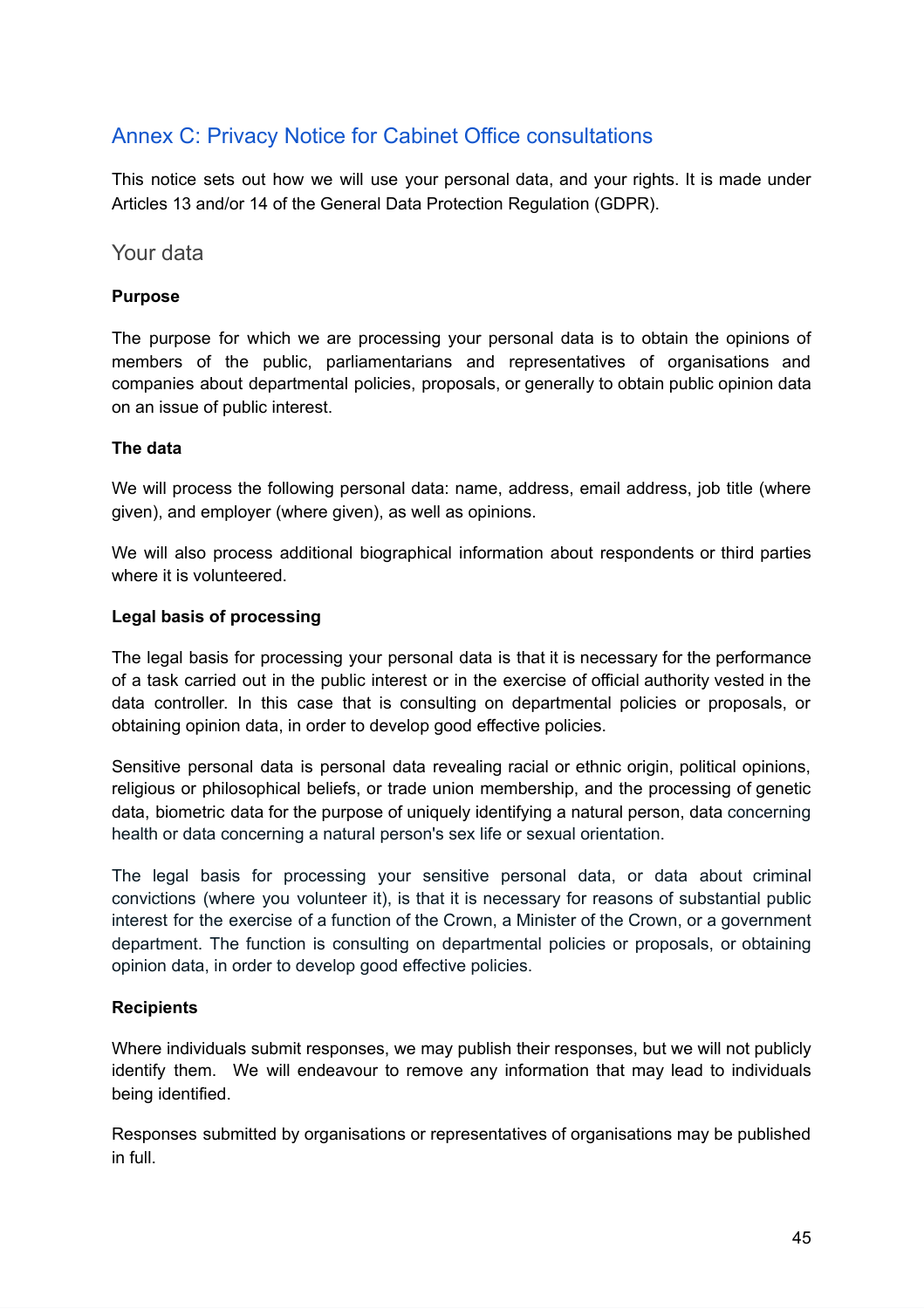### <span id="page-44-0"></span>Annex C: Privacy Notice for Cabinet Office consultations

This notice sets out how we will use your personal data, and your rights. It is made under Articles 13 and/or 14 of the General Data Protection Regulation (GDPR).

<span id="page-44-1"></span>Your data

#### **Purpose**

The purpose for which we are processing your personal data is to obtain the opinions of members of the public, parliamentarians and representatives of organisations and companies about departmental policies, proposals, or generally to obtain public opinion data on an issue of public interest.

#### **The data**

We will process the following personal data: name, address, email address, job title (where given), and employer (where given), as well as opinions.

We will also process additional biographical information about respondents or third parties where it is volunteered.

#### **Legal basis of processing**

The legal basis for processing your personal data is that it is necessary for the performance of a task carried out in the public interest or in the exercise of official authority vested in the data controller. In this case that is consulting on departmental policies or proposals, or obtaining opinion data, in order to develop good effective policies.

Sensitive personal data is personal data revealing racial or ethnic origin, political opinions, religious or philosophical beliefs, or trade union membership, and the processing of genetic data, biometric data for the purpose of uniquely identifying a natural person, data concerning health or data concerning a natural person's sex life or sexual orientation.

The legal basis for processing your sensitive personal data, or data about criminal convictions (where you volunteer it), is that it is necessary for reasons of substantial public interest for the exercise of a function of the Crown, a Minister of the Crown, or a government department. The function is consulting on departmental policies or proposals, or obtaining opinion data, in order to develop good effective policies.

#### **Recipients**

Where individuals submit responses, we may publish their responses, but we will not publicly identify them. We will endeavour to remove any information that may lead to individuals being identified.

Responses submitted by organisations or representatives of organisations may be published in full.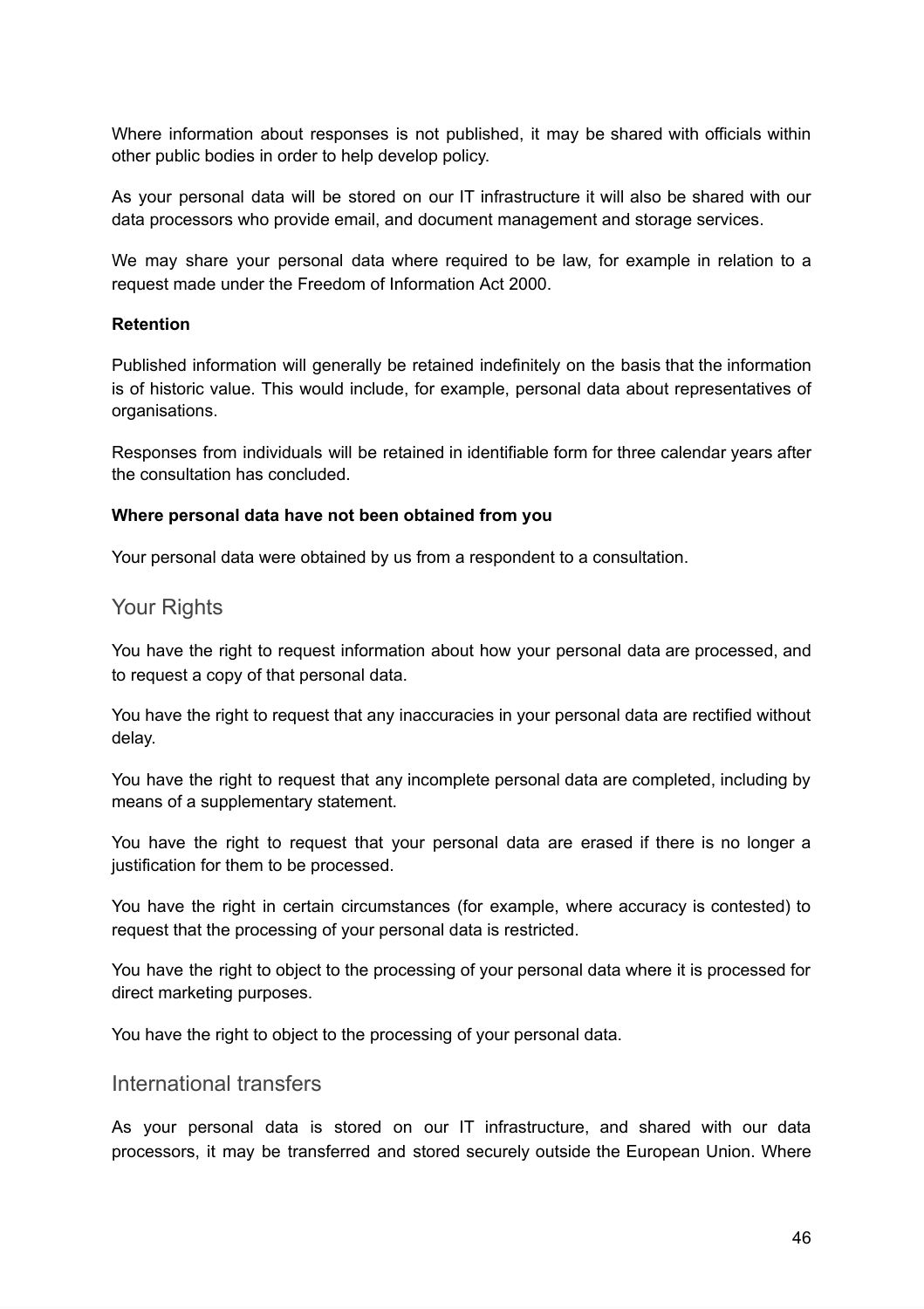Where information about responses is not published, it may be shared with officials within other public bodies in order to help develop policy.

As your personal data will be stored on our IT infrastructure it will also be shared with our data processors who provide email, and document management and storage services.

We may share your personal data where required to be law, for example in relation to a request made under the Freedom of Information Act 2000.

#### **Retention**

Published information will generally be retained indefinitely on the basis that the information is of historic value. This would include, for example, personal data about representatives of organisations.

Responses from individuals will be retained in identifiable form for three calendar years after the consultation has concluded.

#### **Where personal data have not been obtained from you**

Your personal data were obtained by us from a respondent to a consultation.

#### <span id="page-45-0"></span>Your Rights

You have the right to request information about how your personal data are processed, and to request a copy of that personal data.

You have the right to request that any inaccuracies in your personal data are rectified without delay.

You have the right to request that any incomplete personal data are completed, including by means of a supplementary statement.

You have the right to request that your personal data are erased if there is no longer a justification for them to be processed.

You have the right in certain circumstances (for example, where accuracy is contested) to request that the processing of your personal data is restricted.

You have the right to object to the processing of your personal data where it is processed for direct marketing purposes.

You have the right to object to the processing of your personal data.

#### <span id="page-45-1"></span>International transfers

As your personal data is stored on our IT infrastructure, and shared with our data processors, it may be transferred and stored securely outside the European Union. Where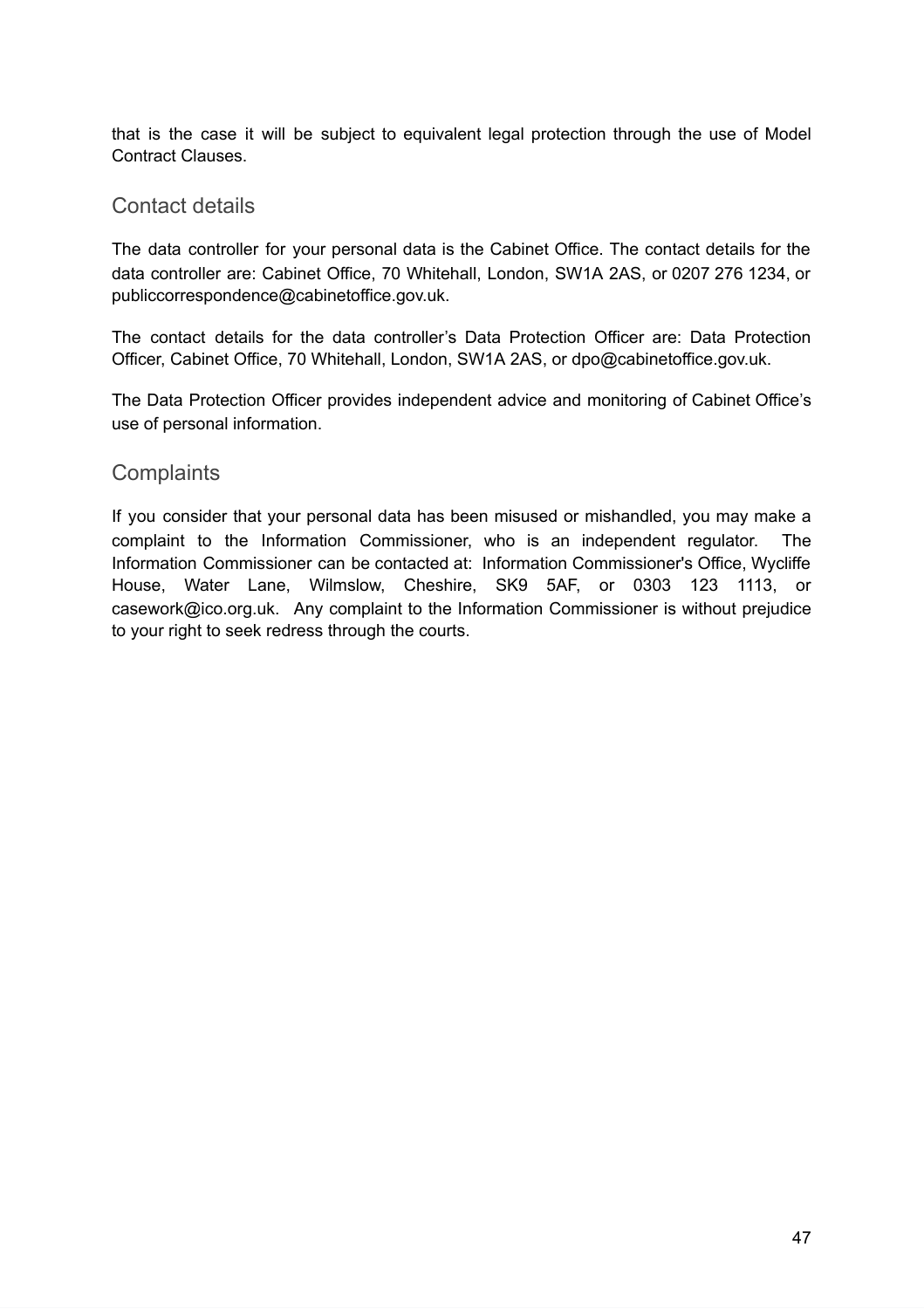that is the case it will be subject to equivalent legal protection through the use of Model Contract Clauses.

#### <span id="page-46-0"></span>Contact details

The data controller for your personal data is the Cabinet Office. The contact details for the data controller are: Cabinet Office, 70 Whitehall, London, SW1A 2AS, or 0207 276 1234, or publiccorrespondence@cabinetoffice.gov.uk.

The contact details for the data controller's Data Protection Officer are: Data Protection Officer, Cabinet Office, 70 Whitehall, London, SW1A 2AS, or dpo@cabinetoffice.gov.uk.

The Data Protection Officer provides independent advice and monitoring of Cabinet Office's use of personal information.

#### <span id="page-46-1"></span>**Complaints**

If you consider that your personal data has been misused or mishandled, you may make a complaint to the Information Commissioner, who is an independent regulator. The Information Commissioner can be contacted at: Information Commissioner's Office, Wycliffe House, Water Lane, Wilmslow, Cheshire, SK9 5AF, or 0303 123 1113, or casework@ico.org.uk. Any complaint to the Information Commissioner is without prejudice to your right to seek redress through the courts.